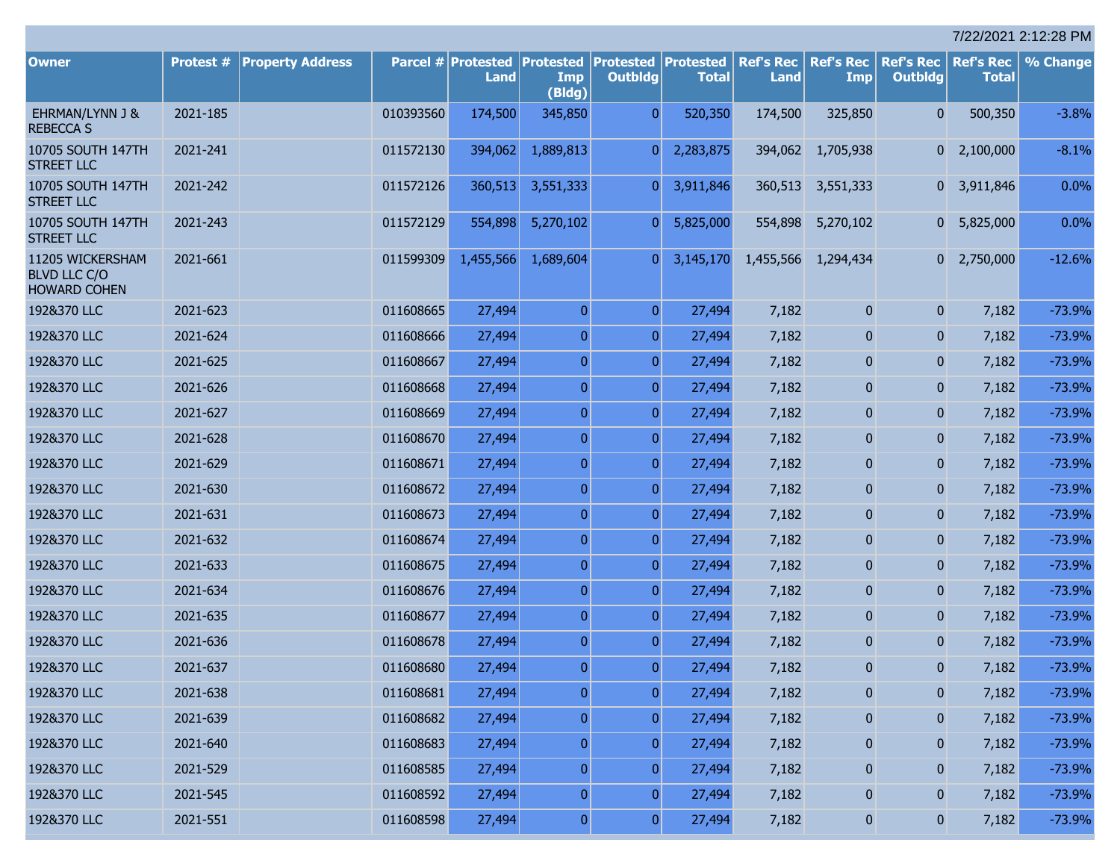| 7/22/2021 2:12:28 PM                                           |           |                         |           |                                                                |                   |                |              |                          |                         |                                    |                                  |          |
|----------------------------------------------------------------|-----------|-------------------------|-----------|----------------------------------------------------------------|-------------------|----------------|--------------|--------------------------|-------------------------|------------------------------------|----------------------------------|----------|
| <b>Owner</b>                                                   | Protest # | <b>Property Address</b> |           | Parcel # Protested   Protested   Protested   Protested<br>Land | Imp               | <b>Outblda</b> | <b>Total</b> | <b>Ref's Rec</b><br>Land | <b>Ref's Rec</b><br>Imp | <b>Ref's Rec</b><br><b>Outbldg</b> | <b>Ref's Rec</b><br><b>Total</b> | % Change |
| EHRMAN/LYNN J &<br><b>REBECCA S</b>                            | 2021-185  |                         | 010393560 | 174,500                                                        | (Bldg)<br>345,850 | $\Omega$       | 520,350      | 174,500                  | 325,850                 | $\overline{0}$                     | 500,350                          | $-3.8%$  |
| 10705 SOUTH 147TH<br><b>STREET LLC</b>                         | 2021-241  |                         | 011572130 | 394,062                                                        | 1,889,813         | $\Omega$       | 2,283,875    | 394,062                  | 1,705,938               | $\overline{0}$                     | 2,100,000                        | $-8.1%$  |
| 10705 SOUTH 147TH<br><b>STREET LLC</b>                         | 2021-242  |                         | 011572126 | 360,513                                                        | 3,551,333         | $\mathbf{0}$   | 3,911,846    | 360,513                  | 3,551,333               | $\mathbf{0}$                       | 3,911,846                        | 0.0%     |
| 10705 SOUTH 147TH<br><b>STREET LLC</b>                         | 2021-243  |                         | 011572129 | 554,898                                                        | 5,270,102         | $\mathbf{0}$   | 5,825,000    | 554,898                  | 5,270,102               | $\overline{0}$                     | 5,825,000                        | 0.0%     |
| 11205 WICKERSHAM<br><b>BLVD LLC C/O</b><br><b>HOWARD COHEN</b> | 2021-661  |                         | 011599309 | 1,455,566                                                      | 1,689,604         | $\Omega$       | 3,145,170    | 1,455,566                | 1,294,434               | $\overline{0}$                     | 2,750,000                        | $-12.6%$ |
| 192&370 LLC                                                    | 2021-623  |                         | 011608665 | 27,494                                                         | $\overline{0}$    | $\overline{0}$ | 27,494       | 7,182                    | $\mathbf{0}$            | $\mathbf{0}$                       | 7,182                            | $-73.9%$ |
| 192&370 LLC                                                    | 2021-624  |                         | 011608666 | 27,494                                                         | $\overline{0}$    | $\overline{0}$ | 27,494       | 7,182                    | $\mathbf{0}$            | $\bf{0}$                           | 7,182                            | $-73.9%$ |
| 192&370 LLC                                                    | 2021-625  |                         | 011608667 | 27,494                                                         | $\overline{0}$    | $\mathbf{0}$   | 27,494       | 7,182                    | $\mathbf{0}$            | $\overline{0}$                     | 7,182                            | $-73.9%$ |
| 192&370 LLC                                                    | 2021-626  |                         | 011608668 | 27,494                                                         | $\overline{0}$    | $\overline{0}$ | 27,494       | 7,182                    | $\mathbf{0}$            | $\overline{0}$                     | 7,182                            | $-73.9%$ |
| 192&370 LLC                                                    | 2021-627  |                         | 011608669 | 27,494                                                         | $\overline{0}$    | $\mathbf{0}$   | 27,494       | 7,182                    | $\mathbf{0}$            | $\overline{0}$                     | 7,182                            | $-73.9%$ |
| 192&370 LLC                                                    | 2021-628  |                         | 011608670 | 27,494                                                         | $\overline{0}$    | $\overline{0}$ | 27,494       | 7,182                    | $\mathbf{0}$            | $\overline{0}$                     | 7,182                            | $-73.9%$ |
| 192&370 LLC                                                    | 2021-629  |                         | 011608671 | 27,494                                                         | $\overline{0}$    | $\mathbf{0}$   | 27,494       | 7,182                    | $\mathbf{0}$            | $\overline{0}$                     | 7,182                            | $-73.9%$ |
| 192&370 LLC                                                    | 2021-630  |                         | 011608672 | 27,494                                                         | $\overline{0}$    | $\overline{0}$ | 27,494       | 7,182                    | $\mathbf{0}$            | $\overline{0}$                     | 7,182                            | $-73.9%$ |
| 192&370 LLC                                                    | 2021-631  |                         | 011608673 | 27,494                                                         | $\overline{0}$    | $\mathbf{0}$   | 27,494       | 7,182                    | $\mathbf{0}$            | $\overline{0}$                     | 7,182                            | $-73.9%$ |
| 192&370 LLC                                                    | 2021-632  |                         | 011608674 | 27,494                                                         | $\overline{0}$    | $\overline{0}$ | 27,494       | 7,182                    | $\mathbf{0}$            | $\overline{0}$                     | 7,182                            | $-73.9%$ |
| 192&370 LLC                                                    | 2021-633  |                         | 011608675 | 27,494                                                         | $\overline{0}$    | $\overline{0}$ | 27,494       | 7,182                    | $\mathbf{0}$            | $\overline{0}$                     | 7,182                            | $-73.9%$ |
| 192&370 LLC                                                    | 2021-634  |                         | 011608676 | 27,494                                                         | $\overline{0}$    | $\overline{0}$ | 27,494       | 7,182                    | $\mathbf{0}$            | $\overline{0}$                     | 7,182                            | $-73.9%$ |
| 192&370 LLC                                                    | 2021-635  |                         | 011608677 | 27,494                                                         | $\overline{0}$    | $\mathbf{0}$   | 27,494       | 7,182                    | $\mathbf{0}$            | $\overline{0}$                     | 7,182                            | $-73.9%$ |
| 192&370 LLC                                                    | 2021-636  |                         | 011608678 | 27,494                                                         | $\overline{0}$    | $\Omega$       | 27,494       | 7,182                    | $\mathbf{0}$            | $\overline{0}$                     | 7,182                            | $-73.9%$ |
| 192&370 LLC                                                    | 2021-637  |                         | 011608680 | 27,494                                                         | $\overline{0}$    | $\overline{0}$ | 27,494       | 7,182                    | $\bf{0}$                | $\pmb{0}$                          | 7,182                            | $-73.9%$ |
| 192&370 LLC                                                    | 2021-638  |                         | 011608681 | 27,494                                                         | $\overline{0}$    | $\overline{0}$ | 27,494       | 7,182                    | $\pmb{0}$               | $\pmb{0}$                          | 7,182                            | $-73.9%$ |
| 192&370 LLC                                                    | 2021-639  |                         | 011608682 | 27,494                                                         | $\overline{0}$    | $\overline{0}$ | 27,494       | 7,182                    | $\pmb{0}$               | $\pmb{0}$                          | 7,182                            | $-73.9%$ |
| 192&370 LLC                                                    | 2021-640  |                         | 011608683 | 27,494                                                         | $\overline{0}$    | $\mathbf{0}$   | 27,494       | 7,182                    | $\pmb{0}$               | $\pmb{0}$                          | 7,182                            | $-73.9%$ |
| 192&370 LLC                                                    | 2021-529  |                         | 011608585 | 27,494                                                         | $\overline{0}$    | $\overline{0}$ | 27,494       | 7,182                    | $\pmb{0}$               | $\pmb{0}$                          | 7,182                            | $-73.9%$ |
| 192&370 LLC                                                    | 2021-545  |                         | 011608592 | 27,494                                                         | $\overline{0}$    | $\overline{0}$ | 27,494       | 7,182                    | $\pmb{0}$               | $\pmb{0}$                          | 7,182                            | $-73.9%$ |
| 192&370 LLC                                                    | 2021-551  |                         | 011608598 | 27,494                                                         | 0                 | $\overline{0}$ | 27,494       | 7,182                    | $\boldsymbol{0}$        | $\pmb{0}$                          | 7,182                            | $-73.9%$ |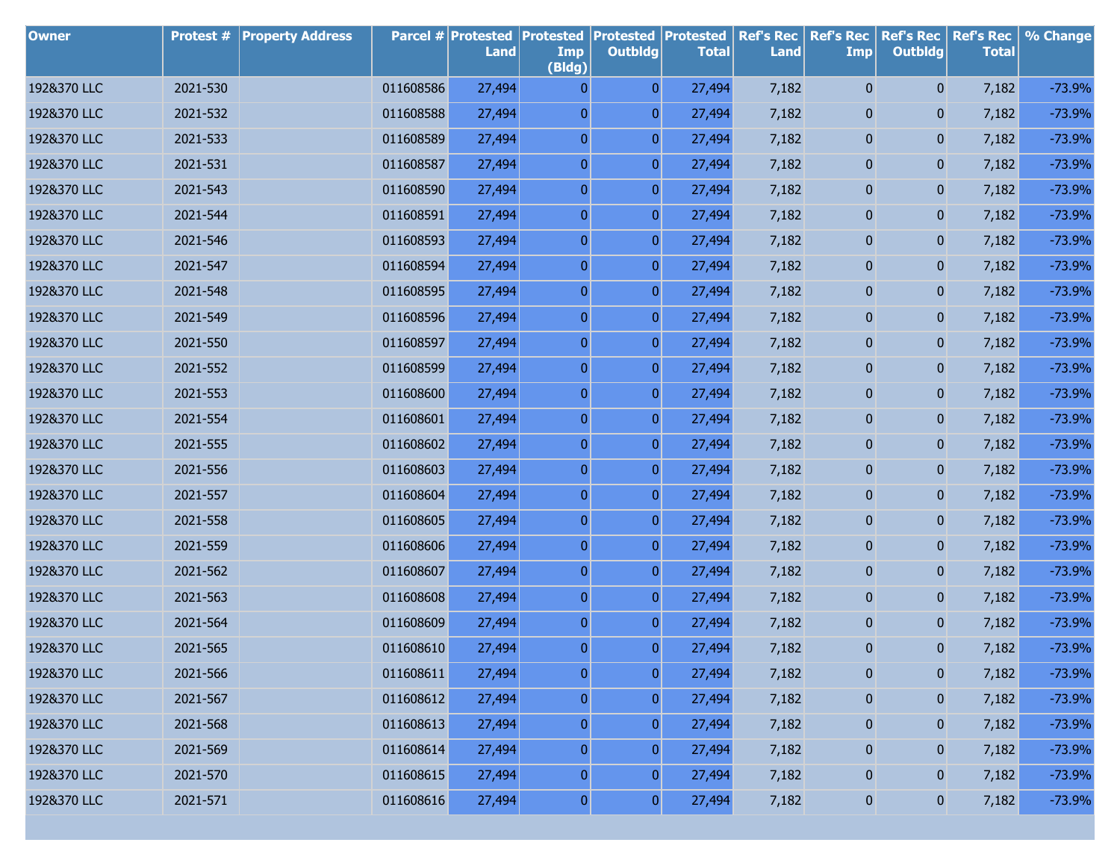| <b>Owner</b> | Protest # | <b>Property Address</b> |           | <b>Parcel # Protested</b><br>Land | <b>Protested</b><br>Imp<br>(Bldg) | <b>Protested</b><br><b>Outbldg</b> | <b>Protested</b><br><b>Total</b> | <b>Ref's Rec</b><br><b>Land</b> | <b>Ref's Rec</b><br><b>Imp</b> | <b>Ref's Rec</b><br><b>Outbldg</b> | <b>Ref's Rec</b><br><b>Total</b> | % Change |
|--------------|-----------|-------------------------|-----------|-----------------------------------|-----------------------------------|------------------------------------|----------------------------------|---------------------------------|--------------------------------|------------------------------------|----------------------------------|----------|
| 192&370 LLC  | 2021-530  |                         | 011608586 | 27,494                            | $\overline{0}$                    | $\overline{0}$                     | 27,494                           | 7,182                           | 0                              | $\mathbf{0}$                       | 7,182                            | $-73.9%$ |
| 192&370 LLC  | 2021-532  |                         | 011608588 | 27,494                            | $\boldsymbol{0}$                  | $\overline{0}$                     | 27,494                           | 7,182                           | 0                              | $\mathbf{0}$                       | 7,182                            | $-73.9%$ |
| 192&370 LLC  | 2021-533  |                         | 011608589 | 27,494                            | $\boldsymbol{0}$                  | $\boldsymbol{0}$                   | 27,494                           | 7,182                           | 0                              | 0                                  | 7,182                            | $-73.9%$ |
| 192&370 LLC  | 2021-531  |                         | 011608587 | 27,494                            | $\boldsymbol{0}$                  | $\overline{0}$                     | 27,494                           | 7,182                           | 0                              | 0                                  | 7,182                            | $-73.9%$ |
| 192&370 LLC  | 2021-543  |                         | 011608590 | 27,494                            | $\boldsymbol{0}$                  | $\overline{0}$                     | 27,494                           | 7,182                           | 0                              | 0                                  | 7,182                            | $-73.9%$ |
| 192&370 LLC  | 2021-544  |                         | 011608591 | 27,494                            | $\boldsymbol{0}$                  | $\overline{0}$                     | 27,494                           | 7,182                           | 0                              | 0                                  | 7,182                            | $-73.9%$ |
| 192&370 LLC  | 2021-546  |                         | 011608593 | 27,494                            | $\boldsymbol{0}$                  | $\boldsymbol{0}$                   | 27,494                           | 7,182                           | 0                              | 0                                  | 7,182                            | $-73.9%$ |
| 192&370 LLC  | 2021-547  |                         | 011608594 | 27,494                            | $\boldsymbol{0}$                  | $\overline{0}$                     | 27,494                           | 7,182                           | 0                              | 0                                  | 7,182                            | $-73.9%$ |
| 192&370 LLC  | 2021-548  |                         | 011608595 | 27,494                            | $\boldsymbol{0}$                  | $\boldsymbol{0}$                   | 27,494                           | 7,182                           | 0                              | 0                                  | 7,182                            | $-73.9%$ |
| 192&370 LLC  | 2021-549  |                         | 011608596 | 27,494                            | $\boldsymbol{0}$                  | $\overline{0}$                     | 27,494                           | 7,182                           | 0                              | 0                                  | 7,182                            | $-73.9%$ |
| 192&370 LLC  | 2021-550  |                         | 011608597 | 27,494                            | $\boldsymbol{0}$                  | $\boldsymbol{0}$                   | 27,494                           | 7,182                           | 0                              | 0                                  | 7,182                            | $-73.9%$ |
| 192&370 LLC  | 2021-552  |                         | 011608599 | 27,494                            | $\boldsymbol{0}$                  | $\overline{0}$                     | 27,494                           | 7,182                           | 0                              | 0                                  | 7,182                            | $-73.9%$ |
| 192&370 LLC  | 2021-553  |                         | 011608600 | 27,494                            | $\boldsymbol{0}$                  | $\overline{0}$                     | 27,494                           | 7,182                           | 0                              | 0                                  | 7,182                            | $-73.9%$ |
| 192&370 LLC  | 2021-554  |                         | 011608601 | 27,494                            | $\boldsymbol{0}$                  | $\overline{0}$                     | 27,494                           | 7,182                           | 0                              | 0                                  | 7,182                            | $-73.9%$ |
| 192&370 LLC  | 2021-555  |                         | 011608602 | 27,494                            | $\boldsymbol{0}$                  | $\overline{0}$                     | 27,494                           | 7,182                           | 0                              | 0                                  | 7,182                            | $-73.9%$ |
| 192&370 LLC  | 2021-556  |                         | 011608603 | 27,494                            | $\boldsymbol{0}$                  | $\overline{0}$                     | 27,494                           | 7,182                           | 0                              | 0                                  | 7,182                            | $-73.9%$ |
| 192&370 LLC  | 2021-557  |                         | 011608604 | 27,494                            | $\boldsymbol{0}$                  | $\overline{0}$                     | 27,494                           | 7,182                           | 0                              | 0                                  | 7,182                            | $-73.9%$ |
| 192&370 LLC  | 2021-558  |                         | 011608605 | 27,494                            | $\boldsymbol{0}$                  | $\overline{0}$                     | 27,494                           | 7,182                           | 0                              | 0                                  | 7,182                            | $-73.9%$ |
| 192&370 LLC  | 2021-559  |                         | 011608606 | 27,494                            | $\boldsymbol{0}$                  | $\overline{0}$                     | 27,494                           | 7,182                           | 0                              | 0                                  | 7,182                            | $-73.9%$ |
| 192&370 LLC  | 2021-562  |                         | 011608607 | 27,494                            | $\boldsymbol{0}$                  | $\overline{0}$                     | 27,494                           | 7,182                           | 0                              | 0                                  | 7,182                            | $-73.9%$ |
| 192&370 LLC  | 2021-563  |                         | 011608608 | 27,494                            | $\boldsymbol{0}$                  | $\boldsymbol{0}$                   | 27,494                           | 7,182                           | 0                              | 0                                  | 7,182                            | $-73.9%$ |
| 192&370 LLC  | 2021-564  |                         | 011608609 | 27,494                            | $\boldsymbol{0}$                  | $\overline{0}$                     | 27,494                           | 7,182                           | 0                              | 0                                  | 7,182                            | $-73.9%$ |
| 192&370 LLC  | 2021-565  |                         | 011608610 | 27,494                            | $\overline{0}$                    | $\overline{0}$                     | 27,494                           | 7,182                           | 0                              | $\mathbf{0}$                       | 7,182                            | $-73.9%$ |
| 192&370 LLC  | 2021-566  |                         | 011608611 | 27,494                            | $\boldsymbol{0}$                  | $\pmb{0}$                          | 27,494                           | 7,182                           | $\pmb{0}$                      | 0                                  | 7,182                            | $-73.9%$ |
| 192&370 LLC  | 2021-567  |                         | 011608612 | 27,494                            | $\boldsymbol{0}$                  | $\overline{0}$                     | 27,494                           | 7,182                           | $\bf{0}$                       | 0                                  | 7,182                            | $-73.9%$ |
| 192&370 LLC  | 2021-568  |                         | 011608613 | 27,494                            | $\boldsymbol{0}$                  | $\boldsymbol{0}$                   | 27,494                           | 7,182                           | $\bf{0}$                       | $\bf{0}$                           | 7,182                            | $-73.9%$ |
| 192&370 LLC  | 2021-569  |                         | 011608614 | 27,494                            | $\boldsymbol{0}$                  | $\overline{0}$                     | 27,494                           | 7,182                           | $\bf{0}$                       | 0                                  | 7,182                            | $-73.9%$ |
| 192&370 LLC  | 2021-570  |                         | 011608615 | 27,494                            | $\boldsymbol{0}$                  | $\boldsymbol{0}$                   | 27,494                           | 7,182                           | $\bf{0}$                       | $\bf{0}$                           | 7,182                            | $-73.9%$ |
| 192&370 LLC  | 2021-571  |                         | 011608616 | 27,494                            | $\boldsymbol{0}$                  | $\boldsymbol{0}$                   | 27,494                           | 7,182                           | 0                              | $\boldsymbol{0}$                   | 7,182                            | $-73.9%$ |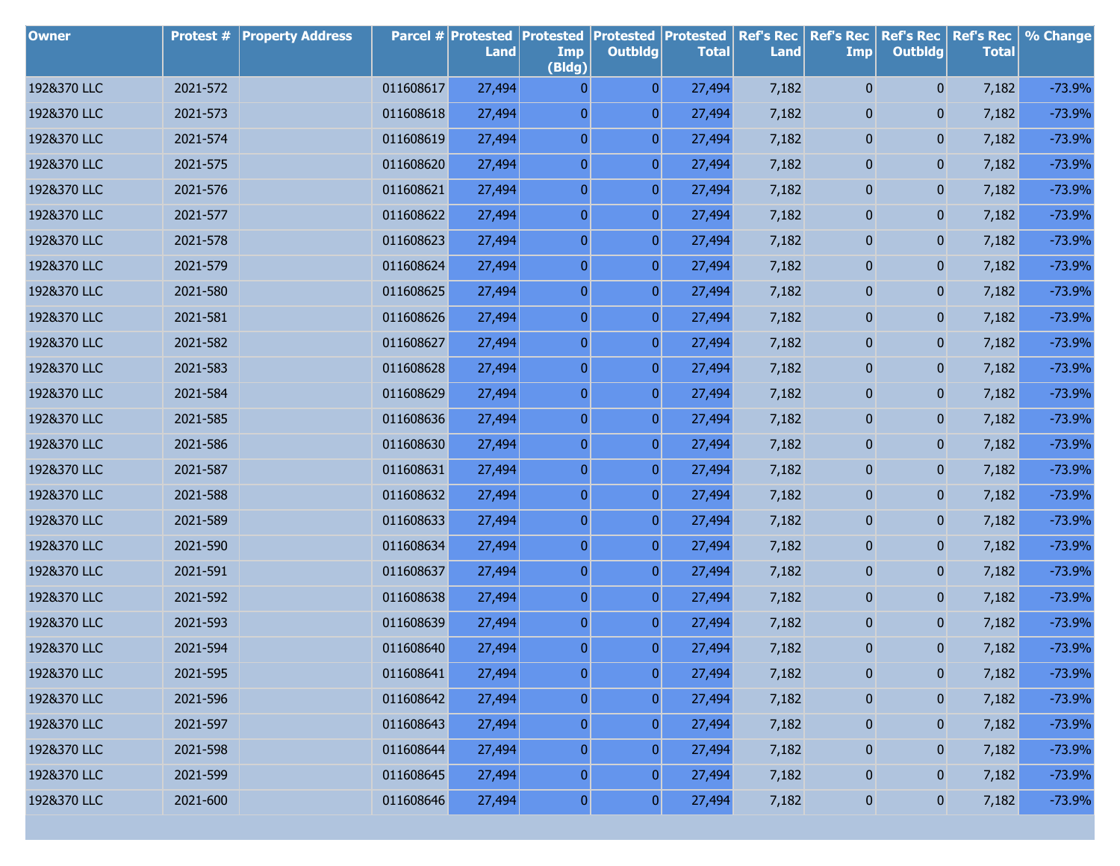| <b>Owner</b> | Protest # | <b>Property Address</b> |           | <b>Parcel # Protested</b><br>Land | <b>Protested</b><br>Imp<br>(Bldg) | <b>Protested</b><br><b>Outbldg</b> | <b>Protested</b><br><b>Total</b> | <b>Ref's Rec</b><br><b>Land</b> | <b>Ref's Rec</b><br><b>Imp</b> | <b>Ref's Rec</b><br><b>Outbldg</b> | <b>Ref's Rec</b><br><b>Total</b> | % Change |
|--------------|-----------|-------------------------|-----------|-----------------------------------|-----------------------------------|------------------------------------|----------------------------------|---------------------------------|--------------------------------|------------------------------------|----------------------------------|----------|
| 192&370 LLC  | 2021-572  |                         | 011608617 | 27,494                            | $\overline{0}$                    | $\overline{0}$                     | 27,494                           | 7,182                           | 0                              | $\mathbf{0}$                       | 7,182                            | $-73.9%$ |
| 192&370 LLC  | 2021-573  |                         | 011608618 | 27,494                            | $\boldsymbol{0}$                  | $\overline{0}$                     | 27,494                           | 7,182                           | 0                              | $\mathbf{0}$                       | 7,182                            | $-73.9%$ |
| 192&370 LLC  | 2021-574  |                         | 011608619 | 27,494                            | $\boldsymbol{0}$                  | $\boldsymbol{0}$                   | 27,494                           | 7,182                           | 0                              | 0                                  | 7,182                            | $-73.9%$ |
| 192&370 LLC  | 2021-575  |                         | 011608620 | 27,494                            | $\boldsymbol{0}$                  | $\overline{0}$                     | 27,494                           | 7,182                           | 0                              | 0                                  | 7,182                            | $-73.9%$ |
| 192&370 LLC  | 2021-576  |                         | 011608621 | 27,494                            | $\boldsymbol{0}$                  | $\overline{0}$                     | 27,494                           | 7,182                           | 0                              | 0                                  | 7,182                            | $-73.9%$ |
| 192&370 LLC  | 2021-577  |                         | 011608622 | 27,494                            | $\boldsymbol{0}$                  | $\overline{0}$                     | 27,494                           | 7,182                           | 0                              | 0                                  | 7,182                            | $-73.9%$ |
| 192&370 LLC  | 2021-578  |                         | 011608623 | 27,494                            | $\boldsymbol{0}$                  | $\boldsymbol{0}$                   | 27,494                           | 7,182                           | 0                              | 0                                  | 7,182                            | $-73.9%$ |
| 192&370 LLC  | 2021-579  |                         | 011608624 | 27,494                            | $\boldsymbol{0}$                  | $\overline{0}$                     | 27,494                           | 7,182                           | 0                              | 0                                  | 7,182                            | $-73.9%$ |
| 192&370 LLC  | 2021-580  |                         | 011608625 | 27,494                            | $\boldsymbol{0}$                  | $\boldsymbol{0}$                   | 27,494                           | 7,182                           | 0                              | 0                                  | 7,182                            | $-73.9%$ |
| 192&370 LLC  | 2021-581  |                         | 011608626 | 27,494                            | $\boldsymbol{0}$                  | $\overline{0}$                     | 27,494                           | 7,182                           | 0                              | 0                                  | 7,182                            | $-73.9%$ |
| 192&370 LLC  | 2021-582  |                         | 011608627 | 27,494                            | $\boldsymbol{0}$                  | $\boldsymbol{0}$                   | 27,494                           | 7,182                           | 0                              | 0                                  | 7,182                            | $-73.9%$ |
| 192&370 LLC  | 2021-583  |                         | 011608628 | 27,494                            | $\boldsymbol{0}$                  | $\overline{0}$                     | 27,494                           | 7,182                           | 0                              | 0                                  | 7,182                            | $-73.9%$ |
| 192&370 LLC  | 2021-584  |                         | 011608629 | 27,494                            | $\boldsymbol{0}$                  | $\boldsymbol{0}$                   | 27,494                           | 7,182                           | 0                              | 0                                  | 7,182                            | $-73.9%$ |
| 192&370 LLC  | 2021-585  |                         | 011608636 | 27,494                            | $\boldsymbol{0}$                  | $\overline{0}$                     | 27,494                           | 7,182                           | 0                              | 0                                  | 7,182                            | $-73.9%$ |
| 192&370 LLC  | 2021-586  |                         | 011608630 | 27,494                            | $\boldsymbol{0}$                  | $\boldsymbol{0}$                   | 27,494                           | 7,182                           | 0                              | 0                                  | 7,182                            | $-73.9%$ |
| 192&370 LLC  | 2021-587  |                         | 011608631 | 27,494                            | $\boldsymbol{0}$                  | $\overline{0}$                     | 27,494                           | 7,182                           | 0                              | 0                                  | 7,182                            | $-73.9%$ |
| 192&370 LLC  | 2021-588  |                         | 011608632 | 27,494                            | $\boldsymbol{0}$                  | $\overline{0}$                     | 27,494                           | 7,182                           | 0                              | 0                                  | 7,182                            | $-73.9%$ |
| 192&370 LLC  | 2021-589  |                         | 011608633 | 27,494                            | $\boldsymbol{0}$                  | $\overline{0}$                     | 27,494                           | 7,182                           | 0                              | 0                                  | 7,182                            | $-73.9%$ |
| 192&370 LLC  | 2021-590  |                         | 011608634 | 27,494                            | $\boldsymbol{0}$                  | $\overline{0}$                     | 27,494                           | 7,182                           | 0                              | 0                                  | 7,182                            | $-73.9%$ |
| 192&370 LLC  | 2021-591  |                         | 011608637 | 27,494                            | $\boldsymbol{0}$                  | $\overline{0}$                     | 27,494                           | 7,182                           | 0                              | 0                                  | 7,182                            | $-73.9%$ |
| 192&370 LLC  | 2021-592  |                         | 011608638 | 27,494                            | $\boldsymbol{0}$                  | $\boldsymbol{0}$                   | 27,494                           | 7,182                           | 0                              | 0                                  | 7,182                            | $-73.9%$ |
| 192&370 LLC  | 2021-593  |                         | 011608639 | 27,494                            | $\boldsymbol{0}$                  | $\overline{0}$                     | 27,494                           | 7,182                           | 0                              | 0                                  | 7,182                            | $-73.9%$ |
| 192&370 LLC  | 2021-594  |                         | 011608640 | 27,494                            | $\overline{0}$                    | $\overline{0}$                     | 27,494                           | 7,182                           | 0                              | $\mathbf{0}$                       | 7,182                            | $-73.9%$ |
| 192&370 LLC  | 2021-595  |                         | 011608641 | 27,494                            | $\boldsymbol{0}$                  | $\pmb{0}$                          | 27,494                           | 7,182                           | $\pmb{0}$                      | 0                                  | 7,182                            | $-73.9%$ |
| 192&370 LLC  | 2021-596  |                         | 011608642 | 27,494                            | $\boldsymbol{0}$                  | $\overline{0}$                     | 27,494                           | 7,182                           | $\bf{0}$                       | 0                                  | 7,182                            | $-73.9%$ |
| 192&370 LLC  | 2021-597  |                         | 011608643 | 27,494                            | $\boldsymbol{0}$                  | $\boldsymbol{0}$                   | 27,494                           | 7,182                           | $\bf{0}$                       | $\bf{0}$                           | 7,182                            | $-73.9%$ |
| 192&370 LLC  | 2021-598  |                         | 011608644 | 27,494                            | $\boldsymbol{0}$                  | $\overline{0}$                     | 27,494                           | 7,182                           | $\bf{0}$                       | 0                                  | 7,182                            | $-73.9%$ |
| 192&370 LLC  | 2021-599  |                         | 011608645 | 27,494                            | $\boldsymbol{0}$                  | $\boldsymbol{0}$                   | 27,494                           | 7,182                           | 0                              | $\bf{0}$                           | 7,182                            | $-73.9%$ |
| 192&370 LLC  | 2021-600  |                         | 011608646 | 27,494                            | $\boldsymbol{0}$                  | $\boldsymbol{0}$                   | 27,494                           | 7,182                           | 0                              | $\boldsymbol{0}$                   | 7,182                            | $-73.9%$ |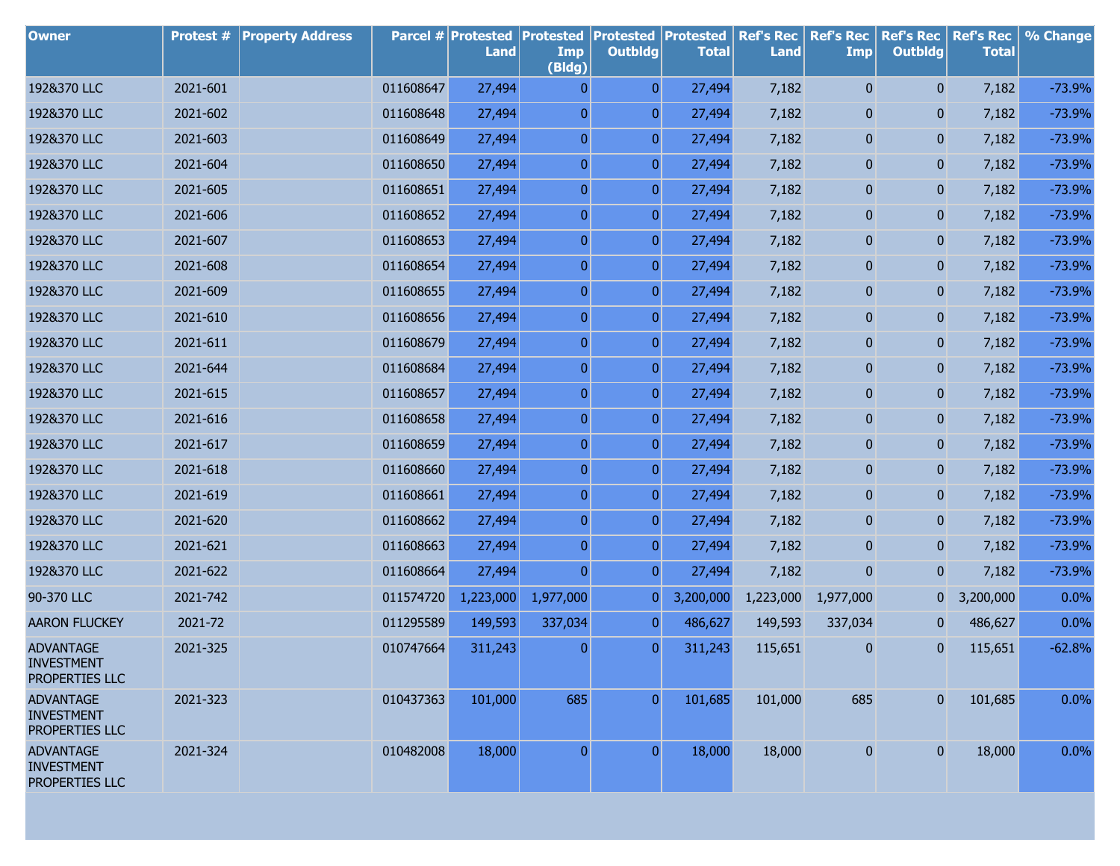| <b>Owner</b>                                            | <b>Protest #</b> | <b>Property Address</b> |           | Parcel # Protested<br>Land | <b>Protested</b><br>Imp<br>(Bldg) | <b>Protested</b><br><b>Outbldg</b> | <b>Protested</b><br><b>Total</b> | <b>Ref's Rec</b><br><b>Land</b> | <b>Ref's Rec</b><br><b>Imp</b> | <b>Ref's Rec</b><br><b>Outbldg</b> | <b>Ref's Rec</b><br><b>Total</b> | % Change |
|---------------------------------------------------------|------------------|-------------------------|-----------|----------------------------|-----------------------------------|------------------------------------|----------------------------------|---------------------------------|--------------------------------|------------------------------------|----------------------------------|----------|
| 192&370 LLC                                             | 2021-601         |                         | 011608647 | 27,494                     | 0                                 | $\overline{0}$                     | 27,494                           | 7,182                           | $\bf{0}$                       | $\mathbf{0}$                       | 7,182                            | $-73.9%$ |
| 192&370 LLC                                             | 2021-602         |                         | 011608648 | 27,494                     | $\overline{0}$                    | 0                                  | 27,494                           | 7,182                           | 0                              | $\mathbf{0}$                       | 7,182                            | $-73.9%$ |
| 192&370 LLC                                             | 2021-603         |                         | 011608649 | 27,494                     | $\overline{0}$                    | 0                                  | 27,494                           | 7,182                           | 0                              | $\mathbf{0}$                       | 7,182                            | $-73.9%$ |
| 192&370 LLC                                             | 2021-604         |                         | 011608650 | 27,494                     | $\boldsymbol{0}$                  | 0                                  | 27,494                           | 7,182                           | 0                              | 0                                  | 7,182                            | $-73.9%$ |
| 192&370 LLC                                             | 2021-605         |                         | 011608651 | 27,494                     | $\boldsymbol{0}$                  | 0                                  | 27,494                           | 7,182                           | 0                              | 0                                  | 7,182                            | $-73.9%$ |
| 192&370 LLC                                             | 2021-606         |                         | 011608652 | 27,494                     | $\boldsymbol{0}$                  | 0                                  | 27,494                           | 7,182                           | 0                              | 0                                  | 7,182                            | $-73.9%$ |
| 192&370 LLC                                             | 2021-607         |                         | 011608653 | 27,494                     | $\boldsymbol{0}$                  | 0                                  | 27,494                           | 7,182                           | 0                              | 0                                  | 7,182                            | $-73.9%$ |
| 192&370 LLC                                             | 2021-608         |                         | 011608654 | 27,494                     | $\boldsymbol{0}$                  | 0                                  | 27,494                           | 7,182                           | 0                              | 0                                  | 7,182                            | $-73.9%$ |
| 192&370 LLC                                             | 2021-609         |                         | 011608655 | 27,494                     | $\boldsymbol{0}$                  | 0                                  | 27,494                           | 7,182                           | 0                              | 0                                  | 7,182                            | $-73.9%$ |
| 192&370 LLC                                             | 2021-610         |                         | 011608656 | 27,494                     | $\boldsymbol{0}$                  | 0                                  | 27,494                           | 7,182                           | 0                              | 0                                  | 7,182                            | $-73.9%$ |
| 192&370 LLC                                             | 2021-611         |                         | 011608679 | 27,494                     | $\boldsymbol{0}$                  | 0                                  | 27,494                           | 7,182                           | 0                              | 0                                  | 7,182                            | $-73.9%$ |
| 192&370 LLC                                             | 2021-644         |                         | 011608684 | 27,494                     | $\boldsymbol{0}$                  | 0                                  | 27,494                           | 7,182                           | 0                              | 0                                  | 7,182                            | $-73.9%$ |
| 192&370 LLC                                             | 2021-615         |                         | 011608657 | 27,494                     | $\overline{0}$                    | 0                                  | 27,494                           | 7,182                           | 0                              | 0                                  | 7,182                            | $-73.9%$ |
| 192&370 LLC                                             | 2021-616         |                         | 011608658 | 27,494                     | $\boldsymbol{0}$                  | 0                                  | 27,494                           | 7,182                           | 0                              | 0                                  | 7,182                            | $-73.9%$ |
| 192&370 LLC                                             | 2021-617         |                         | 011608659 | 27,494                     | $\overline{0}$                    | 0                                  | 27,494                           | 7,182                           | 0                              | 0                                  | 7,182                            | $-73.9%$ |
| 192&370 LLC                                             | 2021-618         |                         | 011608660 | 27,494                     | $\boldsymbol{0}$                  | 0                                  | 27,494                           | 7,182                           | 0                              | 0                                  | 7,182                            | $-73.9%$ |
| 192&370 LLC                                             | 2021-619         |                         | 011608661 | 27,494                     | $\overline{0}$                    | 0                                  | 27,494                           | 7,182                           | 0                              | 0                                  | 7,182                            | $-73.9%$ |
| 192&370 LLC                                             | 2021-620         |                         | 011608662 | 27,494                     | $\boldsymbol{0}$                  | 0                                  | 27,494                           | 7,182                           | 0                              | 0                                  | 7,182                            | $-73.9%$ |
| 192&370 LLC                                             | 2021-621         |                         | 011608663 | 27,494                     | $\overline{0}$                    | 0                                  | 27,494                           | 7,182                           | 0                              | $\mathbf{0}$                       | 7,182                            | $-73.9%$ |
| 192&370 LLC                                             | 2021-622         |                         | 011608664 | 27,494                     | $\overline{0}$                    | $\overline{0}$                     | 27,494                           | 7,182                           | 0                              | $\mathbf{0}$                       | 7,182                            | $-73.9%$ |
| 90-370 LLC                                              | 2021-742         |                         | 011574720 | 1,223,000                  | 1,977,000                         | 0                                  | 3,200,000                        |                                 | 1,223,000 1,977,000            | $\overline{0}$                     | 3,200,000                        | 0.0%     |
| <b>AARON FLUCKEY</b>                                    | 2021-72          |                         | 011295589 | 149,593                    | 337,034                           | $\vert 0 \vert$                    | 486,627                          | 149,593                         | 337,034                        | $\mathbf{0}$                       | 486,627                          | 0.0%     |
| <b>ADVANTAGE</b><br><b>INVESTMENT</b><br>PROPERTIES LLC | 2021-325         |                         | 010747664 | 311,243                    | $\overline{0}$                    | $\boldsymbol{0}$                   | 311,243                          | 115,651                         | 0                              | $\mathbf{0}$                       | 115,651                          | $-62.8%$ |
| <b>ADVANTAGE</b><br><b>INVESTMENT</b><br>PROPERTIES LLC | 2021-323         |                         | 010437363 | 101,000                    | 685                               | $\boldsymbol{0}$                   | 101,685                          | 101,000                         | 685                            | $\pmb{0}$                          | 101,685                          | 0.0%     |
| <b>ADVANTAGE</b><br><b>INVESTMENT</b><br>PROPERTIES LLC | 2021-324         |                         | 010482008 | 18,000                     | $\bf{0}$                          | $\overline{0}$                     | 18,000                           | 18,000                          | $\bf{0}$                       | $\pmb{0}$                          | 18,000                           | 0.0%     |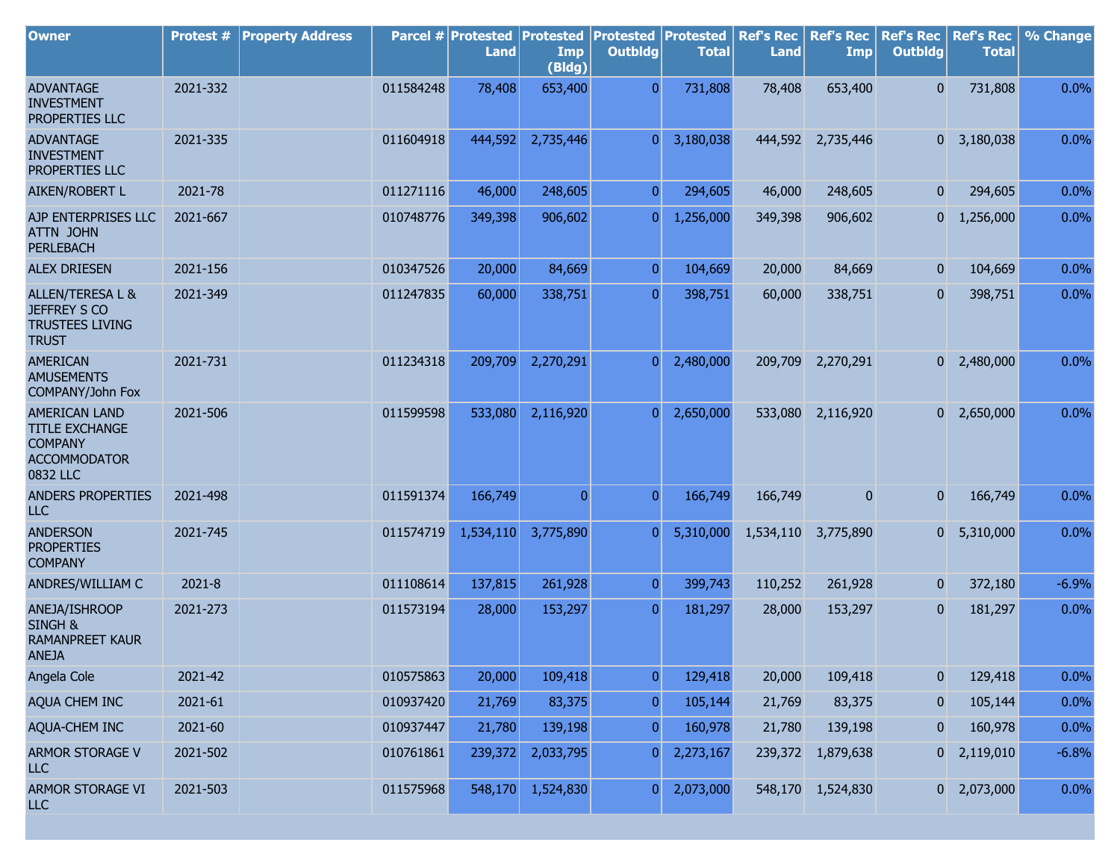| <b>Owner</b>                                                                                       | <b>Protest #</b> | <b>Property Address</b> |           | Parcel # Protested<br><b>Land</b> | <b>Protested</b><br>Imp<br>(Bldg) | <b>Protested</b><br><b>Outbldg</b> | Protested<br><b>Total</b> | <b>Ref's Rec</b><br><b>Land</b> | <b>Ref's Rec</b><br>Imp | <b>Ref's Rec</b><br><b>Outbldg</b> | <b>Ref's Rec</b><br><b>Total</b> | % Change |
|----------------------------------------------------------------------------------------------------|------------------|-------------------------|-----------|-----------------------------------|-----------------------------------|------------------------------------|---------------------------|---------------------------------|-------------------------|------------------------------------|----------------------------------|----------|
| <b>ADVANTAGE</b><br><b>INVESTMENT</b><br>PROPERTIES LLC                                            | 2021-332         |                         | 011584248 | 78,408                            | 653,400                           | $\overline{0}$                     | 731,808                   | 78,408                          | 653,400                 | 0                                  | 731,808                          | 0.0%     |
| <b>ADVANTAGE</b><br><b>INVESTMENT</b><br>PROPERTIES LLC                                            | 2021-335         |                         | 011604918 | 444,592                           | 2,735,446                         | $\overline{0}$                     | 3,180,038                 |                                 | 444,592 2,735,446       |                                    | $0\quad 3,180,038$               | 0.0%     |
| AIKEN/ROBERT L                                                                                     | 2021-78          |                         | 011271116 | 46,000                            | 248,605                           | $\overline{0}$                     | 294,605                   | 46,000                          | 248,605                 | $\mathbf{0}$                       | 294,605                          | 0.0%     |
| AJP ENTERPRISES LLC<br><b>ATTN JOHN</b><br><b>PERLEBACH</b>                                        | 2021-667         |                         | 010748776 | 349,398                           | 906,602                           | $\overline{0}$                     | 1,256,000                 | 349,398                         | 906,602                 | $\overline{0}$                     | 1,256,000                        | 0.0%     |
| <b>ALEX DRIESEN</b>                                                                                | 2021-156         |                         | 010347526 | 20,000                            | 84,669                            | $\overline{0}$                     | 104,669                   | 20,000                          | 84,669                  | $\overline{0}$                     | 104,669                          | 0.0%     |
| ALLEN/TERESA L &<br><b>JEFFREY S CO</b><br><b>TRUSTEES LIVING</b><br><b>TRUST</b>                  | 2021-349         |                         | 011247835 | 60,000                            | 338,751                           | $\overline{0}$                     | 398,751                   | 60,000                          | 338,751                 | $\overline{0}$                     | 398,751                          | 0.0%     |
| <b>AMERICAN</b><br><b>AMUSEMENTS</b><br>COMPANY/John Fox                                           | 2021-731         |                         | 011234318 | 209,709                           | 2,270,291                         | $\overline{0}$                     | 2,480,000                 | 209,709                         | 2,270,291               |                                    | $0\quad 2,480,000$               | 0.0%     |
| <b>AMERICAN LAND</b><br><b>TITLE EXCHANGE</b><br><b>COMPANY</b><br><b>ACCOMMODATOR</b><br>0832 LLC | 2021-506         |                         | 011599598 | 533,080                           | 2,116,920                         | $\overline{0}$                     | 2,650,000                 |                                 | 533,080 2,116,920       |                                    | $0\quad 2,650,000$               | 0.0%     |
| <b>ANDERS PROPERTIES</b><br><b>LLC</b>                                                             | 2021-498         |                         | 011591374 | 166,749                           | $\overline{0}$                    | $\overline{0}$                     | 166,749                   | 166,749                         | 0                       | 0                                  | 166,749                          | 0.0%     |
| <b>ANDERSON</b><br><b>PROPERTIES</b><br><b>COMPANY</b>                                             | 2021-745         |                         | 011574719 | 1,534,110                         | 3,775,890                         | 0                                  | 5,310,000                 | 1,534,110                       | 3,775,890               | 0                                  | 5,310,000                        | 0.0%     |
| ANDRES/WILLIAM C                                                                                   | 2021-8           |                         | 011108614 | 137,815                           | 261,928                           | $\overline{0}$                     | 399,743                   | 110,252                         | 261,928                 | $\overline{0}$                     | 372,180                          | $-6.9%$  |
| ANEJA/ISHROOP<br>SINGH &<br><b>RAMANPREET KAUR</b><br><b>ANEJA</b>                                 | 2021-273         |                         | 011573194 | 28,000                            | 153,297                           | $\overline{0}$                     | 181,297                   | 28,000                          | 153,297                 | $\overline{0}$                     | 181,297                          | 0.0%     |
| Angela Cole                                                                                        | 2021-42          |                         | 010575863 | 20,000                            | 109,418                           | $\mathbf{0}$                       | 129,418                   | 20,000                          | 109,418                 | $\mathbf{0}$                       | 129,418                          | 0.0%     |
| AQUA CHEM INC                                                                                      | 2021-61          |                         | 010937420 | 21,769                            | 83,375                            | $\boldsymbol{0}$                   | 105,144                   | 21,769                          | 83,375                  | $\mathbf{0}$                       | 105,144                          | 0.0%     |
| AQUA-CHEM INC                                                                                      | 2021-60          |                         | 010937447 | 21,780                            | 139,198                           | $\overline{0}$                     | 160,978                   | 21,780                          | 139,198                 | $\mathbf{0}$                       | 160,978                          | 0.0%     |
| ARMOR STORAGE V<br>LLC                                                                             | 2021-502         |                         | 010761861 | 239,372                           | 2,033,795                         | 0                                  | 2,273,167                 |                                 | 239,372 1,879,638       | $\overline{0}$                     | 2,119,010                        | $-6.8%$  |
| <b>ARMOR STORAGE VI</b><br>LLC                                                                     | 2021-503         |                         | 011575968 | 548,170                           | 1,524,830                         | 0                                  | 2,073,000                 |                                 | 548,170 1,524,830       |                                    | $0\quad 2,073,000$               | 0.0%     |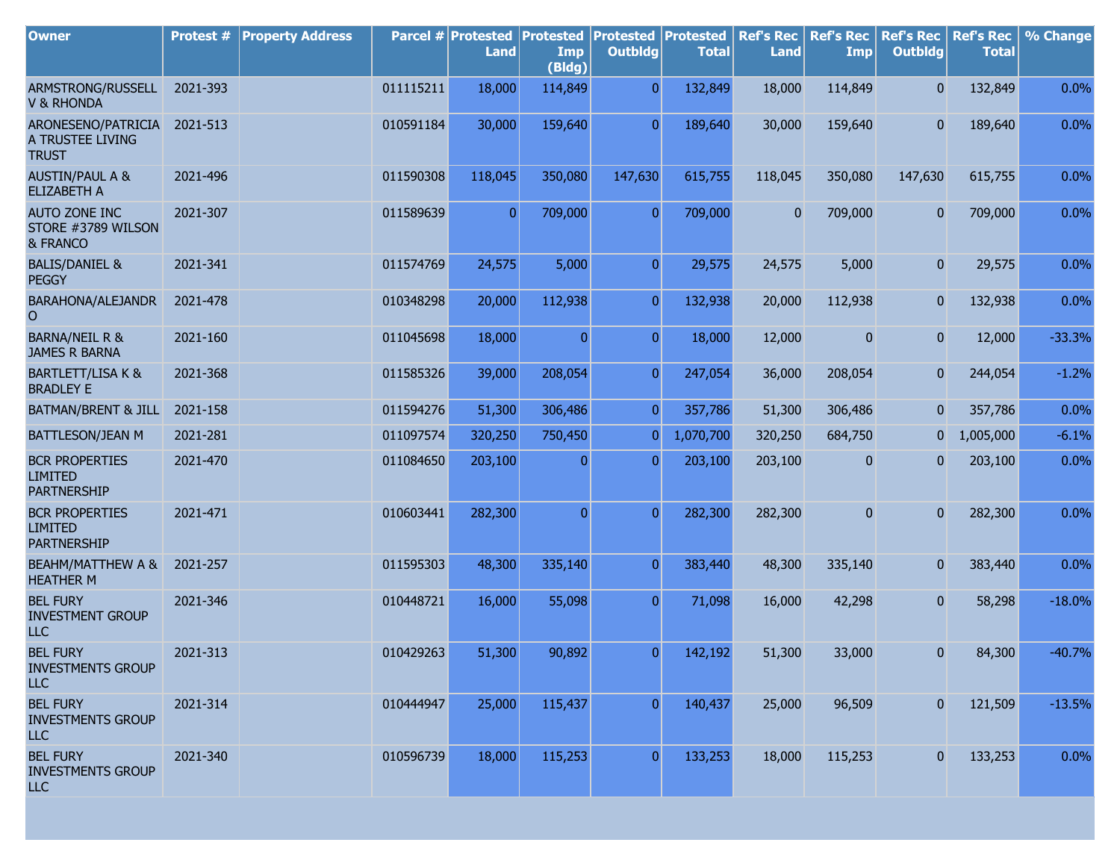| <b>Owner</b>                                                  | Protest # | <b>Property Address</b> |           | <b>Parcel # Protested</b><br><b>Land</b> | Protested<br>Imp<br>(Bldg) | <b>Protested</b><br><b>Outbldg</b> | Protested<br><b>Total</b> | <b>Ref's Rec</b><br><b>Land</b> | <b>Ref's Rec</b><br>Imp | <b>Ref's Rec</b><br><b>Outbldg</b> | <b>Ref's Rec</b><br><b>Total</b> | % Change |
|---------------------------------------------------------------|-----------|-------------------------|-----------|------------------------------------------|----------------------------|------------------------------------|---------------------------|---------------------------------|-------------------------|------------------------------------|----------------------------------|----------|
| ARMSTRONG/RUSSELL<br><b>V &amp; RHONDA</b>                    | 2021-393  |                         | 011115211 | 18,000                                   | 114,849                    | $\overline{0}$                     | 132,849                   | 18,000                          | 114,849                 | $\overline{0}$                     | 132,849                          | 0.0%     |
| ARONESENO/PATRICIA<br>A TRUSTEE LIVING<br><b>TRUST</b>        | 2021-513  |                         | 010591184 | 30,000                                   | 159,640                    | $\overline{0}$                     | 189,640                   | 30,000                          | 159,640                 | $\overline{0}$                     | 189,640                          | 0.0%     |
| <b>AUSTIN/PAUL A &amp;</b><br><b>ELIZABETH A</b>              | 2021-496  |                         | 011590308 | 118,045                                  | 350,080                    | 147,630                            | 615,755                   | 118,045                         | 350,080                 | 147,630                            | 615,755                          | 0.0%     |
| <b>AUTO ZONE INC</b><br>STORE #3789 WILSON<br>& FRANCO        | 2021-307  |                         | 011589639 | $\overline{0}$                           | 709,000                    | $\overline{0}$                     | 709,000                   | 0                               | 709,000                 | $\boldsymbol{0}$                   | 709,000                          | 0.0%     |
| <b>BALIS/DANIEL &amp;</b><br><b>PEGGY</b>                     | 2021-341  |                         | 011574769 | 24,575                                   | 5,000                      | $\overline{0}$                     | 29,575                    | 24,575                          | 5,000                   | $\mathbf{0}$                       | 29,575                           | 0.0%     |
| BARAHONA/ALEJANDR<br>$\overline{O}$                           | 2021-478  |                         | 010348298 | 20,000                                   | 112,938                    | $\overline{0}$                     | 132,938                   | 20,000                          | 112,938                 | 0                                  | 132,938                          | 0.0%     |
| <b>BARNA/NEIL R &amp;</b><br><b>JAMES R BARNA</b>             | 2021-160  |                         | 011045698 | 18,000                                   | $\mathbf{0}$               | $\overline{0}$                     | 18,000                    | 12,000                          | $\mathbf{0}$            | $\overline{0}$                     | 12,000                           | $-33.3%$ |
| <b>BARTLETT/LISA K &amp;</b><br><b>BRADLEY E</b>              | 2021-368  |                         | 011585326 | 39,000                                   | 208,054                    | $\overline{0}$                     | 247,054                   | 36,000                          | 208,054                 | $\mathbf{0}$                       | 244,054                          | $-1.2%$  |
| BATMAN/BRENT & JILL                                           | 2021-158  |                         | 011594276 | 51,300                                   | 306,486                    | $\overline{0}$                     | 357,786                   | 51,300                          | 306,486                 | $\overline{0}$                     | 357,786                          | 0.0%     |
| BATTLESON/JEAN M                                              | 2021-281  |                         | 011097574 | 320,250                                  | 750,450                    | $\overline{0}$                     | 1,070,700                 | 320,250                         | 684,750                 | $\overline{0}$                     | 1,005,000                        | $-6.1%$  |
| <b>BCR PROPERTIES</b><br><b>LIMITED</b><br><b>PARTNERSHIP</b> | 2021-470  |                         | 011084650 | 203,100                                  | $\overline{0}$             | $\overline{0}$                     | 203,100                   | 203,100                         | 0                       | $\overline{0}$                     | 203,100                          | 0.0%     |
| <b>BCR PROPERTIES</b><br><b>LIMITED</b><br><b>PARTNERSHIP</b> | 2021-471  |                         | 010603441 | 282,300                                  | $\overline{0}$             | $\Omega$                           | 282,300                   | 282,300                         | $\mathbf{0}$            | 0                                  | 282,300                          | 0.0%     |
| <b>BEAHM/MATTHEW A &amp;</b><br><b>HEATHER M</b>              | 2021-257  |                         | 011595303 | 48,300                                   | 335,140                    | $\overline{0}$                     | 383,440                   | 48,300                          | 335,140                 | $\overline{0}$                     | 383,440                          | 0.0%     |
| <b>BEL FURY</b><br><b>INVESTMENT GROUP</b><br><b>LLC</b>      | 2021-346  |                         | 010448721 | 16,000                                   | 55,098                     | $\overline{0}$                     | 71,098                    | 16,000                          | 42,298                  | $\overline{0}$                     | 58,298                           | $-18.0%$ |
| <b>BEL FURY</b><br><b>INVESTMENTS GROUP</b><br>ILC            | 2021-313  |                         | 010429263 | 51,300                                   | 90,892                     | $\overline{0}$                     | 142,192                   | 51,300                          | 33,000                  | 0                                  | 84,300                           | $-40.7%$ |
| <b>BEL FURY</b><br><b>INVESTMENTS GROUP</b><br>LLC            | 2021-314  |                         | 010444947 | 25,000                                   | 115,437                    | $\overline{0}$                     | 140,437                   | 25,000                          | 96,509                  |                                    | 121,509                          | $-13.5%$ |
| <b>BEL FURY</b><br><b>INVESTMENTS GROUP</b><br>LLC            | 2021-340  |                         | 010596739 | 18,000                                   | 115,253                    | $\overline{0}$                     | 133,253                   | 18,000                          | 115,253                 |                                    | 133,253                          | 0.0%     |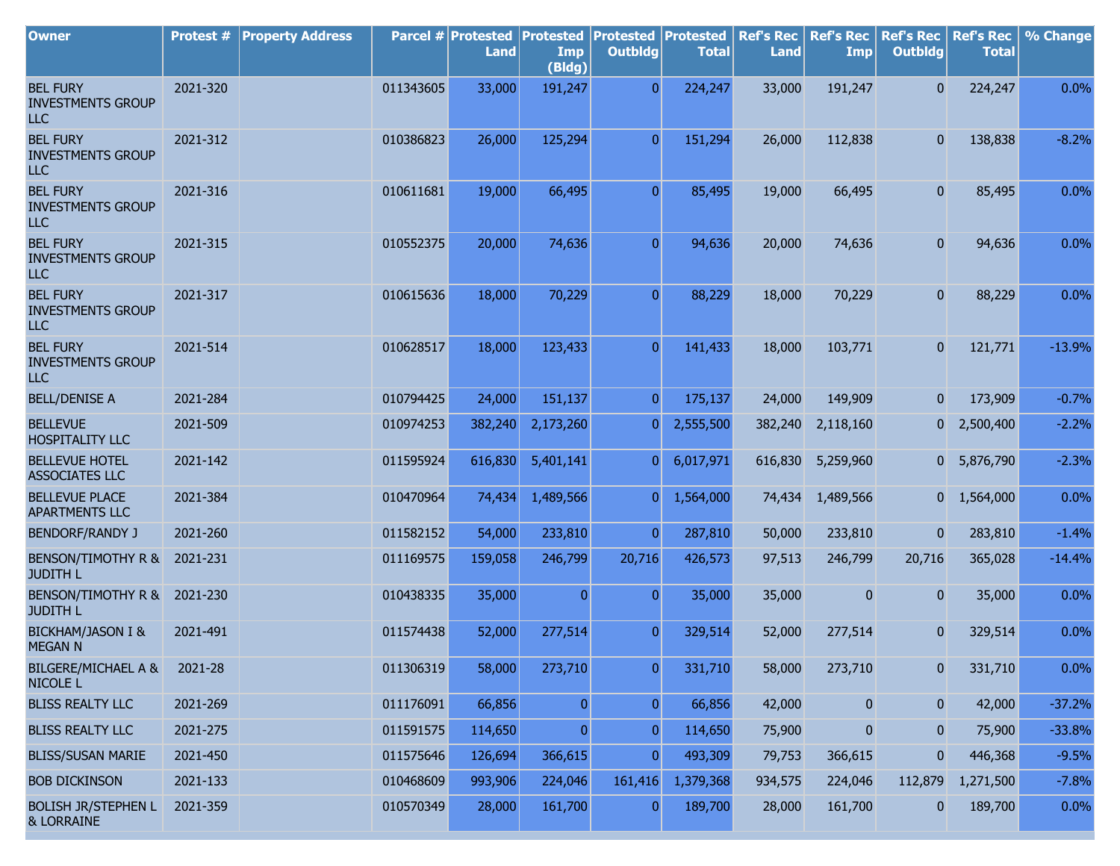| <b>Owner</b>                                              | Protest # | <b>Property Address</b> |           | Parcel # Protested<br><b>Land</b> | <b>Protested</b><br><b>Imp</b><br>(Bldg) | <b>Protested</b><br><b>Outbldg</b> | Protested<br><b>Total</b> | <b>Ref's Rec</b><br><b>Land</b> | <b>Ref's Rec</b><br>Imp | <b>Ref's Rec</b><br><b>Outbldg</b> | <b>Ref's Rec</b><br><b>Total</b> | % Change |
|-----------------------------------------------------------|-----------|-------------------------|-----------|-----------------------------------|------------------------------------------|------------------------------------|---------------------------|---------------------------------|-------------------------|------------------------------------|----------------------------------|----------|
| <b>BEL FURY</b><br><b>INVESTMENTS GROUP</b><br><b>LLC</b> | 2021-320  |                         | 011343605 | 33,000                            | 191,247                                  | $\overline{0}$                     | 224,247                   | 33,000                          | 191,247                 | $\overline{0}$                     | 224,247                          | 0.0%     |
| <b>BEL FURY</b><br><b>INVESTMENTS GROUP</b><br><b>LLC</b> | 2021-312  |                         | 010386823 | 26,000                            | 125,294                                  | $\overline{0}$                     | 151,294                   | 26,000                          | 112,838                 | $\overline{0}$                     | 138,838                          | $-8.2%$  |
| <b>BEL FURY</b><br><b>INVESTMENTS GROUP</b><br><b>LLC</b> | 2021-316  |                         | 010611681 | 19,000                            | 66,495                                   | $\overline{0}$                     | 85,495                    | 19,000                          | 66,495                  | $\overline{0}$                     | 85,495                           | 0.0%     |
| <b>BEL FURY</b><br><b>INVESTMENTS GROUP</b><br><b>LLC</b> | 2021-315  |                         | 010552375 | 20,000                            | 74,636                                   | $\overline{0}$                     | 94,636                    | 20,000                          | 74,636                  | $\overline{0}$                     | 94,636                           | 0.0%     |
| <b>BEL FURY</b><br><b>INVESTMENTS GROUP</b><br>ILC        | 2021-317  |                         | 010615636 | 18,000                            | 70,229                                   | $\overline{0}$                     | 88,229                    | 18,000                          | 70,229                  | $\overline{0}$                     | 88,229                           | 0.0%     |
| <b>BEL FURY</b><br><b>INVESTMENTS GROUP</b><br><b>LLC</b> | 2021-514  |                         | 010628517 | 18,000                            | 123,433                                  | $\overline{0}$                     | 141,433                   | 18,000                          | 103,771                 | $\mathbf{0}$                       | 121,771                          | $-13.9%$ |
| <b>BELL/DENISE A</b>                                      | 2021-284  |                         | 010794425 | 24,000                            | 151,137                                  | 0                                  | 175,137                   | 24,000                          | 149,909                 | $\mathbf{0}$                       | 173,909                          | $-0.7%$  |
| <b>BELLEVUE</b><br><b>HOSPITALITY LLC</b>                 | 2021-509  |                         | 010974253 | 382,240                           | 2,173,260                                | $\overline{0}$                     | 2,555,500                 | 382,240                         | 2,118,160               |                                    | $0\quad 2,500,400$               | $-2.2%$  |
| <b>BELLEVUE HOTEL</b><br><b>ASSOCIATES LLC</b>            | 2021-142  |                         | 011595924 | 616,830                           | 5,401,141                                | $\overline{0}$                     | 6,017,971                 | 616,830                         | 5,259,960               |                                    | 0 5,876,790                      | $-2.3%$  |
| <b>BELLEVUE PLACE</b><br><b>APARTMENTS LLC</b>            | 2021-384  |                         | 010470964 | 74,434                            | 1,489,566                                | $\overline{0}$                     | 1,564,000                 | 74,434                          | 1,489,566               |                                    | $0\quad 1,564,000$               | 0.0%     |
| <b>BENDORF/RANDY J</b>                                    | 2021-260  |                         | 011582152 | 54,000                            | 233,810                                  | $\overline{0}$                     | 287,810                   | 50,000                          | 233,810                 | $\overline{0}$                     | 283,810                          | $-1.4%$  |
| BENSON/TIMOTHY R &<br><b>JUDITH L</b>                     | 2021-231  |                         | 011169575 | 159,058                           | 246,799                                  | 20,716                             | 426,573                   | 97,513                          | 246,799                 | 20,716                             | 365,028                          | $-14.4%$ |
| BENSON/TIMOTHY R & 2021-230<br><b>JUDITH L</b>            |           |                         | 010438335 | 35,000                            | $\overline{0}$                           | $\overline{0}$                     | 35,000                    | 35,000                          | 0                       | 0                                  | 35,000                           | 0.0%     |
| <b>BICKHAM/JASON I &amp;</b><br><b>MEGAN N</b>            | 2021-491  |                         | 011574438 | 52,000                            | 277,514                                  | $\Omega$                           | 329,514                   | 52,000                          | 277,514                 | n                                  | 329,514                          | 0.0%     |
| <b>BILGERE/MICHAEL A &amp;</b><br>NICOLE <sub>L</sub>     | 2021-28   |                         | 011306319 | 58,000                            | 273,710                                  | $\overline{0}$                     | 331,710                   | 58,000                          | 273,710                 | $\overline{0}$                     | 331,710                          | 0.0%     |
| <b>BLISS REALTY LLC</b>                                   | 2021-269  |                         | 011176091 | 66,856                            | $\overline{0}$                           | $\overline{0}$                     | 66,856                    | 42,000                          | 0                       | $\pmb{0}$                          | 42,000                           | $-37.2%$ |
| <b>BLISS REALTY LLC</b>                                   | 2021-275  |                         | 011591575 | 114,650                           | $\overline{0}$                           | $\overline{0}$                     | 114,650                   | 75,900                          | 0                       | $\boldsymbol{0}$                   | 75,900                           | $-33.8%$ |
| <b>BLISS/SUSAN MARIE</b>                                  | 2021-450  |                         | 011575646 | 126,694                           | 366,615                                  | $\overline{0}$                     | 493,309                   | 79,753                          | 366,615                 | 0                                  | 446,368                          | $-9.5%$  |
| <b>BOB DICKINSON</b>                                      | 2021-133  |                         | 010468609 | 993,906                           | 224,046                                  | 161,416                            | 1,379,368                 | 934,575                         | 224,046                 | 112,879                            | 1,271,500                        | $-7.8%$  |
| <b>BOLISH JR/STEPHEN L</b><br>& LORRAINE                  | 2021-359  |                         | 010570349 | 28,000                            | 161,700                                  | $\overline{0}$                     | 189,700                   | 28,000                          | 161,700                 | 0                                  | 189,700                          | 0.0%     |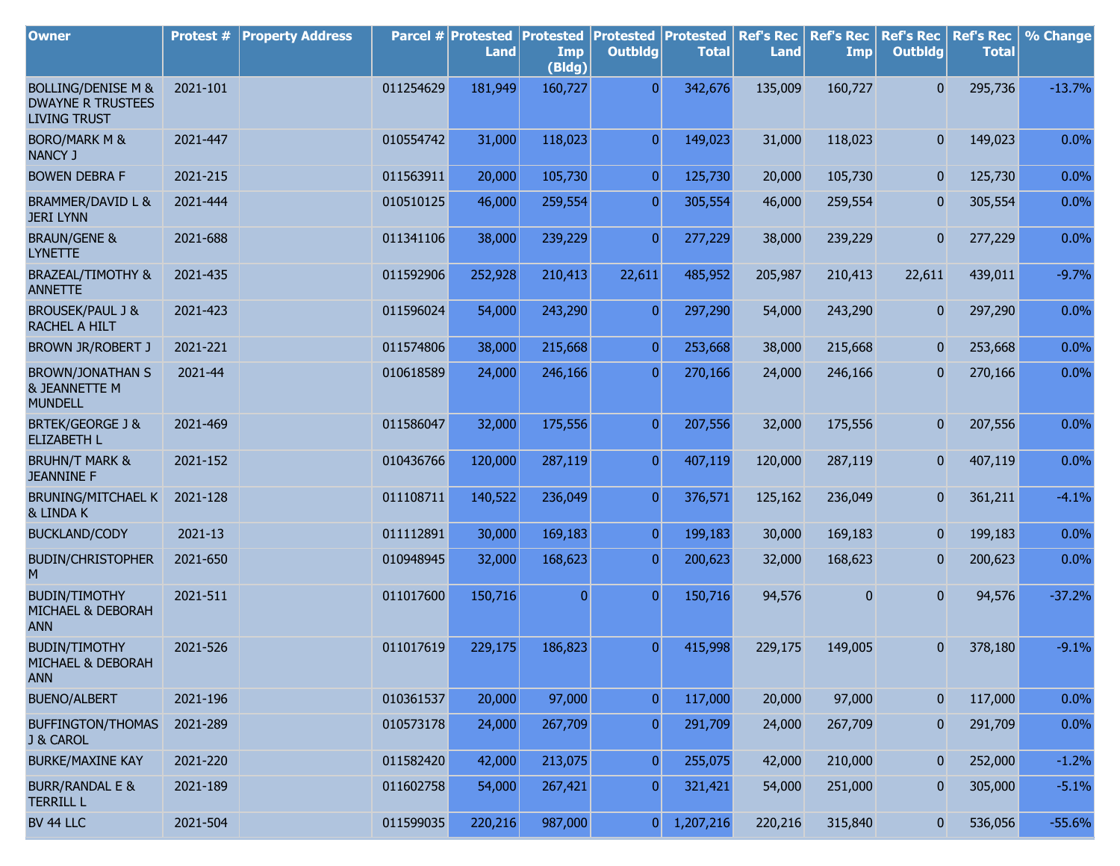| <b>Owner</b>                                                                     | Protest # | <b>Property Address</b> |           | Parcel # Protested<br><b>Land</b> | <b>Protested</b><br>Imp | <b>Protested</b><br><b>Outbldg</b> | Protested<br><b>Total</b> | <b>Ref's Rec</b><br><b>Land</b> | <b>Ref's Rec</b><br><b>Imp</b> | <b>Ref's Rec</b><br><b>Outbldg</b> | <b>Ref's Rec</b><br><b>Total</b> | % Change |
|----------------------------------------------------------------------------------|-----------|-------------------------|-----------|-----------------------------------|-------------------------|------------------------------------|---------------------------|---------------------------------|--------------------------------|------------------------------------|----------------------------------|----------|
|                                                                                  |           |                         |           |                                   | (Bldg)                  |                                    |                           |                                 |                                |                                    |                                  |          |
| <b>BOLLING/DENISE M &amp;</b><br><b>DWAYNE R TRUSTEES</b><br><b>LIVING TRUST</b> | 2021-101  |                         | 011254629 | 181,949                           | 160,727                 | $\overline{0}$                     | 342,676                   | 135,009                         | 160,727                        | $\overline{0}$                     | 295,736                          | $-13.7%$ |
| <b>BORO/MARK M &amp;</b><br><b>NANCY J</b>                                       | 2021-447  |                         | 010554742 | 31,000                            | 118,023                 | $\overline{0}$                     | 149,023                   | 31,000                          | 118,023                        | $\mathbf{0}$                       | 149,023                          | 0.0%     |
| <b>BOWEN DEBRA F</b>                                                             | 2021-215  |                         | 011563911 | 20,000                            | 105,730                 | $\overline{0}$                     | 125,730                   | 20,000                          | 105,730                        | $\overline{0}$                     | 125,730                          | 0.0%     |
| BRAMMER/DAVID L &<br><b>JERI LYNN</b>                                            | 2021-444  |                         | 010510125 | 46,000                            | 259,554                 | $\overline{0}$                     | 305,554                   | 46,000                          | 259,554                        | $\mathbf{0}$                       | 305,554                          | 0.0%     |
| <b>BRAUN/GENE &amp;</b><br><b>LYNETTE</b>                                        | 2021-688  |                         | 011341106 | 38,000                            | 239,229                 | $\overline{0}$                     | 277,229                   | 38,000                          | 239,229                        | $\overline{0}$                     | 277,229                          | 0.0%     |
| <b>BRAZEAL/TIMOTHY &amp;</b><br><b>ANNETTE</b>                                   | 2021-435  |                         | 011592906 | 252,928                           | 210,413                 | 22,611                             | 485,952                   | 205,987                         | 210,413                        | 22,611                             | 439,011                          | $-9.7%$  |
| <b>BROUSEK/PAUL J &amp;</b><br>RACHEL A HILT                                     | 2021-423  |                         | 011596024 | 54,000                            | 243,290                 | $\overline{0}$                     | 297,290                   | 54,000                          | 243,290                        | $\overline{0}$                     | 297,290                          | 0.0%     |
| <b>BROWN JR/ROBERT J</b>                                                         | 2021-221  |                         | 011574806 | 38,000                            | 215,668                 | $\overline{0}$                     | 253,668                   | 38,000                          | 215,668                        | $\mathbf{0}$                       | 253,668                          | 0.0%     |
| <b>BROWN/JONATHAN S</b><br><b>&amp; JEANNETTE M</b><br><b>MUNDELL</b>            | 2021-44   |                         | 010618589 | 24,000                            | 246,166                 | $\overline{0}$                     | 270,166                   | 24,000                          | 246,166                        | $\overline{0}$                     | 270,166                          | 0.0%     |
| <b>BRTEK/GEORGE J &amp;</b><br><b>ELIZABETH L</b>                                | 2021-469  |                         | 011586047 | 32,000                            | 175,556                 | $\overline{0}$                     | 207,556                   | 32,000                          | 175,556                        | $\mathbf{0}$                       | 207,556                          | 0.0%     |
| <b>BRUHN/T MARK &amp;</b><br><b>JEANNINE F</b>                                   | 2021-152  |                         | 010436766 | 120,000                           | 287,119                 | $\overline{0}$                     | 407,119                   | 120,000                         | 287,119                        | $\mathbf{0}$                       | 407,119                          | 0.0%     |
| BRUNING/MITCHAEL K<br>& LINDA K                                                  | 2021-128  |                         | 011108711 | 140,522                           | 236,049                 | $\overline{0}$                     | 376,571                   | 125,162                         | 236,049                        | $\overline{0}$                     | 361,211                          | $-4.1%$  |
| <b>BUCKLAND/CODY</b>                                                             | 2021-13   |                         | 011112891 | 30,000                            | 169,183                 | $\overline{0}$                     | 199,183                   | 30,000                          | 169,183                        | $\mathbf{0}$                       | 199,183                          | 0.0%     |
| <b>BUDIN/CHRISTOPHER</b><br>M                                                    | 2021-650  |                         | 010948945 | 32,000                            | 168,623                 | $\overline{0}$                     | 200,623                   | 32,000                          | 168,623                        | $\mathbf{0}$                       | 200,623                          | 0.0%     |
| <b>BUDIN/TIMOTHY</b><br>MICHAEL & DEBORAH<br><b>ANN</b>                          | 2021-511  |                         | 011017600 | 150,716                           | $\overline{0}$          | $\overline{0}$                     | 150,716                   | 94,576                          | $\bf{0}$                       | $\overline{0}$                     | 94,576                           | $-37.2%$ |
| <b>BUDIN/TIMOTHY</b><br>MICHAEL & DEBORAH<br><b>ANN</b>                          | 2021-526  |                         | 011017619 | 229,175                           | 186,823                 | $\overline{0}$                     | 415,998                   | 229,175                         | 149,005                        | $\overline{0}$                     | 378,180                          | $-9.1%$  |
| <b>BUENO/ALBERT</b>                                                              | 2021-196  |                         | 010361537 | 20,000                            | 97,000                  | $\mathbf{0}$                       | 117,000                   | 20,000                          | 97,000                         | $\mathbf{0}$                       | 117,000                          | 0.0%     |
| <b>BUFFINGTON/THOMAS</b><br>J & CAROL                                            | 2021-289  |                         | 010573178 | 24,000                            | 267,709                 | 0                                  | 291,709                   | 24,000                          | 267,709                        | $\mathbf{0}$                       | 291,709                          | 0.0%     |
| <b>BURKE/MAXINE KAY</b>                                                          | 2021-220  |                         | 011582420 | 42,000                            | 213,075                 | $\mathbf{0}$                       | 255,075                   | 42,000                          | 210,000                        | $\mathbf{0}$                       | 252,000                          | $-1.2%$  |
| <b>BURR/RANDAL E &amp;</b><br><b>TERRILL L</b>                                   | 2021-189  |                         | 011602758 | 54,000                            | 267,421                 | 0                                  | 321,421                   | 54,000                          | 251,000                        | 0                                  | 305,000                          | $-5.1%$  |
| BV 44 LLC                                                                        | 2021-504  |                         | 011599035 | 220,216                           | 987,000                 | 0                                  | 1,207,216                 | 220,216                         | 315,840                        | $\mathbf{0}$                       | 536,056                          | $-55.6%$ |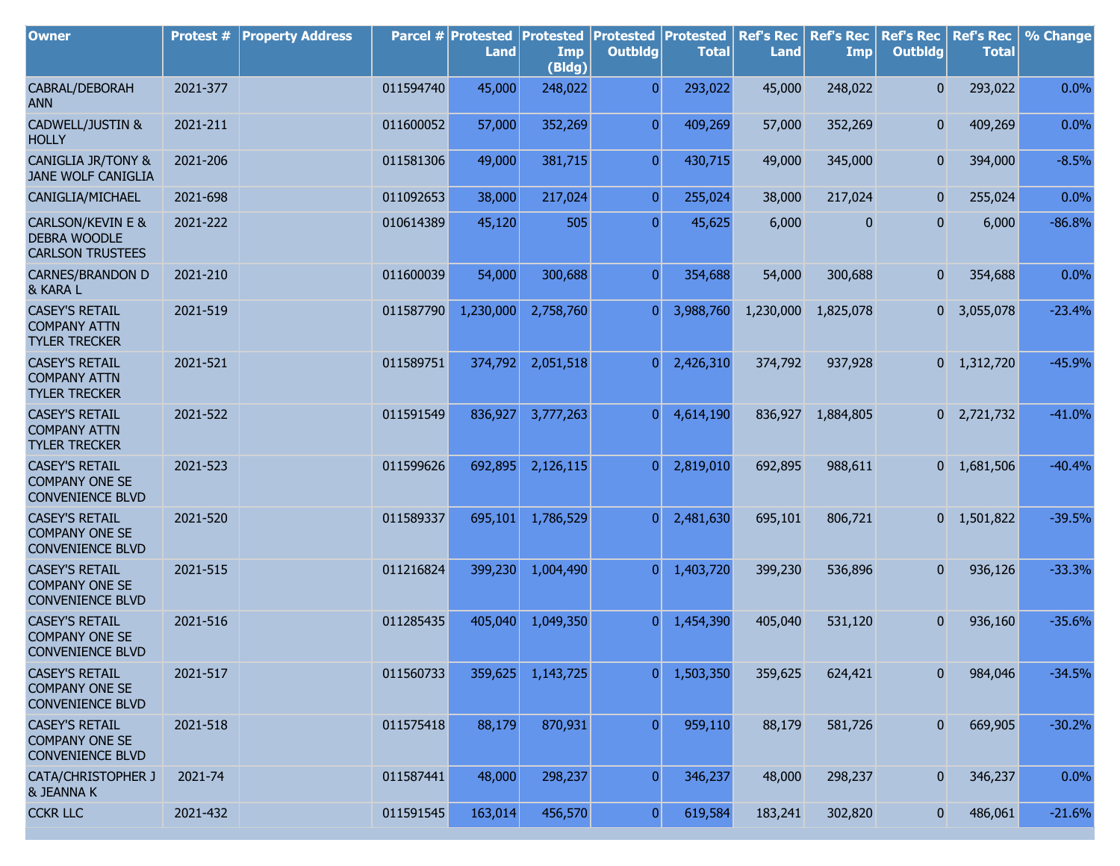| <b>Owner</b>                                                                   | Protest # | <b>Property Address</b> |           | Parcel # Protested<br><b>Land</b> | <b>Protested</b><br>Imp<br>(Bldg) | <b>Protested</b><br><b>Outbldg</b> | Protested<br><b>Total</b> | <b>Ref's Rec</b><br><b>Land</b> | <b>Ref's Rec</b><br>Imp | <b>Ref's Rec</b><br><b>Outbldg</b> | <b>Ref's Rec</b><br><b>Total</b> | % Change |
|--------------------------------------------------------------------------------|-----------|-------------------------|-----------|-----------------------------------|-----------------------------------|------------------------------------|---------------------------|---------------------------------|-------------------------|------------------------------------|----------------------------------|----------|
| CABRAL/DEBORAH<br><b>ANN</b>                                                   | 2021-377  |                         | 011594740 | 45,000                            | 248,022                           | $\overline{0}$                     | 293,022                   | 45,000                          | 248,022                 | 0                                  | 293,022                          | 0.0%     |
| CADWELL/JUSTIN &<br><b>HOLLY</b>                                               | 2021-211  |                         | 011600052 | 57,000                            | 352,269                           | $\overline{0}$                     | 409,269                   | 57,000                          | 352,269                 | 0                                  | 409,269                          | 0.0%     |
| <b>CANIGLIA JR/TONY &amp;</b><br>JANE WOLF CANIGLIA                            | 2021-206  |                         | 011581306 | 49,000                            | 381,715                           | $\overline{0}$                     | 430,715                   | 49,000                          | 345,000                 | 0                                  | 394,000                          | $-8.5%$  |
| CANIGLIA/MICHAEL                                                               | 2021-698  |                         | 011092653 | 38,000                            | 217,024                           | $\overline{0}$                     | 255,024                   | 38,000                          | 217,024                 | 0                                  | 255,024                          | 0.0%     |
| <b>CARLSON/KEVIN E &amp;</b><br><b>DEBRA WOODLE</b><br><b>CARLSON TRUSTEES</b> | 2021-222  |                         | 010614389 | 45,120                            | 505                               | $\overline{0}$                     | 45,625                    | 6,000                           | 0                       | 0                                  | 6,000                            | $-86.8%$ |
| <b>CARNES/BRANDON D</b><br>& KARA L                                            | 2021-210  |                         | 011600039 | 54,000                            | 300,688                           | $\overline{0}$                     | 354,688                   | 54,000                          | 300,688                 | 0                                  | 354,688                          | 0.0%     |
| <b>CASEY'S RETAIL</b><br><b>COMPANY ATTN</b><br><b>TYLER TRECKER</b>           | 2021-519  |                         | 011587790 | 1,230,000                         | 2,758,760                         | $\overline{0}$                     | 3,988,760                 | 1,230,000                       | 1,825,078               | 0                                  | 3,055,078                        | $-23.4%$ |
| <b>CASEY'S RETAIL</b><br><b>COMPANY ATTN</b><br><b>TYLER TRECKER</b>           | 2021-521  |                         | 011589751 | 374,792                           | 2,051,518                         | $\overline{0}$                     | 2,426,310                 | 374,792                         | 937,928                 |                                    | $0 \quad 1,312,720$              | $-45.9%$ |
| <b>CASEY'S RETAIL</b><br><b>COMPANY ATTN</b><br><b>TYLER TRECKER</b>           | 2021-522  |                         | 011591549 | 836,927                           | 3,777,263                         | $\overline{0}$                     | 4,614,190                 | 836,927                         | 1,884,805               |                                    | $0$ 2,721,732                    | $-41.0%$ |
| <b>CASEY'S RETAIL</b><br><b>COMPANY ONE SE</b><br><b>CONVENIENCE BLVD</b>      | 2021-523  |                         | 011599626 | 692,895                           | 2,126,115                         | $\overline{0}$                     | 2,819,010                 | 692,895                         | 988,611                 |                                    | $0 \quad 1,681,506$              | $-40.4%$ |
| <b>CASEY'S RETAIL</b><br><b>COMPANY ONE SE</b><br><b>CONVENIENCE BLVD</b>      | 2021-520  |                         | 011589337 | 695,101                           | 1,786,529                         | 0                                  | 2,481,630                 | 695,101                         | 806,721                 |                                    | $0 \quad 1,501,822$              | $-39.5%$ |
| <b>CASEY'S RETAIL</b><br><b>COMPANY ONE SE</b><br><b>CONVENIENCE BLVD</b>      | 2021-515  |                         | 011216824 | 399,230                           | 1,004,490                         | $\overline{0}$                     | 1,403,720                 | 399,230                         | 536,896                 | 0                                  | 936,126                          | $-33.3%$ |
| <b>CASEY'S RETAIL</b><br><b>COMPANY ONE SE</b><br><b>CONVENIENCE BLVD</b>      | 2021-516  |                         | 011285435 | 405,040                           | 1,049,350                         | $\overline{0}$                     | 1,454,390                 | 405,040                         | 531,120                 | 0                                  | 936,160                          | $-35.6%$ |
| <b>CASEY'S RETAIL</b><br><b>COMPANY ONE SE</b><br><b>CONVENIENCE BLVD</b>      | 2021-517  |                         | 011560733 | 359,625                           | 1,143,725                         | $\overline{0}$                     | 1,503,350                 | 359,625                         | 624,421                 | 0                                  | 984,046                          | $-34.5%$ |
| <b>CASEY'S RETAIL</b><br><b>COMPANY ONE SE</b><br><b>CONVENIENCE BLVD</b>      | 2021-518  |                         | 011575418 | 88,179                            | 870,931                           | $\overline{0}$                     | 959,110                   | 88,179                          | 581,726                 | 0                                  | 669,905                          | $-30.2%$ |
| CATA/CHRISTOPHER J<br><b>&amp; JEANNA K</b>                                    | 2021-74   |                         | 011587441 | 48,000                            | 298,237                           | $\overline{0}$                     | 346,237                   | 48,000                          | 298,237                 | 0                                  | 346,237                          | 0.0%     |
| <b>CCKR LLC</b>                                                                | 2021-432  |                         | 011591545 | 163,014                           | 456,570                           | $\boldsymbol{0}$                   | 619,584                   | 183,241                         | 302,820                 | $\mathbf{0}$                       | 486,061                          | $-21.6%$ |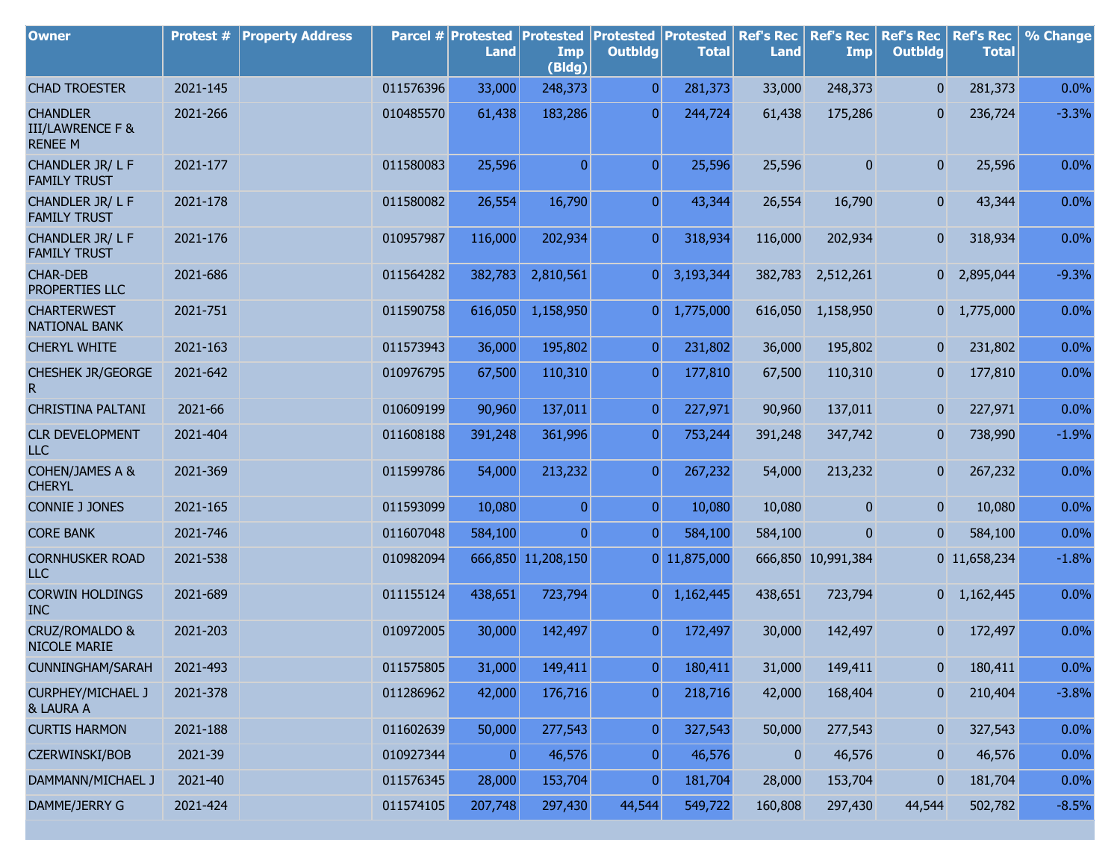| <b>Owner</b>                                                     | Protest # | <b>Property Address</b> |           | Parcel # Protested<br><b>Land</b> | <b>Protested</b><br>Imp<br>(Bldg) | <b>Protested Protested</b><br><b>Outbldg</b> | <b>Total</b> | <b>Ref's Rec</b><br><b>Land</b> | <b>Ref's Rec</b><br><b>Imp</b> | <b>Ref's Rec</b><br><b>Outbldg</b> | <b>Ref's Rec</b><br><b>Total</b> | % Change |
|------------------------------------------------------------------|-----------|-------------------------|-----------|-----------------------------------|-----------------------------------|----------------------------------------------|--------------|---------------------------------|--------------------------------|------------------------------------|----------------------------------|----------|
| <b>CHAD TROESTER</b>                                             | 2021-145  |                         | 011576396 | 33,000                            | 248,373                           | $\overline{0}$                               | 281,373      | 33,000                          | 248,373                        | $\overline{0}$                     | 281,373                          | 0.0%     |
| <b>CHANDLER</b><br><b>III/LAWRENCE F &amp;</b><br><b>RENEE M</b> | 2021-266  |                         | 010485570 | 61,438                            | 183,286                           | $\overline{0}$                               | 244,724      | 61,438                          | 175,286                        | $\mathbf{0}$                       | 236,724                          | $-3.3%$  |
| CHANDLER JR/LF<br><b>FAMILY TRUST</b>                            | 2021-177  |                         | 011580083 | 25,596                            | $\overline{0}$                    | $\overline{0}$                               | 25,596       | 25,596                          | 0                              | $\overline{0}$                     | 25,596                           | 0.0%     |
| CHANDLER JR/LF<br><b>FAMILY TRUST</b>                            | 2021-178  |                         | 011580082 | 26,554                            | 16,790                            | $\overline{0}$                               | 43,344       | 26,554                          | 16,790                         | $\overline{0}$                     | 43,344                           | 0.0%     |
| CHANDLER JR/LF<br><b>FAMILY TRUST</b>                            | 2021-176  |                         | 010957987 | 116,000                           | 202,934                           | $\overline{0}$                               | 318,934      | 116,000                         | 202,934                        | $\overline{0}$                     | 318,934                          | 0.0%     |
| <b>CHAR-DEB</b><br>PROPERTIES LLC                                | 2021-686  |                         | 011564282 | 382,783                           | 2,810,561                         | $\overline{0}$                               | 3,193,344    | 382,783                         | 2,512,261                      |                                    | 0 2,895,044                      | $-9.3%$  |
| <b>CHARTERWEST</b><br><b>NATIONAL BANK</b>                       | 2021-751  |                         | 011590758 | 616,050                           | 1,158,950                         | 0                                            | 1,775,000    | 616,050                         | 1,158,950                      |                                    | $0 \quad 1,775,000$              | 0.0%     |
| <b>CHERYL WHITE</b>                                              | 2021-163  |                         | 011573943 | 36,000                            | 195,802                           | $\overline{0}$                               | 231,802      | 36,000                          | 195,802                        | $\overline{0}$                     | 231,802                          | 0.0%     |
| <b>CHESHEK JR/GEORGE</b><br>R                                    | 2021-642  |                         | 010976795 | 67,500                            | 110,310                           | $\boldsymbol{0}$                             | 177,810      | 67,500                          | 110,310                        | $\overline{0}$                     | 177,810                          | 0.0%     |
| <b>CHRISTINA PALTANI</b>                                         | 2021-66   |                         | 010609199 | 90,960                            | 137,011                           | $\overline{0}$                               | 227,971      | 90,960                          | 137,011                        | $\mathbf{0}$                       | 227,971                          | 0.0%     |
| <b>CLR DEVELOPMENT</b><br><b>LLC</b>                             | 2021-404  |                         | 011608188 | 391,248                           | 361,996                           | $\overline{0}$                               | 753,244      | 391,248                         | 347,742                        | $\mathbf{0}$                       | 738,990                          | $-1.9%$  |
| <b>COHEN/JAMES A &amp;</b><br><b>CHERYL</b>                      | 2021-369  |                         | 011599786 | 54,000                            | 213,232                           | $\overline{0}$                               | 267,232      | 54,000                          | 213,232                        | $\overline{0}$                     | 267,232                          | 0.0%     |
| <b>CONNIE J JONES</b>                                            | 2021-165  |                         | 011593099 | 10,080                            | $\overline{0}$                    | $\overline{0}$                               | 10,080       | 10,080                          | $\mathbf{0}$                   | $\overline{0}$                     | 10,080                           | 0.0%     |
| <b>CORE BANK</b>                                                 | 2021-746  |                         | 011607048 | 584,100                           | $\overline{0}$                    | $\overline{0}$                               | 584,100      | 584,100                         | 0                              | $\overline{0}$                     | 584,100                          | 0.0%     |
| <b>CORNHUSKER ROAD</b><br><b>LLC</b>                             | 2021-538  |                         | 010982094 |                                   | 666,850 11,208,150                |                                              | 0 11,875,000 |                                 | 666,850 10,991,384             |                                    | 0 11,658,234                     | $-1.8%$  |
| <b>CORWIN HOLDINGS</b><br><b>INC</b>                             | 2021-689  |                         | 011155124 | 438,651                           | 723,794                           | $\overline{0}$                               | 1,162,445    | 438,651                         | 723,794                        |                                    | $0 \quad 1,162,445$              | 0.0%     |
| <b>CRUZ/ROMALDO &amp;</b><br>NICOLE MARIE                        | 2021-203  |                         | 010972005 | 30,000                            | 142,497                           | $\overline{0}$                               | 172,497      | 30,000                          | 142,497                        | 0                                  | 172,497                          | 0.0%     |
| CUNNINGHAM/SARAH                                                 | 2021-493  |                         | 011575805 | 31,000                            | 149,411                           | $\overline{0}$                               | 180,411      | 31,000                          | 149,411                        | 0                                  | 180,411                          | 0.0%     |
| <b>CURPHEY/MICHAEL J</b><br>& LAURA A                            | 2021-378  |                         | 011286962 | 42,000                            | 176,716                           | $\overline{0}$                               | 218,716      | 42,000                          | 168,404                        | $\boldsymbol{0}$                   | 210,404                          | $-3.8%$  |
| <b>CURTIS HARMON</b>                                             | 2021-188  |                         | 011602639 | 50,000                            | 277,543                           | $\boldsymbol{0}$                             | 327,543      | 50,000                          | 277,543                        | $\mathbf{0}$                       | 327,543                          | 0.0%     |
| CZERWINSKI/BOB                                                   | 2021-39   |                         | 010927344 | $\overline{0}$                    | 46,576                            | $\overline{0}$                               | 46,576       | $\bf{0}$                        | 46,576                         | $\boldsymbol{0}$                   | 46,576                           | 0.0%     |
| DAMMANN/MICHAEL J                                                | 2021-40   |                         | 011576345 | 28,000                            | 153,704                           | $\overline{0}$                               | 181,704      | 28,000                          | 153,704                        | $\pmb{0}$                          | 181,704                          | 0.0%     |
| DAMME/JERRY G                                                    | 2021-424  |                         | 011574105 | 207,748                           | 297,430                           | 44,544                                       | 549,722      | 160,808                         | 297,430                        | 44,544                             | 502,782                          | $-8.5%$  |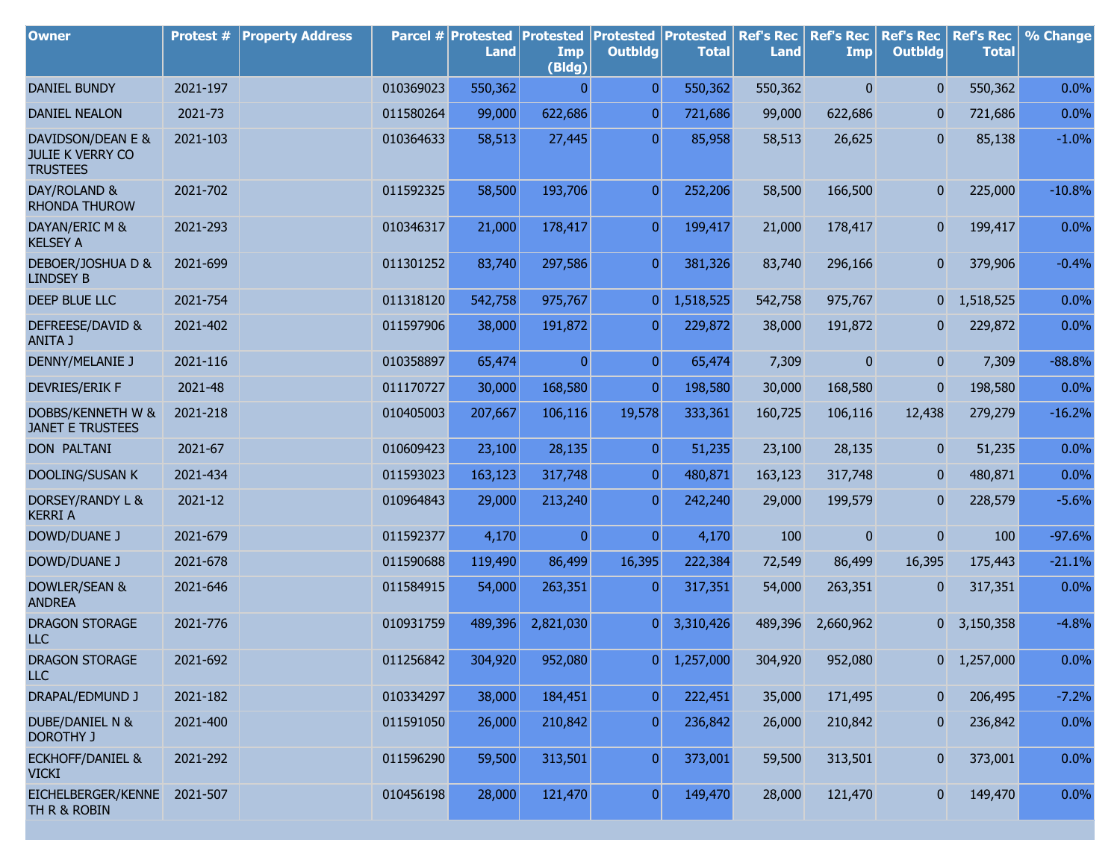| <b>Owner</b>                                                    | Protest # | <b>Property Address</b> |           | Parcel # Protested<br><b>Land</b> | <b>Protested</b><br>Imp<br>(Bldg) | <b>Protested</b><br><b>Outbldg</b> | Protested<br><b>Total</b> | <b>Ref's Rec</b><br><b>Land</b> | <b>Ref's Rec</b><br><b>Imp</b> | <b>Ref's Rec</b><br><b>Outbldg</b> | <b>Ref's Rec</b><br><b>Total</b> | % Change |
|-----------------------------------------------------------------|-----------|-------------------------|-----------|-----------------------------------|-----------------------------------|------------------------------------|---------------------------|---------------------------------|--------------------------------|------------------------------------|----------------------------------|----------|
| <b>DANIEL BUNDY</b>                                             | 2021-197  |                         | 010369023 | 550,362                           | $\mathbf{0}$                      | $\overline{0}$                     | 550,362                   | 550,362                         | $\mathbf{0}$                   | $\overline{0}$                     | 550,362                          | 0.0%     |
| <b>DANIEL NEALON</b>                                            | 2021-73   |                         | 011580264 | 99,000                            | 622,686                           | $\overline{0}$                     | 721,686                   | 99,000                          | 622,686                        | 0                                  | 721,686                          | 0.0%     |
| DAVIDSON/DEAN E &<br><b>JULIE K VERRY CO</b><br><b>TRUSTEES</b> | 2021-103  |                         | 010364633 | 58,513                            | 27,445                            | $\overline{0}$                     | 85,958                    | 58,513                          | 26,625                         | 0                                  | 85,138                           | $-1.0%$  |
| DAY/ROLAND &<br><b>RHONDA THUROW</b>                            | 2021-702  |                         | 011592325 | 58,500                            | 193,706                           | $\overline{0}$                     | 252,206                   | 58,500                          | 166,500                        | $\mathbf{0}$                       | 225,000                          | $-10.8%$ |
| DAYAN/ERIC M &<br><b>KELSEY A</b>                               | 2021-293  |                         | 010346317 | 21,000                            | 178,417                           | $\overline{0}$                     | 199,417                   | 21,000                          | 178,417                        | 0                                  | 199,417                          | 0.0%     |
| DEBOER/JOSHUA D &<br><b>LINDSEY B</b>                           | 2021-699  |                         | 011301252 | 83,740                            | 297,586                           | $\overline{0}$                     | 381,326                   | 83,740                          | 296,166                        | 0                                  | 379,906                          | $-0.4%$  |
| DEEP BLUE LLC                                                   | 2021-754  |                         | 011318120 | 542,758                           | 975,767                           | $\overline{0}$                     | 1,518,525                 | 542,758                         | 975,767                        | $\overline{0}$                     | 1,518,525                        | 0.0%     |
| DEFREESE/DAVID &<br><b>ANITA J</b>                              | 2021-402  |                         | 011597906 | 38,000                            | 191,872                           | $\overline{0}$                     | 229,872                   | 38,000                          | 191,872                        | $\mathbf{0}$                       | 229,872                          | 0.0%     |
| DENNY/MELANIE J                                                 | 2021-116  |                         | 010358897 | 65,474                            | $\overline{0}$                    | $\overline{0}$                     | 65,474                    | 7,309                           | $\overline{0}$                 | $\overline{0}$                     | 7,309                            | $-88.8%$ |
| <b>DEVRIES/ERIK F</b>                                           | 2021-48   |                         | 011170727 | 30,000                            | 168,580                           | $\overline{0}$                     | 198,580                   | 30,000                          | 168,580                        | 0                                  | 198,580                          | 0.0%     |
| DOBBS/KENNETH W &<br><b>JANET E TRUSTEES</b>                    | 2021-218  |                         | 010405003 | 207,667                           | 106,116                           | 19,578                             | 333,361                   | 160,725                         | 106,116                        | 12,438                             | 279,279                          | $-16.2%$ |
| <b>DON PALTANI</b>                                              | 2021-67   |                         | 010609423 | 23,100                            | 28,135                            | $\overline{0}$                     | 51,235                    | 23,100                          | 28,135                         | $\mathbf{0}$                       | 51,235                           | 0.0%     |
| <b>DOOLING/SUSAN K</b>                                          | 2021-434  |                         | 011593023 | 163,123                           | 317,748                           | $\overline{0}$                     | 480,871                   | 163,123                         | 317,748                        | $\mathbf{0}$                       | 480,871                          | 0.0%     |
| DORSEY/RANDY L &<br><b>KERRI A</b>                              | 2021-12   |                         | 010964843 | 29,000                            | 213,240                           | $\overline{0}$                     | 242,240                   | 29,000                          | 199,579                        | $\overline{0}$                     | 228,579                          | $-5.6%$  |
| <b>DOWD/DUANE J</b>                                             | 2021-679  |                         | 011592377 | 4,170                             | $\overline{0}$                    | $\overline{0}$                     | 4,170                     | 100                             | $\mathbf{0}$                   | $\boldsymbol{0}$                   | 100                              | $-97.6%$ |
| <b>DOWD/DUANE J</b>                                             | 2021-678  |                         | 011590688 | 119,490                           | 86,499                            | 16,395                             | 222,384                   | 72,549                          | 86,499                         | 16,395                             | 175,443                          | $-21.1%$ |
| DOWLER/SEAN &<br><b>ANDREA</b>                                  | 2021-646  |                         | 011584915 | 54,000                            | 263,351                           | $\overline{0}$                     | 317,351                   | 54,000                          | 263,351                        | 0                                  | 317,351                          | 0.0%     |
| DRAGON STORAGE<br><b>LLC</b>                                    | 2021-776  |                         | 010931759 | 489,396                           | 2,821,030                         | $\overline{0}$                     | 3,310,426                 | 489,396                         | 2,660,962                      |                                    | $0\quad 3,150,358$               | $-4.8%$  |
| DRAGON STORAGE<br><b>LLC</b>                                    | 2021-692  |                         | 011256842 | 304,920                           | 952,080                           | 0                                  | 1,257,000                 | 304,920                         | 952,080                        |                                    | $0\quad 1,257,000$               | 0.0%     |
| DRAPAL/EDMUND J                                                 | 2021-182  |                         | 010334297 | 38,000                            | 184,451                           | $\overline{0}$                     | 222,451                   | 35,000                          | 171,495                        | 0                                  | 206,495                          | $-7.2%$  |
| <b>DUBE/DANIEL N &amp;</b><br><b>DOROTHY J</b>                  | 2021-400  |                         | 011591050 | 26,000                            | 210,842                           | $\overline{0}$                     | 236,842                   | 26,000                          | 210,842                        | 0                                  | 236,842                          | 0.0%     |
| <b>ECKHOFF/DANIEL &amp;</b><br><b>VICKI</b>                     | 2021-292  |                         | 011596290 | 59,500                            | 313,501                           | $\overline{0}$                     | 373,001                   | 59,500                          | 313,501                        | 0                                  | 373,001                          | 0.0%     |
| EICHELBERGER/KENNE<br>TH R & ROBIN                              | 2021-507  |                         | 010456198 | 28,000                            | 121,470                           | $\overline{0}$                     | 149,470                   | 28,000                          | 121,470                        | $\mathbf{0}$                       | 149,470                          | 0.0%     |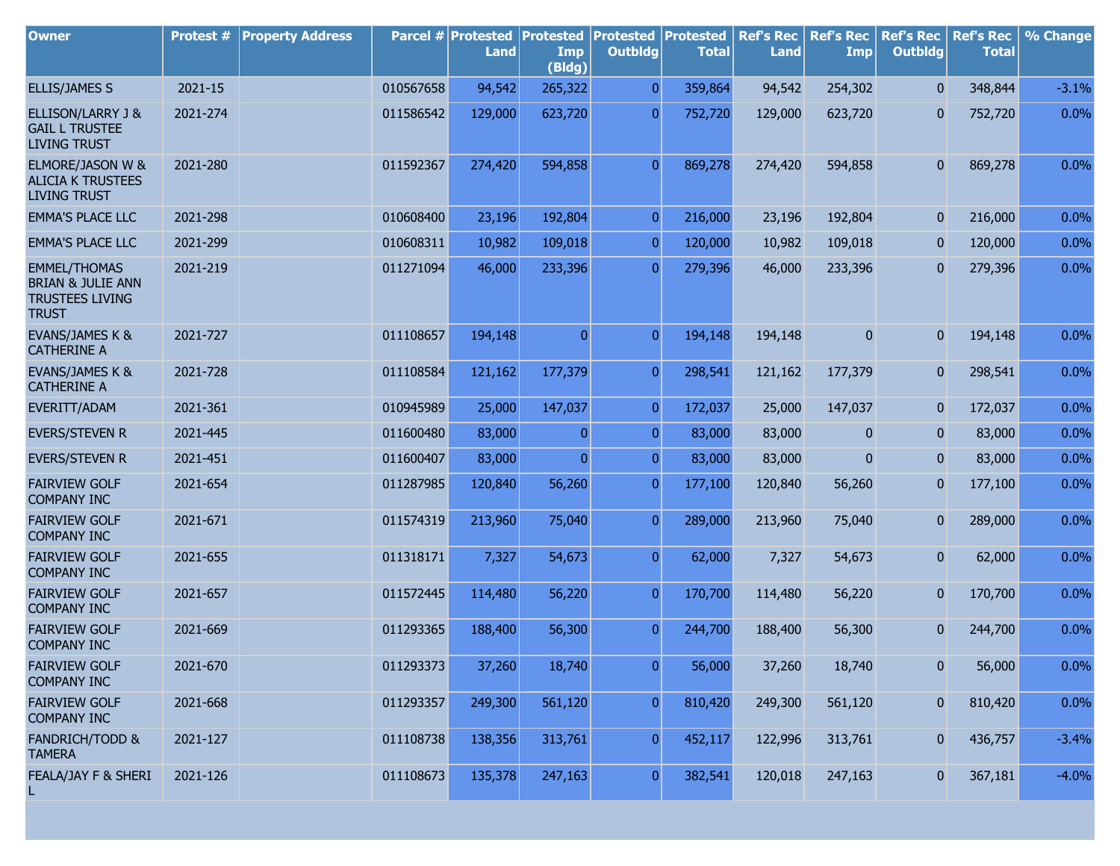| <b>Owner</b>                                                                                  | Protest # | <b>Property Address</b> |           | Parcel # Protested<br>Land | <b>Protested</b><br>Imp | <b>Protested</b><br><b>Outbldg</b> | <b>Protested</b><br><b>Total</b> | <b>Ref's Rec</b><br><b>Land</b> | <b>Ref's Rec</b><br><b>Imp</b> | <b>Ref's Rec</b><br><b>Outbldg</b> | <b>Ref's Rec</b><br><b>Total</b> | % Change |
|-----------------------------------------------------------------------------------------------|-----------|-------------------------|-----------|----------------------------|-------------------------|------------------------------------|----------------------------------|---------------------------------|--------------------------------|------------------------------------|----------------------------------|----------|
|                                                                                               |           |                         |           |                            | (Bldg)                  |                                    |                                  |                                 |                                |                                    |                                  |          |
| <b>ELLIS/JAMES S</b>                                                                          | 2021-15   |                         | 010567658 | 94,542                     | 265,322                 | $\overline{0}$                     | 359,864                          | 94,542                          | 254,302                        | $\overline{0}$                     | 348,844                          | $-3.1%$  |
| ELLISON/LARRY J &<br><b>GAIL L TRUSTEE</b><br><b>LIVING TRUST</b>                             | 2021-274  |                         | 011586542 | 129,000                    | 623,720                 | $\overline{0}$                     | 752,720                          | 129,000                         | 623,720                        | 0                                  | 752,720                          | 0.0%     |
| ELMORE/JASON W &<br><b>ALICIA K TRUSTEES</b><br><b>LIVING TRUST</b>                           | 2021-280  |                         | 011592367 | 274,420                    | 594,858                 | $\overline{0}$                     | 869,278                          | 274,420                         | 594,858                        | $\mathbf{0}$                       | 869,278                          | 0.0%     |
| <b>EMMA'S PLACE LLC</b>                                                                       | 2021-298  |                         | 010608400 | 23,196                     | 192,804                 | $\mathbf 0$                        | 216,000                          | 23,196                          | 192,804                        | $\mathbf{0}$                       | 216,000                          | 0.0%     |
| <b>EMMA'S PLACE LLC</b>                                                                       | 2021-299  |                         | 010608311 | 10,982                     | 109,018                 | $\overline{0}$                     | 120,000                          | 10,982                          | 109,018                        | 0                                  | 120,000                          | 0.0%     |
| <b>EMMEL/THOMAS</b><br><b>BRIAN &amp; JULIE ANN</b><br><b>TRUSTEES LIVING</b><br><b>TRUST</b> | 2021-219  |                         | 011271094 | 46,000                     | 233,396                 | $\overline{0}$                     | 279,396                          | 46,000                          | 233,396                        | 0                                  | 279,396                          | 0.0%     |
| EVANS/JAMES K &<br><b>CATHERINE A</b>                                                         | 2021-727  |                         | 011108657 | 194,148                    | $\overline{0}$          | $\overline{0}$                     | 194,148                          | 194,148                         | $\overline{0}$                 | $\mathbf{0}$                       | 194,148                          | 0.0%     |
| EVANS/JAMES K &<br><b>CATHERINE A</b>                                                         | 2021-728  |                         | 011108584 | 121,162                    | 177,379                 | $\overline{0}$                     | 298,541                          | 121,162                         | 177,379                        | $\mathbf{0}$                       | 298,541                          | 0.0%     |
| EVERITT/ADAM                                                                                  | 2021-361  |                         | 010945989 | 25,000                     | 147,037                 | $\overline{0}$                     | 172,037                          | 25,000                          | 147,037                        | 0                                  | 172,037                          | 0.0%     |
| <b>EVERS/STEVEN R</b>                                                                         | 2021-445  |                         | 011600480 | 83,000                     | $\overline{0}$          | $\overline{0}$                     | 83,000                           | 83,000                          | 0                              | 0                                  | 83,000                           | 0.0%     |
| <b>EVERS/STEVEN R</b>                                                                         | 2021-451  |                         | 011600407 | 83,000                     | $\overline{0}$          | $\overline{0}$                     | 83,000                           | 83,000                          | $\overline{0}$                 | $\mathbf{0}$                       | 83,000                           | 0.0%     |
| <b>FAIRVIEW GOLF</b><br><b>COMPANY INC</b>                                                    | 2021-654  |                         | 011287985 | 120,840                    | 56,260                  | $\overline{0}$                     | 177,100                          | 120,840                         | 56,260                         | 0                                  | 177,100                          | $0.0\%$  |
| <b>FAIRVIEW GOLF</b><br><b>COMPANY INC</b>                                                    | 2021-671  |                         | 011574319 | 213,960                    | 75,040                  | $\overline{0}$                     | 289,000                          | 213,960                         | 75,040                         | 0                                  | 289,000                          | 0.0%     |
| <b>FAIRVIEW GOLF</b><br><b>COMPANY INC</b>                                                    | 2021-655  |                         | 011318171 | 7,327                      | 54,673                  | $\overline{0}$                     | 62,000                           | 7,327                           | 54,673                         | 0                                  | 62,000                           | 0.0%     |
| <b>FAIRVIEW GOLF</b><br><b>COMPANY INC</b>                                                    | 2021-657  |                         | 011572445 | 114,480                    | 56,220                  | $\overline{0}$                     | 170,700                          | 114,480                         | 56,220                         | $\mathbf{0}$                       | 170,700                          | 0.0%     |
| <b>FAIRVIEW GOLF</b><br><b>COMPANY INC</b>                                                    | 2021-669  |                         | 011293365 | 188,400                    | 56,300                  | $\overline{0}$                     | 244,700                          | 188,400                         | 56,300                         | $\mathbf{0}$                       | 244,700                          | 0.0%     |
| <b>FAIRVIEW GOLF</b><br><b>COMPANY INC</b>                                                    | 2021-670  |                         | 011293373 | 37,260                     | 18,740                  | 0                                  | 56,000                           | 37,260                          | 18,740                         | 0                                  | 56,000                           | 0.0%     |
| <b>FAIRVIEW GOLF</b><br><b>COMPANY INC</b>                                                    | 2021-668  |                         | 011293357 | 249,300                    | 561,120                 | $\overline{0}$                     | 810,420                          | 249,300                         | 561,120                        | 0                                  | 810,420                          | 0.0%     |
| <b>FANDRICH/TODD &amp;</b><br><b>TAMERA</b>                                                   | 2021-127  |                         | 011108738 | 138,356                    | 313,761                 | $\overline{0}$                     | 452,117                          | 122,996                         | 313,761                        | 0                                  | 436,757                          | $-3.4%$  |
| FEALA/JAY F & SHERI                                                                           | 2021-126  |                         | 011108673 | 135,378                    | 247,163                 | $\boldsymbol{0}$                   | 382,541                          | 120,018                         | 247,163                        | 0                                  | 367,181                          | $-4.0%$  |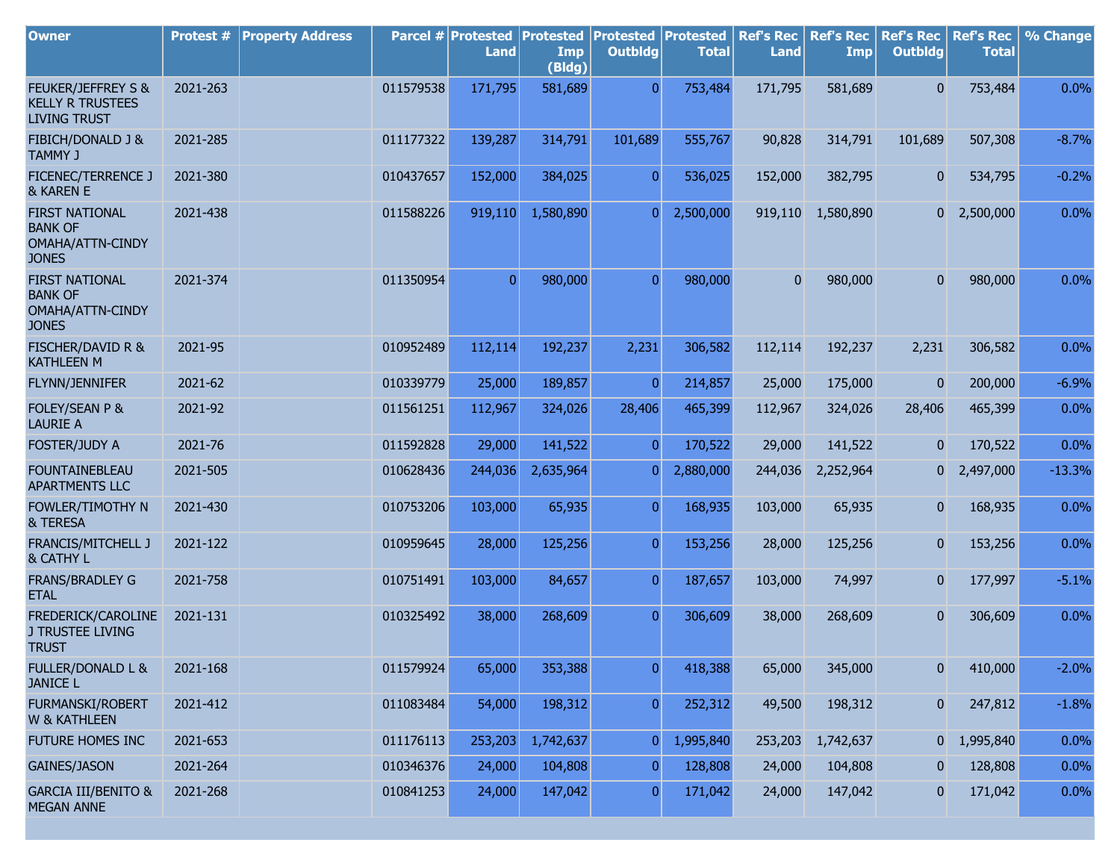| <b>Owner</b>                                                                | Protest # | <b>Property Address</b> |           | Parcel # Protested<br><b>Land</b> | <b>Protested</b><br>Imp<br>(Bldg) | <b>Protested Protested</b><br><b>Outbldg</b> | <b>Total</b> | <b>Ref's Rec</b><br><b>Land</b> | <b>Ref's Rec</b><br><b>Imp</b> | <b>Ref's Rec</b><br><b>Outbldg</b> | <b>Ref's Rec</b><br><b>Total</b> | % Change |
|-----------------------------------------------------------------------------|-----------|-------------------------|-----------|-----------------------------------|-----------------------------------|----------------------------------------------|--------------|---------------------------------|--------------------------------|------------------------------------|----------------------------------|----------|
| FEUKER/JEFFREY S &<br><b>KELLY R TRUSTEES</b><br><b>LIVING TRUST</b>        | 2021-263  |                         | 011579538 | 171,795                           | 581,689                           | $\Omega$                                     | 753,484      | 171,795                         | 581,689                        | $\overline{0}$                     | 753,484                          | 0.0%     |
| <b>FIBICH/DONALD J &amp;</b><br><b>TAMMY J</b>                              | 2021-285  |                         | 011177322 | 139,287                           | 314,791                           | 101,689                                      | 555,767      | 90,828                          | 314,791                        | 101,689                            | 507,308                          | $-8.7%$  |
| <b>FICENEC/TERRENCE J</b><br>& KAREN E                                      | 2021-380  |                         | 010437657 | 152,000                           | 384,025                           | $\overline{0}$                               | 536,025      | 152,000                         | 382,795                        | $\overline{0}$                     | 534,795                          | $-0.2%$  |
| <b>FIRST NATIONAL</b><br><b>BANK OF</b><br>OMAHA/ATTN-CINDY<br><b>JONES</b> | 2021-438  |                         | 011588226 | 919,110                           | 1,580,890                         | 0                                            | 2,500,000    | 919,110                         | 1,580,890                      |                                    | $0\quad 2,500,000$               | 0.0%     |
| <b>FIRST NATIONAL</b><br><b>BANK OF</b><br>OMAHA/ATTN-CINDY<br><b>JONES</b> | 2021-374  |                         | 011350954 | $\overline{0}$                    | 980,000                           | $\overline{0}$                               | 980,000      | $\overline{0}$                  | 980,000                        | $\overline{0}$                     | 980,000                          | 0.0%     |
| <b>FISCHER/DAVID R &amp;</b><br><b>KATHLEEN M</b>                           | 2021-95   |                         | 010952489 | 112,114                           | 192,237                           | 2,231                                        | 306,582      | 112,114                         | 192,237                        | 2,231                              | 306,582                          | 0.0%     |
| FLYNN/JENNIFER                                                              | 2021-62   |                         | 010339779 | 25,000                            | 189,857                           | $\overline{0}$                               | 214,857      | 25,000                          | 175,000                        | $\overline{0}$                     | 200,000                          | $-6.9%$  |
| FOLEY/SEAN P &<br><b>LAURIE A</b>                                           | 2021-92   |                         | 011561251 | 112,967                           | 324,026                           | 28,406                                       | 465,399      | 112,967                         | 324,026                        | 28,406                             | 465,399                          | 0.0%     |
| FOSTER/JUDY A                                                               | 2021-76   |                         | 011592828 | 29,000                            | 141,522                           | $\overline{0}$                               | 170,522      | 29,000                          | 141,522                        | $\overline{0}$                     | 170,522                          | 0.0%     |
| <b>FOUNTAINEBLEAU</b><br><b>APARTMENTS LLC</b>                              | 2021-505  |                         | 010628436 | 244,036                           | 2,635,964                         | 0                                            | 2,880,000    | 244,036                         | 2,252,964                      | 0                                  | 2,497,000                        | $-13.3%$ |
| FOWLER/TIMOTHY N<br>& TERESA                                                | 2021-430  |                         | 010753206 | 103,000                           | 65,935                            | $\overline{0}$                               | 168,935      | 103,000                         | 65,935                         | $\overline{0}$                     | 168,935                          | 0.0%     |
| FRANCIS/MITCHELL J<br>& CATHY L                                             | 2021-122  |                         | 010959645 | 28,000                            | 125,256                           | $\overline{0}$                               | 153,256      | 28,000                          | 125,256                        | $\overline{0}$                     | 153,256                          | 0.0%     |
| <b>FRANS/BRADLEY G</b><br><b>ETAL</b>                                       | 2021-758  |                         | 010751491 | 103,000                           | 84,657                            | $\overline{0}$                               | 187,657      | 103,000                         | 74,997                         | $\overline{0}$                     | 177,997                          | $-5.1%$  |
| FREDERICK/CAROLINE<br>J TRUSTEE LIVING<br><b>TRUST</b>                      | 2021-131  |                         | 010325492 | 38,000                            | 268,609                           | $\overline{0}$                               | 306,609      | 38,000                          | 268,609                        | $\mathbf{0}$                       | 306,609                          | 0.0%     |
| <b>FULLER/DONALD L &amp;</b><br><b>JANICE L</b>                             | 2021-168  |                         | 011579924 | 65,000                            | 353,388                           | $\overline{0}$                               | 418,388      | 65,000                          | 345,000                        | $\overline{0}$                     | 410,000                          | $-2.0%$  |
| <b>FURMANSKI/ROBERT</b><br><b>W &amp; KATHLEEN</b>                          | 2021-412  |                         | 011083484 | 54,000                            | 198,312                           | $\overline{0}$                               | 252,312      | 49,500                          | 198,312                        | $\mathbf{0}$                       | 247,812                          | $-1.8%$  |
| FUTURE HOMES INC                                                            | 2021-653  |                         | 011176113 | 253,203                           | 1,742,637                         | $\mathbf{0}$                                 | 1,995,840    | 253,203                         | 1,742,637                      |                                    | 0 1,995,840                      | 0.0%     |
| <b>GAINES/JASON</b>                                                         | 2021-264  |                         | 010346376 | 24,000                            | 104,808                           | $\mathbf{0}$                                 | 128,808      | 24,000                          | 104,808                        | $\bf{0}$                           | 128,808                          | 0.0%     |
| <b>GARCIA III/BENITO &amp;</b><br><b>MEGAN ANNE</b>                         | 2021-268  |                         | 010841253 | 24,000                            | 147,042                           | $\overline{0}$                               | 171,042      | 24,000                          | 147,042                        | $\overline{0}$                     | 171,042                          | 0.0%     |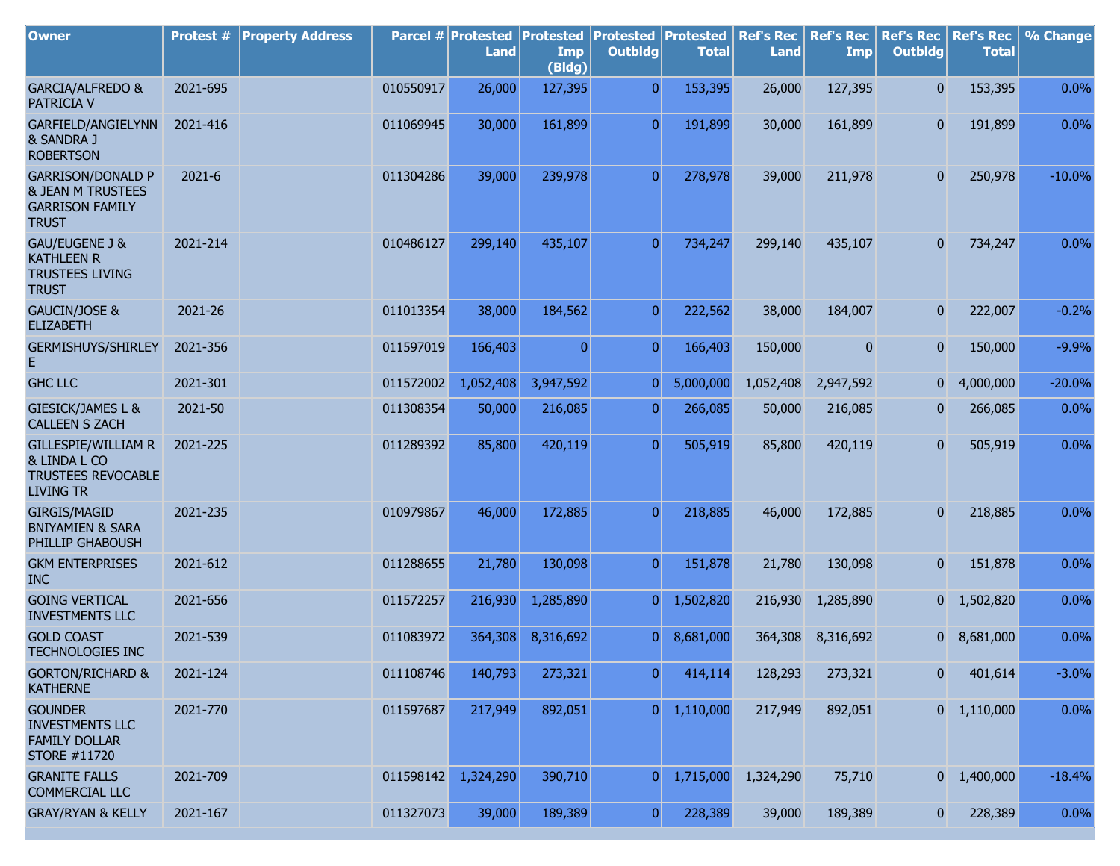| <b>Owner</b>                                                                                       | Protest #  | <b>Property Address</b> |           | Parcel # Protested<br><b>Land</b> | <b>Protested</b><br>Imp<br>(Bldg) | <b>Protested</b><br><b>Outbldg</b> | Protested<br><b>Total</b> | <b>Ref's Rec</b><br><b>Land</b> | <b>Ref's Rec</b><br>Imp | <b>Ref's Rec</b><br><b>Outbldg</b> | <b>Ref's Rec</b><br><b>Total</b> | % Change |
|----------------------------------------------------------------------------------------------------|------------|-------------------------|-----------|-----------------------------------|-----------------------------------|------------------------------------|---------------------------|---------------------------------|-------------------------|------------------------------------|----------------------------------|----------|
| GARCIA/ALFREDO &<br>PATRICIA V                                                                     | 2021-695   |                         | 010550917 | 26,000                            | 127,395                           | $\overline{0}$                     | 153,395                   | 26,000                          | 127,395                 | 0                                  | 153,395                          | 0.0%     |
| GARFIELD/ANGIELYNN<br>& SANDRA J<br><b>ROBERTSON</b>                                               | 2021-416   |                         | 011069945 | 30,000                            | 161,899                           | $\overline{0}$                     | 191,899                   | 30,000                          | 161,899                 | 0                                  | 191,899                          | 0.0%     |
| <b>GARRISON/DONALD P</b><br><b>&amp; JEAN M TRUSTEES</b><br><b>GARRISON FAMILY</b><br><b>TRUST</b> | $2021 - 6$ |                         | 011304286 | 39,000                            | 239,978                           | $\overline{0}$                     | 278,978                   | 39,000                          | 211,978                 | 0                                  | 250,978                          | $-10.0%$ |
| GAU/EUGENE J &<br><b>KATHLEEN R</b><br><b>TRUSTEES LIVING</b><br><b>TRUST</b>                      | 2021-214   |                         | 010486127 | 299,140                           | 435,107                           | $\overline{0}$                     | 734,247                   | 299,140                         | 435,107                 | 0                                  | 734,247                          | 0.0%     |
| GAUCIN/JOSE &<br><b>ELIZABETH</b>                                                                  | 2021-26    |                         | 011013354 | 38,000                            | 184,562                           | $\overline{0}$                     | 222,562                   | 38,000                          | 184,007                 | 0                                  | 222,007                          | $-0.2%$  |
| <b>GERMISHUYS/SHIRLEY</b><br>E                                                                     | 2021-356   |                         | 011597019 | 166,403                           | $\mathbf{0}$                      | $\overline{0}$                     | 166,403                   | 150,000                         | $\mathbf{0}$            | 0                                  | 150,000                          | $-9.9%$  |
| <b>GHC LLC</b>                                                                                     | 2021-301   |                         | 011572002 | 1,052,408                         | 3,947,592                         | $\overline{0}$                     | 5,000,000                 | 1,052,408                       | 2,947,592               | 0                                  | 4,000,000                        | $-20.0%$ |
| <b>GIESICK/JAMES L &amp;</b><br><b>CALLEEN S ZACH</b>                                              | 2021-50    |                         | 011308354 | 50,000                            | 216,085                           | $\overline{0}$                     | 266,085                   | 50,000                          | 216,085                 | 0                                  | 266,085                          | 0.0%     |
| <b>GILLESPIE/WILLIAM R</b><br>& LINDA L CO<br><b>TRUSTEES REVOCABLE</b><br><b>LIVING TR</b>        | 2021-225   |                         | 011289392 | 85,800                            | 420,119                           | $\overline{0}$                     | 505,919                   | 85,800                          | 420,119                 | $\overline{0}$                     | 505,919                          | 0.0%     |
| <b>GIRGIS/MAGID</b><br><b>BNIYAMIEN &amp; SARA</b><br>PHILLIP GHABOUSH                             | 2021-235   |                         | 010979867 | 46,000                            | 172,885                           | $\overline{0}$                     | 218,885                   | 46,000                          | 172,885                 | 0                                  | 218,885                          | 0.0%     |
| <b>GKM ENTERPRISES</b><br><b>INC</b>                                                               | 2021-612   |                         | 011288655 | 21,780                            | 130,098                           | $\overline{0}$                     | 151,878                   | 21,780                          | 130,098                 | 0                                  | 151,878                          | 0.0%     |
| <b>GOING VERTICAL</b><br><b>INVESTMENTS LLC</b>                                                    | 2021-656   |                         | 011572257 | 216,930                           | 1,285,890                         | $\overline{0}$                     | 1,502,820                 | 216,930                         | 1,285,890               | 0                                  | 1,502,820                        | 0.0%     |
| <b>GOLD COAST</b><br><b>TECHNOLOGIES INC</b>                                                       | 2021-539   |                         | 011083972 | 364,308                           | 8,316,692                         | $\overline{0}$                     | 8,681,000                 | 364,308                         | 8,316,692               |                                    | 0 8,681,000                      | 0.0%     |
| <b>GORTON/RICHARD &amp;</b><br><b>KATHERNE</b>                                                     | 2021-124   |                         | 011108746 | 140,793                           | 273,321                           | $\overline{0}$                     | 414,114                   | 128,293                         | 273,321                 | 0                                  | 401,614                          | $-3.0%$  |
| <b>GOUNDER</b><br><b>INVESTMENTS LLC</b><br><b>FAMILY DOLLAR</b><br>STORE #11720                   | 2021-770   |                         | 011597687 | 217,949                           | 892,051                           | $\overline{0}$                     | 1,110,000                 | 217,949                         | 892,051                 |                                    | $0 \quad 1,110,000$              | 0.0%     |
| <b>GRANITE FALLS</b><br><b>COMMERCIAL LLC</b>                                                      | 2021-709   |                         | 011598142 | 1,324,290                         | 390,710                           | $\overline{0}$                     | 1,715,000                 | 1,324,290                       | 75,710                  |                                    | $0 \quad 1,400,000$              | $-18.4%$ |
| <b>GRAY/RYAN &amp; KELLY</b>                                                                       | 2021-167   |                         | 011327073 | 39,000                            | 189,389                           | $\boldsymbol{0}$                   | 228,389                   | 39,000                          | 189,389                 | $\mathbf{0}$                       | 228,389                          | 0.0%     |

r.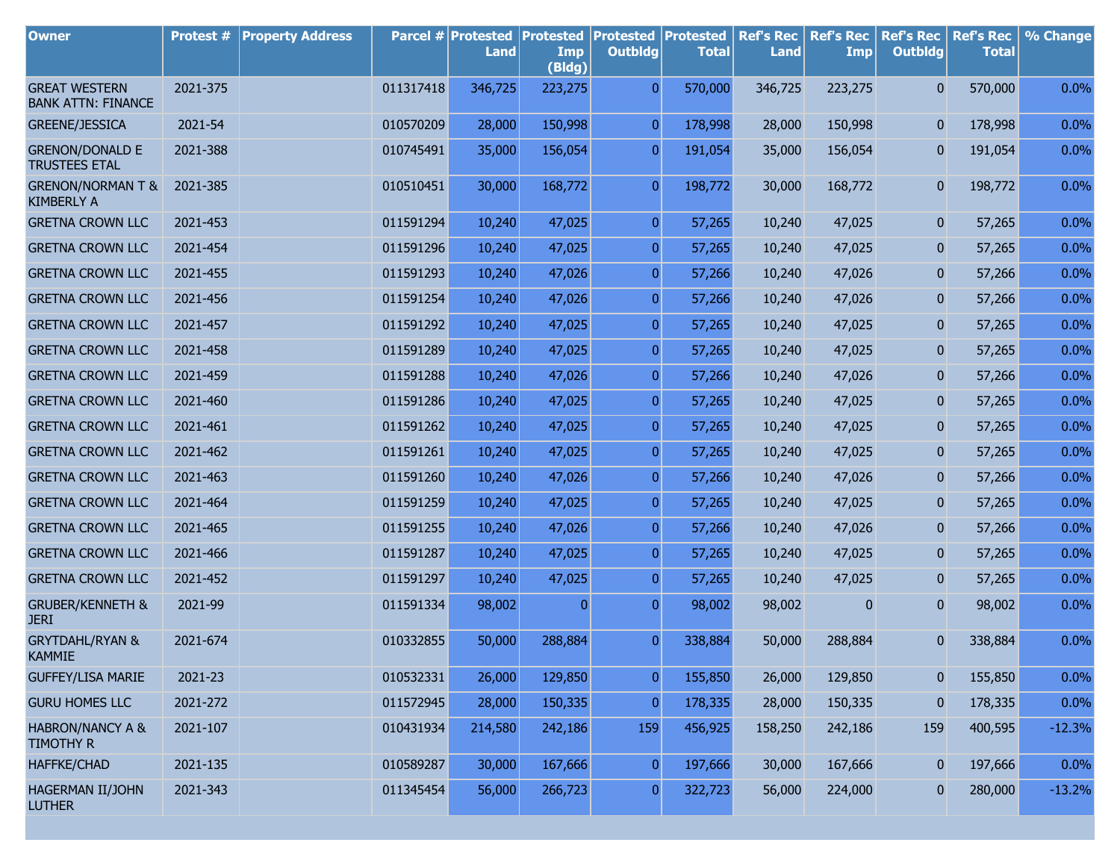| <b>Owner</b>                                      | <b>Protest #</b> | <b>Property Address</b> |           | Parcel # Protested<br><b>Land</b> | <b>Protested</b><br>Imp<br>(Bldg) | <b>Protested</b><br><b>Outbldg</b> | <b>Protested</b><br><b>Total</b> | <b>Ref's Rec</b><br><b>Land</b> | <b>Ref's Rec</b><br>Imp | <b>Ref's Rec</b><br><b>Outbldg</b> | <b>Ref's Rec</b><br><b>Total</b> | % Change |
|---------------------------------------------------|------------------|-------------------------|-----------|-----------------------------------|-----------------------------------|------------------------------------|----------------------------------|---------------------------------|-------------------------|------------------------------------|----------------------------------|----------|
| <b>GREAT WESTERN</b><br><b>BANK ATTN: FINANCE</b> | 2021-375         |                         | 011317418 | 346,725                           | 223,275                           | $\overline{0}$                     | 570,000                          | 346,725                         | 223,275                 | $\mathbf{0}$                       | 570,000                          | 0.0%     |
| <b>GREENE/JESSICA</b>                             | 2021-54          |                         | 010570209 | 28,000                            | 150,998                           | $\overline{0}$                     | 178,998                          | 28,000                          | 150,998                 | $\overline{0}$                     | 178,998                          | 0.0%     |
| <b>GRENON/DONALD E</b><br><b>TRUSTEES ETAL</b>    | 2021-388         |                         | 010745491 | 35,000                            | 156,054                           | $\overline{0}$                     | 191,054                          | 35,000                          | 156,054                 | 0                                  | 191,054                          | 0.0%     |
| <b>GRENON/NORMAN T &amp;</b><br><b>KIMBERLY A</b> | 2021-385         |                         | 010510451 | 30,000                            | 168,772                           | $\overline{0}$                     | 198,772                          | 30,000                          | 168,772                 | $\overline{0}$                     | 198,772                          | 0.0%     |
| <b>GRETNA CROWN LLC</b>                           | 2021-453         |                         | 011591294 | 10,240                            | 47,025                            | $\overline{0}$                     | 57,265                           | 10,240                          | 47,025                  | $\mathbf{0}$                       | 57,265                           | 0.0%     |
| <b>GRETNA CROWN LLC</b>                           | 2021-454         |                         | 011591296 | 10,240                            | 47,025                            | $\overline{0}$                     | 57,265                           | 10,240                          | 47,025                  | 0                                  | 57,265                           | 0.0%     |
| <b>GRETNA CROWN LLC</b>                           | 2021-455         |                         | 011591293 | 10,240                            | 47,026                            | $\overline{0}$                     | 57,266                           | 10,240                          | 47,026                  | 0                                  | 57,266                           | 0.0%     |
| <b>GRETNA CROWN LLC</b>                           | 2021-456         |                         | 011591254 | 10,240                            | 47,026                            | $\overline{0}$                     | 57,266                           | 10,240                          | 47,026                  | 0                                  | 57,266                           | 0.0%     |
| <b>GRETNA CROWN LLC</b>                           | 2021-457         |                         | 011591292 | 10,240                            | 47,025                            | $\overline{0}$                     | 57,265                           | 10,240                          | 47,025                  | 0                                  | 57,265                           | 0.0%     |
| <b>GRETNA CROWN LLC</b>                           | 2021-458         |                         | 011591289 | 10,240                            | 47,025                            | $\overline{0}$                     | 57,265                           | 10,240                          | 47,025                  | 0                                  | 57,265                           | 0.0%     |
| <b>GRETNA CROWN LLC</b>                           | 2021-459         |                         | 011591288 | 10,240                            | 47,026                            | $\overline{0}$                     | 57,266                           | 10,240                          | 47,026                  | 0                                  | 57,266                           | 0.0%     |
| <b>GRETNA CROWN LLC</b>                           | 2021-460         |                         | 011591286 | 10,240                            | 47,025                            | $\overline{0}$                     | 57,265                           | 10,240                          | 47,025                  | 0                                  | 57,265                           | 0.0%     |
| <b>GRETNA CROWN LLC</b>                           | 2021-461         |                         | 011591262 | 10,240                            | 47,025                            | $\overline{0}$                     | 57,265                           | 10,240                          | 47,025                  | 0                                  | 57,265                           | 0.0%     |
| <b>GRETNA CROWN LLC</b>                           | 2021-462         |                         | 011591261 | 10,240                            | 47,025                            | $\overline{0}$                     | 57,265                           | 10,240                          | 47,025                  | 0                                  | 57,265                           | 0.0%     |
| <b>GRETNA CROWN LLC</b>                           | 2021-463         |                         | 011591260 | 10,240                            | 47,026                            | $\overline{0}$                     | 57,266                           | 10,240                          | 47,026                  | 0                                  | 57,266                           | 0.0%     |
| <b>GRETNA CROWN LLC</b>                           | 2021-464         |                         | 011591259 | 10,240                            | 47,025                            | $\overline{0}$                     | 57,265                           | 10,240                          | 47,025                  | 0                                  | 57,265                           | 0.0%     |
| <b>GRETNA CROWN LLC</b>                           | 2021-465         |                         | 011591255 | 10,240                            | 47,026                            | $\overline{0}$                     | 57,266                           | 10,240                          | 47,026                  | 0                                  | 57,266                           | 0.0%     |
| <b>GRETNA CROWN LLC</b>                           | 2021-466         |                         | 011591287 | 10,240                            | 47,025                            | $\overline{0}$                     | 57,265                           | 10,240                          | 47,025                  | 0                                  | 57,265                           | 0.0%     |
| <b>GRETNA CROWN LLC</b>                           | 2021-452         |                         | 011591297 | 10,240                            | 47,025                            | $\mathbf{0}$                       | 57,265                           | 10,240                          | 47,025                  | 0                                  | 57,265                           | 0.0%     |
| <b>GRUBER/KENNETH &amp;</b><br><b>JERI</b>        | 2021-99          |                         | 011591334 | 98,002                            | $\mathbf{0}$                      | 0                                  | 98,002                           | 98,002                          | 0                       | 0                                  | 98,002                           | 0.0%     |
| <b>GRYTDAHL/RYAN &amp;</b><br><b>KAMMIE</b>       | 2021-674         |                         | 010332855 | 50,000                            | 288,884                           | $\mathbf{0}$                       | 338,884                          | 50,000                          | 288,884                 | 0                                  | 338,884                          | 0.0%     |
| <b>GUFFEY/LISA MARIE</b>                          | 2021-23          |                         | 010532331 | 26,000                            | 129,850                           | 0                                  | 155,850                          | 26,000                          | 129,850                 | 0                                  | 155,850                          | 0.0%     |
| <b>GURU HOMES LLC</b>                             | 2021-272         |                         | 011572945 | 28,000                            | 150,335                           | $\pmb{0}$                          | 178,335                          | 28,000                          | 150,335                 | 0                                  | 178,335                          | 0.0%     |
| <b>HABRON/NANCY A &amp;</b><br><b>TIMOTHY R</b>   | 2021-107         |                         | 010431934 | 214,580                           | 242,186                           | 159                                | 456,925                          | 158,250                         | 242,186                 | 159                                | 400,595                          | $-12.3%$ |
| <b>HAFFKE/CHAD</b>                                | 2021-135         |                         | 010589287 | 30,000                            | 167,666                           | $\boldsymbol{0}$                   | 197,666                          | 30,000                          | 167,666                 | 0                                  | 197,666                          | 0.0%     |
| <b>HAGERMAN II/JOHN</b><br><b>LUTHER</b>          | 2021-343         |                         | 011345454 | 56,000                            | 266,723                           | $\boldsymbol{0}$                   | 322,723                          | 56,000                          | 224,000                 | $\bf{0}$                           | 280,000                          | $-13.2%$ |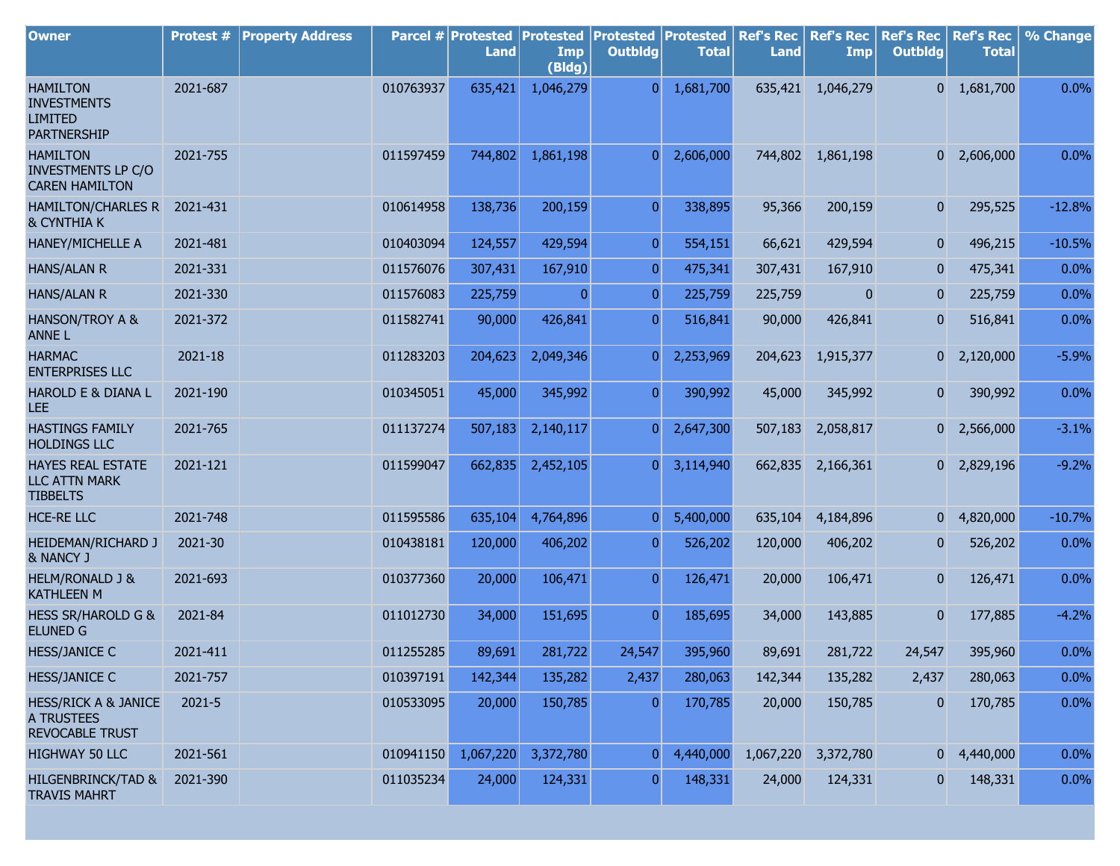| <b>Owner</b>                                                                   | <b>Protest #</b> | <b>Property Address</b> |           | Parcel # Protested<br><b>Land</b> | <b>Protested</b><br>Imp<br>(Bldg) | <b>Protested</b><br><b>Outbldg</b> | Protested<br><b>Total</b> | <b>Ref's Rec</b><br><b>Land</b> | <b>Ref's Rec</b><br>Imp | <b>Ref's Rec</b><br><b>Outbldg</b> | <b>Ref's Rec</b><br><b>Total</b> | % Change |
|--------------------------------------------------------------------------------|------------------|-------------------------|-----------|-----------------------------------|-----------------------------------|------------------------------------|---------------------------|---------------------------------|-------------------------|------------------------------------|----------------------------------|----------|
| <b>HAMILTON</b><br><b>INVESTMENTS</b><br><b>LIMITED</b><br><b>PARTNERSHIP</b>  | 2021-687         |                         | 010763937 | 635,421                           | 1,046,279                         | $\overline{0}$                     | 1,681,700                 | 635,421                         | 1,046,279               |                                    | $0 \quad 1,681,700$              | 0.0%     |
| <b>HAMILTON</b><br><b>INVESTMENTS LP C/O</b><br><b>CAREN HAMILTON</b>          | 2021-755         |                         | 011597459 | 744,802                           | 1,861,198                         | $\overline{0}$                     | 2,606,000                 | 744,802                         | 1,861,198               |                                    | $0\quad 2,606,000$               | 0.0%     |
| <b>HAMILTON/CHARLES R</b><br><b>&amp; CYNTHIA K</b>                            | 2021-431         |                         | 010614958 | 138,736                           | 200,159                           | $\overline{0}$                     | 338,895                   | 95,366                          | 200,159                 | $\overline{0}$                     | 295,525                          | $-12.8%$ |
| HANEY/MICHELLE A                                                               | 2021-481         |                         | 010403094 | 124,557                           | 429,594                           | $\overline{0}$                     | 554,151                   | 66,621                          | 429,594                 | $\mathbf{0}$                       | 496,215                          | $-10.5%$ |
| <b>HANS/ALAN R</b>                                                             | 2021-331         |                         | 011576076 | 307,431                           | 167,910                           | $\mathbf{0}$                       | 475,341                   | 307,431                         | 167,910                 | $\mathbf{0}$                       | 475,341                          | 0.0%     |
| <b>HANS/ALAN R</b>                                                             | 2021-330         |                         | 011576083 | 225,759                           | $\Omega$                          | $\Omega$                           | 225,759                   | 225,759                         | $\mathbf{0}$            | $\bf{0}$                           | 225,759                          | 0.0%     |
| HANSON/TROY A &<br><b>ANNEL</b>                                                | 2021-372         |                         | 011582741 | 90,000                            | 426,841                           | $\overline{0}$                     | 516,841                   | 90,000                          | 426,841                 | $\mathbf{0}$                       | 516,841                          | 0.0%     |
| <b>HARMAC</b><br><b>ENTERPRISES LLC</b>                                        | 2021-18          |                         | 011283203 | 204,623                           | 2,049,346                         | $\overline{0}$                     | 2,253,969                 | 204,623                         | 1,915,377               |                                    | $0\quad 2,120,000$               | $-5.9%$  |
| HAROLD E & DIANA L<br>LEE                                                      | 2021-190         |                         | 010345051 | 45,000                            | 345,992                           | $\overline{0}$                     | 390,992                   | 45,000                          | 345,992                 | $\mathbf{0}$                       | 390,992                          | 0.0%     |
| <b>HASTINGS FAMILY</b><br><b>HOLDINGS LLC</b>                                  | 2021-765         |                         | 011137274 | 507,183                           | 2,140,117                         | $\overline{0}$                     | 2,647,300                 | 507,183                         | 2,058,817               |                                    | $0\quad 2,566,000$               | $-3.1%$  |
| <b>HAYES REAL ESTATE</b><br><b>LLC ATTN MARK</b><br><b>TIBBELTS</b>            | 2021-121         |                         | 011599047 | 662,835                           | 2,452,105                         | $\overline{0}$                     | 3,114,940                 |                                 | 662,835 2,166,361       |                                    | $0$ 2,829,196                    | $-9.2%$  |
| <b>HCE-RE LLC</b>                                                              | 2021-748         |                         | 011595586 | 635,104                           | 4,764,896                         | $\overline{0}$                     | 5,400,000                 | 635,104                         | 4,184,896               |                                    | $0\quad 4,820,000$               | $-10.7%$ |
| HEIDEMAN/RICHARD J<br>& NANCY J                                                | 2021-30          |                         | 010438181 | 120,000                           | 406,202                           | $\overline{0}$                     | 526,202                   | 120,000                         | 406,202                 | $\mathbf{0}$                       | 526,202                          | 0.0%     |
| <b>HELM/RONALD J &amp;</b><br><b>KATHLEEN M</b>                                | 2021-693         |                         | 010377360 | 20,000                            | 106,471                           | $\overline{0}$                     | 126,471                   | 20,000                          | 106,471                 | $\mathbf{0}$                       | 126,471                          | 0.0%     |
| <b>HESS SR/HAROLD G &amp;</b><br><b>ELUNED G</b>                               | 2021-84          |                         | 011012730 | 34,000                            | 151,695                           | $\overline{0}$                     | 185,695                   | 34,000                          | 143,885                 | $\mathbf{0}$                       | 177,885                          | $-4.2%$  |
| <b>HESS/JANICE C</b>                                                           | 2021-411         |                         | 011255285 | 89,691                            | 281,722                           | 24,547                             | 395,960                   | 89,691                          | 281,722                 | 24,547                             | 395,960                          | 0.0%     |
| <b>HESS/JANICE C</b>                                                           | 2021-757         |                         | 010397191 | 142,344                           | 135,282                           | 2,437                              | 280,063                   | 142,344                         | 135,282                 | 2,437                              | 280,063                          | 0.0%     |
| <b>HESS/RICK A &amp; JANICE</b><br><b>A TRUSTEES</b><br><b>REVOCABLE TRUST</b> | 2021-5           |                         | 010533095 | 20,000                            | 150,785                           | 0                                  | 170,785                   | 20,000                          | 150,785                 | $\bf{0}$                           | 170,785                          | 0.0%     |
| HIGHWAY 50 LLC                                                                 | 2021-561         |                         | 010941150 | 1,067,220                         | 3,372,780                         | $\overline{0}$                     | 4,440,000                 | 1,067,220                       | 3,372,780               |                                    | $0\quad 4,440,000$               | 0.0%     |
| <b>HILGENBRINCK/TAD &amp;</b><br><b>TRAVIS MAHRT</b>                           | 2021-390         |                         | 011035234 | 24,000                            | 124,331                           | $\overline{0}$                     | 148,331                   | 24,000                          | 124,331                 | 0                                  | 148,331                          | 0.0%     |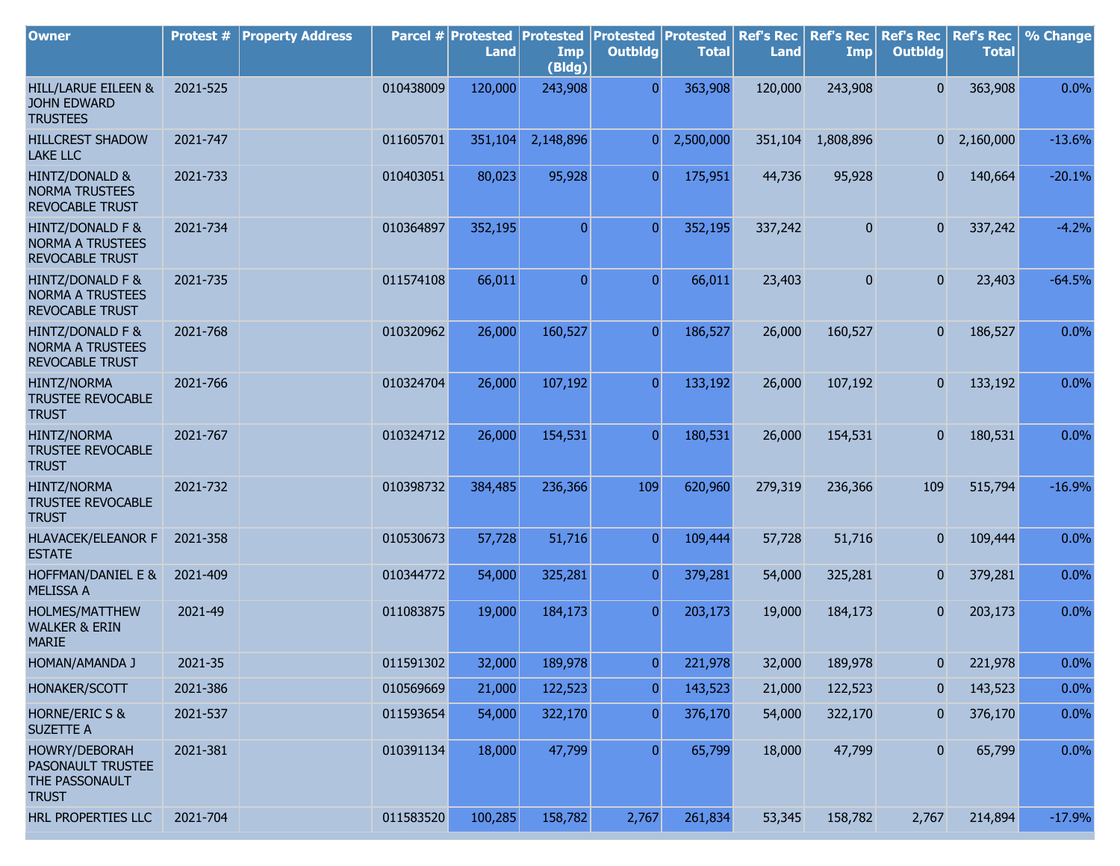| <b>Owner</b>                                                          | Protest # | <b>Property Address</b> |           | Parcel # Protested<br><b>Land</b> | <b>Protested</b><br>Imp<br>(Bldg) | <b>Protested Protested</b><br><b>Outbldg</b> | <b>Total</b> | <b>Ref's Rec</b><br><b>Land</b> | <b>Ref's Rec</b><br>Imp | <b>Ref's Rec</b><br><b>Outbldg</b> | <b>Ref's Rec</b><br><b>Total</b> | % Change |
|-----------------------------------------------------------------------|-----------|-------------------------|-----------|-----------------------------------|-----------------------------------|----------------------------------------------|--------------|---------------------------------|-------------------------|------------------------------------|----------------------------------|----------|
| HILL/LARUE EILEEN &<br><b>JOHN EDWARD</b><br><b>TRUSTEES</b>          | 2021-525  |                         | 010438009 | 120,000                           | 243,908                           | $\overline{0}$                               | 363,908      | 120,000                         | 243,908                 | $\overline{0}$                     | 363,908                          | 0.0%     |
| <b>HILLCREST SHADOW</b><br><b>LAKE LLC</b>                            | 2021-747  |                         | 011605701 | 351,104                           | 2,148,896                         | 0                                            | 2,500,000    | 351,104                         | 1,808,896               |                                    | $0\quad 2,160,000$               | $-13.6%$ |
| HINTZ/DONALD &<br><b>NORMA TRUSTEES</b><br><b>REVOCABLE TRUST</b>     | 2021-733  |                         | 010403051 | 80,023                            | 95,928                            | $\overline{0}$                               | 175,951      | 44,736                          | 95,928                  | $\mathbf{0}$                       | 140,664                          | $-20.1%$ |
| HINTZ/DONALD F &<br><b>NORMA A TRUSTEES</b><br><b>REVOCABLE TRUST</b> | 2021-734  |                         | 010364897 | 352,195                           | $\overline{0}$                    | $\overline{0}$                               | 352,195      | 337,242                         | $\bf{0}$                | $\mathbf{0}$                       | 337,242                          | $-4.2%$  |
| HINTZ/DONALD F &<br><b>NORMA A TRUSTEES</b><br><b>REVOCABLE TRUST</b> | 2021-735  |                         | 011574108 | 66,011                            | $\overline{0}$                    | $\overline{0}$                               | 66,011       | 23,403                          | $\overline{0}$          | 0                                  | 23,403                           | $-64.5%$ |
| HINTZ/DONALD F &<br><b>NORMA A TRUSTEES</b><br><b>REVOCABLE TRUST</b> | 2021-768  |                         | 010320962 | 26,000                            | 160,527                           | $\overline{0}$                               | 186,527      | 26,000                          | 160,527                 | 0                                  | 186,527                          | 0.0%     |
| <b>HINTZ/NORMA</b><br><b>TRUSTEE REVOCABLE</b><br><b>TRUST</b>        | 2021-766  |                         | 010324704 | 26,000                            | 107,192                           | $\overline{0}$                               | 133,192      | 26,000                          | 107,192                 | 0                                  | 133,192                          | 0.0%     |
| <b>HINTZ/NORMA</b><br><b>TRUSTEE REVOCABLE</b><br><b>TRUST</b>        | 2021-767  |                         | 010324712 | 26,000                            | 154,531                           | $\overline{0}$                               | 180,531      | 26,000                          | 154,531                 | 0                                  | 180,531                          | 0.0%     |
| <b>HINTZ/NORMA</b><br><b>TRUSTEE REVOCABLE</b><br><b>TRUST</b>        | 2021-732  |                         | 010398732 | 384,485                           | 236,366                           | 109                                          | 620,960      | 279,319                         | 236,366                 | 109                                | 515,794                          | $-16.9%$ |
| <b>HLAVACEK/ELEANOR F</b><br><b>ESTATE</b>                            | 2021-358  |                         | 010530673 | 57,728                            | 51,716                            | $\overline{0}$                               | 109,444      | 57,728                          | 51,716                  | 0                                  | 109,444                          | 0.0%     |
| HOFFMAN/DANIEL E &<br><b>MELISSA A</b>                                | 2021-409  |                         | 010344772 | 54,000                            | 325,281                           | $\overline{0}$                               | 379,281      | 54,000                          | 325,281                 | $\mathbf{0}$                       | 379,281                          | 0.0%     |
| HOLMES/MATTHEW<br><b>WALKER &amp; ERIN</b><br><b>MARIE</b>            | 2021-49   |                         | 011083875 | 19,000                            | 184,173                           | $\overline{0}$                               | 203,173      | 19,000                          | 184,173                 | $\mathbf{0}$                       | 203,173                          | 0.0%     |
| HOMAN/AMANDA J                                                        | 2021-35   |                         | 011591302 | 32,000                            | 189,978                           | $\overline{0}$                               | 221,978      | 32,000                          | 189,978                 | 0                                  | 221,978                          | 0.0%     |
| HONAKER/SCOTT                                                         | 2021-386  |                         | 010569669 | 21,000                            | 122,523                           | $\overline{0}$                               | 143,523      | 21,000                          | 122,523                 | 0                                  | 143,523                          | 0.0%     |
| <b>HORNE/ERIC S &amp;</b><br><b>SUZETTE A</b>                         | 2021-537  |                         | 011593654 | 54,000                            | 322,170                           | $\overline{0}$                               | 376,170      | 54,000                          | 322,170                 | $\bf{0}$                           | 376,170                          | 0.0%     |
| HOWRY/DEBORAH<br>PASONAULT TRUSTEE<br>THE PASSONAULT<br><b>TRUST</b>  | 2021-381  |                         | 010391134 | 18,000                            | 47,799                            | $\overline{0}$                               | 65,799       | 18,000                          | 47,799                  | $\pmb{0}$                          | 65,799                           | 0.0%     |
| HRL PROPERTIES LLC                                                    | 2021-704  |                         | 011583520 | 100,285                           | 158,782                           | 2,767                                        | 261,834      | 53,345                          | 158,782                 | 2,767                              | 214,894                          | $-17.9%$ |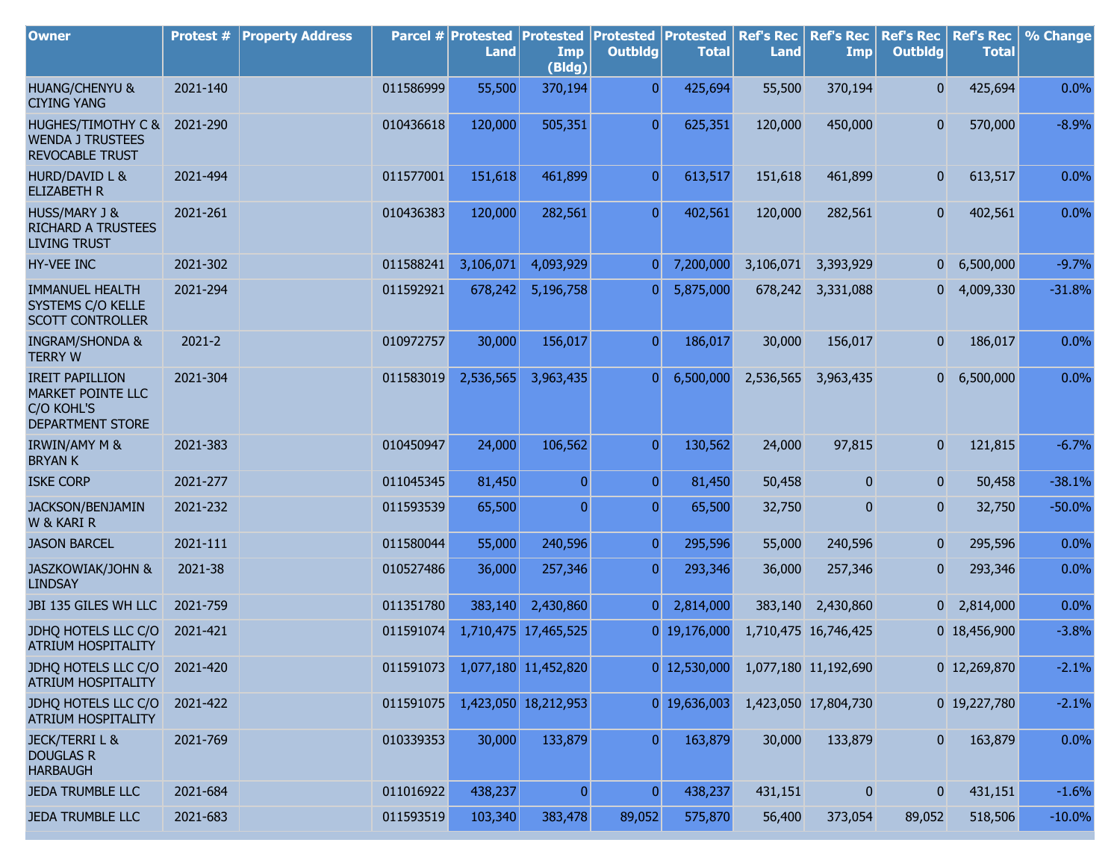| <b>Owner</b>                                                                  | Protest #  | <b>Property Address</b> |           | Parcel # Protested Protested<br><b>Land</b> | Imp<br>(Bldg)        | <b>Protested Protested</b><br><b>Outbldg</b> | <b>Total</b>   | <b>Ref's Rec</b><br><b>Land</b> | <b>Ref's Rec</b><br>Imp | <b>Ref's Rec</b><br><b>Outbldg</b> | <b>Ref's Rec</b><br><b>Total</b> | % Change  |
|-------------------------------------------------------------------------------|------------|-------------------------|-----------|---------------------------------------------|----------------------|----------------------------------------------|----------------|---------------------------------|-------------------------|------------------------------------|----------------------------------|-----------|
| <b>HUANG/CHENYU &amp;</b><br><b>CIYING YANG</b>                               | 2021-140   |                         | 011586999 | 55,500                                      | 370,194              | $\overline{0}$                               | 425,694        | 55,500                          | 370,194                 | $\overline{0}$                     | 425,694                          | 0.0%      |
| HUGHES/TIMOTHY C &<br><b>WENDA J TRUSTEES</b><br><b>REVOCABLE TRUST</b>       | 2021-290   |                         | 010436618 | 120,000                                     | 505,351              | $\overline{0}$                               | 625,351        | 120,000                         | 450,000                 | $\overline{0}$                     | 570,000                          | $-8.9%$   |
| HURD/DAVID L &<br><b>ELIZABETH R</b>                                          | 2021-494   |                         | 011577001 | 151,618                                     | 461,899              | $\overline{0}$                               | 613,517        | 151,618                         | 461,899                 | $\overline{0}$                     | 613,517                          | 0.0%      |
| <b>HUSS/MARY J &amp;</b><br><b>RICHARD A TRUSTEES</b><br><b>LIVING TRUST</b>  | 2021-261   |                         | 010436383 | 120,000                                     | 282,561              | $\overline{0}$                               | 402,561        | 120,000                         | 282,561                 | 0                                  | 402,561                          | 0.0%      |
| HY-VEE INC                                                                    | 2021-302   |                         | 011588241 | 3,106,071                                   | 4,093,929            | $\overline{0}$                               | 7,200,000      | 3,106,071                       | 3,393,929               | 0                                  | 6,500,000                        | $-9.7%$   |
| <b>IMMANUEL HEALTH</b><br>SYSTEMS C/O KELLE<br><b>SCOTT CONTROLLER</b>        | 2021-294   |                         | 011592921 | 678,242                                     | 5,196,758            | 0                                            | 5,875,000      | 678,242                         | 3,331,088               |                                    | $0\quad 4,009,330$               | $-31.8%$  |
| <b>INGRAM/SHONDA &amp;</b><br><b>TERRY W</b>                                  | $2021 - 2$ |                         | 010972757 | 30,000                                      | 156,017              | $\overline{0}$                               | 186,017        | 30,000                          | 156,017                 | $\overline{0}$                     | 186,017                          | 0.0%      |
| <b>IREIT PAPILLION</b><br>MARKET POINTE LLC<br>C/O KOHL'S<br>DEPARTMENT STORE | 2021-304   |                         | 011583019 | 2,536,565                                   | 3,963,435            | $\overline{0}$                               | 6,500,000      | 2,536,565                       | 3,963,435               | $\overline{\mathbf{0}}$            | 6,500,000                        | 0.0%      |
| <b>IRWIN/AMY M &amp;</b><br><b>BRYANK</b>                                     | 2021-383   |                         | 010450947 | 24,000                                      | 106,562              | $\overline{0}$                               | 130,562        | 24,000                          | 97,815                  | 0                                  | 121,815                          | $-6.7%$   |
| <b>ISKE CORP</b>                                                              | 2021-277   |                         | 011045345 | 81,450                                      | $\overline{0}$       | $\overline{0}$                               | 81,450         | 50,458                          | 0                       | 0                                  | 50,458                           | $-38.1%$  |
| JACKSON/BENJAMIN<br>W & KARI R                                                | 2021-232   |                         | 011593539 | 65,500                                      | $\overline{0}$       | $\overline{0}$                               | 65,500         | 32,750                          | $\overline{0}$          | $\overline{0}$                     | 32,750                           | $-50.0%$  |
| <b>JASON BARCEL</b>                                                           | 2021-111   |                         | 011580044 | 55,000                                      | 240,596              | $\overline{0}$                               | 295,596        | 55,000                          | 240,596                 | 0                                  | 295,596                          | 0.0%      |
| JASZKOWIAK/JOHN &<br><b>LINDSAY</b>                                           | 2021-38    |                         | 010527486 | 36,000                                      | 257,346              | $\overline{0}$                               | 293,346        | 36,000                          | 257,346                 | 0                                  | 293,346                          | 0.0%      |
| JBI 135 GILES WH LLC                                                          | 2021-759   |                         | 011351780 | 383,140                                     | 2,430,860            | $\overline{0}$                               | 2,814,000      | 383,140                         | 2,430,860               |                                    | $0\quad 2,814,000$               | 0.0%      |
| JDHQ HOTELS LLC C/O<br>ATRIUM HOSPITALITY                                     | 2021-421   |                         | 011591074 | 1,710,475                                   | 17,465,525           |                                              | 0 19,176,000   |                                 | 1,710,475 16,746,425    |                                    | 0 18,456,900                     | $-3.8%$   |
| JDHQ HOTELS LLC C/O<br><b>ATRIUM HOSPITALITY</b>                              | 2021-420   |                         | 011591073 |                                             | 1,077,180 11,452,820 |                                              | $0$ 12,530,000 |                                 | 1,077,180 11,192,690    |                                    | 0 12,269,870                     | $-2.1%$   |
| JDHQ HOTELS LLC C/O<br>ATRIUM HOSPITALITY                                     | 2021-422   |                         | 011591075 |                                             | 1,423,050 18,212,953 |                                              | 0 19,636,003   |                                 | 1,423,050 17,804,730    |                                    | 0 19,227,780                     | $-2.1%$   |
| <b>JECK/TERRIL &amp;</b><br><b>DOUGLAS R</b><br><b>HARBAUGH</b>               | 2021-769   |                         | 010339353 | 30,000                                      | 133,879              | $\overline{0}$                               | 163,879        | 30,000                          | 133,879                 | $\mathbf{0}$                       | 163,879                          | 0.0%      |
| <b>JEDA TRUMBLE LLC</b>                                                       | 2021-684   |                         | 011016922 | 438,237                                     | $\overline{0}$       | $\overline{0}$                               | 438,237        | 431,151                         | $\mathbf{0}$            | $\overline{0}$                     | 431,151                          | $-1.6%$   |
| <b>JEDA TRUMBLE LLC</b>                                                       | 2021-683   |                         | 011593519 | 103,340                                     | 383,478              | 89,052                                       | 575,870        | 56,400                          | 373,054                 | 89,052                             | 518,506                          | $-10.0\%$ |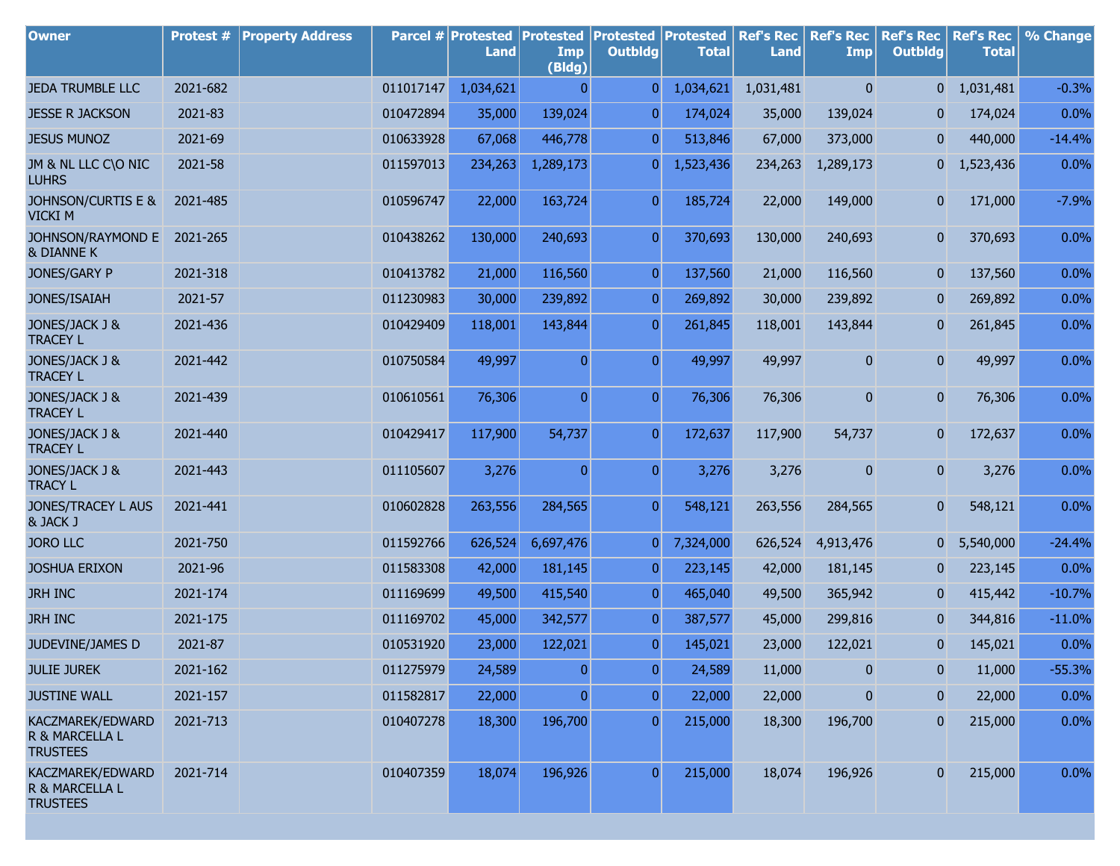| <b>Owner</b>                                          | Protest # | <b>Property Address</b> |           | Parcel # Protested<br>Land | <b>Protested</b><br>Imp<br>(Bldg) | <b>Protested</b><br><b>Outbldg</b> | Protested<br><b>Total</b> | <b>Ref's Rec</b><br><b>Land</b> | <b>Ref's Rec</b><br><b>Imp</b> | <b>Ref's Rec</b><br><b>Outbldg</b> | <b>Ref's Rec</b><br><b>Total</b> | % Change |
|-------------------------------------------------------|-----------|-------------------------|-----------|----------------------------|-----------------------------------|------------------------------------|---------------------------|---------------------------------|--------------------------------|------------------------------------|----------------------------------|----------|
| <b>JEDA TRUMBLE LLC</b>                               | 2021-682  |                         | 011017147 | 1,034,621                  | $\mathbf{0}$                      | $\overline{0}$                     | 1,034,621                 | 1,031,481                       | $\mathbf{0}$                   | 0                                  | 1,031,481                        | $-0.3%$  |
| <b>JESSE R JACKSON</b>                                | 2021-83   |                         | 010472894 | 35,000                     | 139,024                           | $\overline{0}$                     | 174,024                   | 35,000                          | 139,024                        | 0                                  | 174,024                          | 0.0%     |
| <b>JESUS MUNOZ</b>                                    | 2021-69   |                         | 010633928 | 67,068                     | 446,778                           | $\overline{0}$                     | 513,846                   | 67,000                          | 373,000                        | $\mathbf{0}$                       | 440,000                          | $-14.4%$ |
| JM & NL LLC C\O NIC<br><b>LUHRS</b>                   | 2021-58   |                         | 011597013 | 234,263                    | 1,289,173                         | 0                                  | 1,523,436                 | 234,263                         | 1,289,173                      | $\overline{0}$                     | 1,523,436                        | 0.0%     |
| <b>JOHNSON/CURTIS E &amp;</b><br><b>VICKI M</b>       | 2021-485  |                         | 010596747 | 22,000                     | 163,724                           | $\overline{0}$                     | 185,724                   | 22,000                          | 149,000                        | 0                                  | 171,000                          | $-7.9%$  |
| JOHNSON/RAYMOND E<br>& DIANNE K                       | 2021-265  |                         | 010438262 | 130,000                    | 240,693                           | $\overline{0}$                     | 370,693                   | 130,000                         | 240,693                        | $\mathbf{0}$                       | 370,693                          | 0.0%     |
| JONES/GARY P                                          | 2021-318  |                         | 010413782 | 21,000                     | 116,560                           | $\overline{0}$                     | 137,560                   | 21,000                          | 116,560                        | $\mathbf{0}$                       | 137,560                          | 0.0%     |
| JONES/ISAIAH                                          | 2021-57   |                         | 011230983 | 30,000                     | 239,892                           | $\overline{0}$                     | 269,892                   | 30,000                          | 239,892                        | $\mathbf{0}$                       | 269,892                          | 0.0%     |
| JONES/JACK J &<br><b>TRACEY L</b>                     | 2021-436  |                         | 010429409 | 118,001                    | 143,844                           | $\overline{0}$                     | 261,845                   | 118,001                         | 143,844                        | 0                                  | 261,845                          | 0.0%     |
| JONES/JACK J &<br><b>TRACEY L</b>                     | 2021-442  |                         | 010750584 | 49,997                     | $\overline{0}$                    | $\overline{0}$                     | 49,997                    | 49,997                          | $\overline{0}$                 | $\overline{0}$                     | 49,997                           | 0.0%     |
| JONES/JACK J &<br><b>TRACEY L</b>                     | 2021-439  |                         | 010610561 | 76,306                     | $\overline{0}$                    | $\overline{0}$                     | 76,306                    | 76,306                          | 0                              | $\overline{0}$                     | 76,306                           | 0.0%     |
| JONES/JACK J &<br><b>TRACEY L</b>                     | 2021-440  |                         | 010429417 | 117,900                    | 54,737                            | $\overline{0}$                     | 172,637                   | 117,900                         | 54,737                         | 0                                  | 172,637                          | 0.0%     |
| JONES/JACK J &<br><b>TRACY L</b>                      | 2021-443  |                         | 011105607 | 3,276                      | $\overline{0}$                    | $\overline{0}$                     | 3,276                     | 3,276                           | 0                              | $\overline{0}$                     | 3,276                            | 0.0%     |
| JONES/TRACEY L AUS<br>& JACK J                        | 2021-441  |                         | 010602828 | 263,556                    | 284,565                           | $\overline{0}$                     | 548,121                   | 263,556                         | 284,565                        | $\bf{0}$                           | 548,121                          | 0.0%     |
| <b>JORO LLC</b>                                       | 2021-750  |                         | 011592766 | 626,524                    | 6,697,476                         | $\overline{0}$                     | 7,324,000                 | 626,524                         | 4,913,476                      | 0                                  | 5,540,000                        | $-24.4%$ |
| <b>JOSHUA ERIXON</b>                                  | 2021-96   |                         | 011583308 | 42,000                     | 181,145                           | $\overline{0}$                     | 223,145                   | 42,000                          | 181,145                        | $\mathbf{0}$                       | 223,145                          | 0.0%     |
| <b>JRH INC</b>                                        | 2021-174  |                         | 011169699 | 49,500                     | 415,540                           | $\boldsymbol{0}$                   | 465,040                   | 49,500                          | 365,942                        | $\mathbf{0}$                       | 415,442                          | $-10.7%$ |
| <b>JRH INC</b>                                        | 2021-175  |                         | 011169702 | 45,000                     | 342,577                           | $\overline{0}$                     | 387,577                   | 45,000                          | 299,816                        | $\mathbf{0}$                       | 344,816                          | $-11.0%$ |
| JUDEVINE/JAMES D                                      | 2021-87   |                         | 010531920 | 23,000                     | 122,021                           | $\overline{0}$                     | 145,021                   | 23,000                          | 122,021                        | $\mathbf 0$                        | 145,021                          | 0.0%     |
| <b>JULIE JUREK</b>                                    | 2021-162  |                         | 011275979 | 24,589                     | $\overline{0}$                    | $\boldsymbol{0}$                   | 24,589                    | 11,000                          | $\overline{0}$                 | $\mathbf{0}$                       | 11,000                           | $-55.3%$ |
| <b>JUSTINE WALL</b>                                   | 2021-157  |                         | 011582817 | 22,000                     | $\overline{0}$                    | $\overline{0}$                     | 22,000                    | 22,000                          | 0                              | $\mathbf{0}$                       | 22,000                           | 0.0%     |
| KACZMAREK/EDWARD<br>R & MARCELLA L<br><b>TRUSTEES</b> | 2021-713  |                         | 010407278 | 18,300                     | 196,700                           | $\overline{0}$                     | 215,000                   | 18,300                          | 196,700                        | 0                                  | 215,000                          | 0.0%     |
| KACZMAREK/EDWARD<br>R & MARCELLA L<br><b>TRUSTEES</b> | 2021-714  |                         | 010407359 | 18,074                     | 196,926                           | $\overline{0}$                     | 215,000                   | 18,074                          | 196,926                        |                                    | 215,000                          | 0.0%     |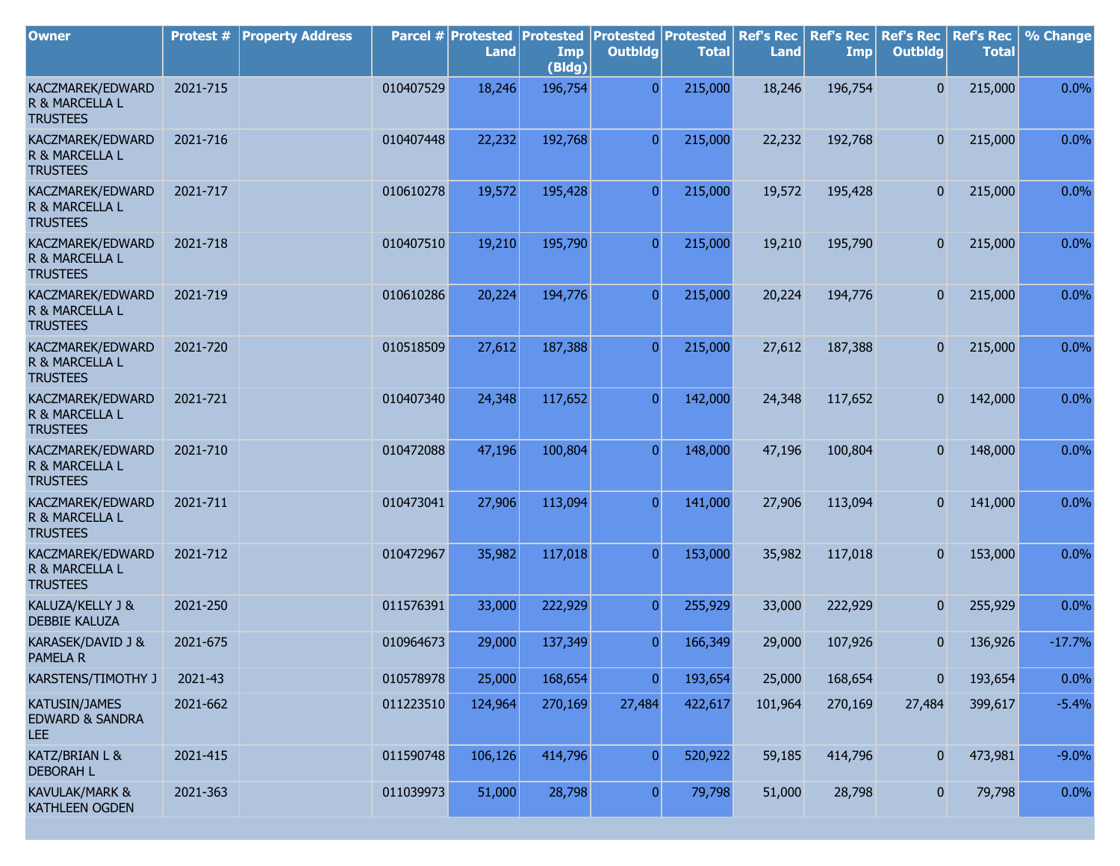| <b>Owner</b>                                              | Protest # | <b>Property Address</b> |           | Parcel # Protested<br><b>Land</b> | <b>Protested</b><br>Imp<br>(Bldg) | <b>Protested Protested</b><br><b>Outbldg</b> | <b>Total</b> | <b>Ref's Rec</b><br><b>Land</b> | <b>Ref's Rec</b><br><b>Imp</b> | <b>Ref's Rec</b><br><b>Outbldg</b> | <b>Ref's Rec</b><br><b>Total</b> | % Change |
|-----------------------------------------------------------|-----------|-------------------------|-----------|-----------------------------------|-----------------------------------|----------------------------------------------|--------------|---------------------------------|--------------------------------|------------------------------------|----------------------------------|----------|
| KACZMAREK/EDWARD<br>R & MARCELLA L<br><b>TRUSTEES</b>     | 2021-715  |                         | 010407529 | 18,246                            | 196,754                           | $\overline{0}$                               | 215,000      | 18,246                          | 196,754                        | $\overline{0}$                     | 215,000                          | 0.0%     |
| KACZMAREK/EDWARD<br>R & MARCELLA L<br><b>TRUSTEES</b>     | 2021-716  |                         | 010407448 | 22,232                            | 192,768                           | $\overline{0}$                               | 215,000      | 22,232                          | 192,768                        | $\overline{0}$                     | 215,000                          | 0.0%     |
| KACZMAREK/EDWARD<br>R & MARCELLA L<br><b>TRUSTEES</b>     | 2021-717  |                         | 010610278 | 19,572                            | 195,428                           | $\overline{0}$                               | 215,000      | 19,572                          | 195,428                        | $\overline{0}$                     | 215,000                          | 0.0%     |
| KACZMAREK/EDWARD<br>R & MARCELLA L<br><b>TRUSTEES</b>     | 2021-718  |                         | 010407510 | 19,210                            | 195,790                           | $\overline{0}$                               | 215,000      | 19,210                          | 195,790                        | $\overline{0}$                     | 215,000                          | 0.0%     |
| KACZMAREK/EDWARD<br>R & MARCELLA L<br><b>TRUSTEES</b>     | 2021-719  |                         | 010610286 | 20,224                            | 194,776                           | $\overline{0}$                               | 215,000      | 20,224                          | 194,776                        | $\overline{0}$                     | 215,000                          | 0.0%     |
| KACZMAREK/EDWARD<br>R & MARCELLA L<br><b>TRUSTEES</b>     | 2021-720  |                         | 010518509 | 27,612                            | 187,388                           | $\overline{0}$                               | 215,000      | 27,612                          | 187,388                        | $\overline{0}$                     | 215,000                          | 0.0%     |
| KACZMAREK/EDWARD<br>R & MARCELLA L<br><b>TRUSTEES</b>     | 2021-721  |                         | 010407340 | 24,348                            | 117,652                           | $\overline{0}$                               | 142,000      | 24,348                          | 117,652                        | $\overline{0}$                     | 142,000                          | 0.0%     |
| KACZMAREK/EDWARD<br>R & MARCELLA L<br><b>TRUSTEES</b>     | 2021-710  |                         | 010472088 | 47,196                            | 100,804                           | $\overline{0}$                               | 148,000      | 47,196                          | 100,804                        | $\overline{0}$                     | 148,000                          | 0.0%     |
| KACZMAREK/EDWARD<br>R & MARCELLA L<br><b>TRUSTEES</b>     | 2021-711  |                         | 010473041 | 27,906                            | 113,094                           | $\overline{0}$                               | 141,000      | 27,906                          | 113,094                        | $\mathbf{0}$                       | 141,000                          | 0.0%     |
| KACZMAREK/EDWARD<br>R & MARCELLA L<br><b>TRUSTEES</b>     | 2021-712  |                         | 010472967 | 35,982                            | 117,018                           | $\overline{0}$                               | 153,000      | 35,982                          | 117,018                        | $\overline{0}$                     | 153,000                          | 0.0%     |
| KALUZA/KELLY J &<br><b>DEBBIE KALUZA</b>                  | 2021-250  |                         | 011576391 | 33,000                            | 222,929                           | $\overline{0}$                               | 255,929      | 33,000                          | 222,929                        | $\overline{0}$                     | 255,929                          | 0.0%     |
| KARASEK/DAVID J &<br><b>PAMELA R</b>                      | 2021-675  |                         | 010964673 | 29,000                            | 137,349                           | $\overline{0}$                               | 166,349      | 29,000                          | 107,926                        | $\mathbf 0$                        | 136,926                          | $-17.7%$ |
| KARSTENS/TIMOTHY J                                        | 2021-43   |                         | 010578978 | 25,000                            | 168,654                           | $\overline{0}$                               | 193,654      | 25,000                          | 168,654                        | 0                                  | 193,654                          | 0.0%     |
| <b>KATUSIN/JAMES</b><br><b>EDWARD &amp; SANDRA</b><br>LEE | 2021-662  |                         | 011223510 | 124,964                           | 270,169                           | 27,484                                       | 422,617      | 101,964                         | 270,169                        | 27,484                             | 399,617                          | $-5.4%$  |
| KATZ/BRIAN L &<br><b>DEBORAH L</b>                        | 2021-415  |                         | 011590748 | 106,126                           | 414,796                           | $\overline{0}$                               | 520,922      | 59,185                          | 414,796                        | $\mathbf{0}$                       | 473,981                          | $-9.0%$  |
| KAVULAK/MARK &<br>KATHLEEN OGDEN                          | 2021-363  |                         | 011039973 | 51,000                            | 28,798                            | $\overline{0}$                               | 79,798       | 51,000                          | 28,798                         | $\overline{0}$                     | 79,798                           | 0.0%     |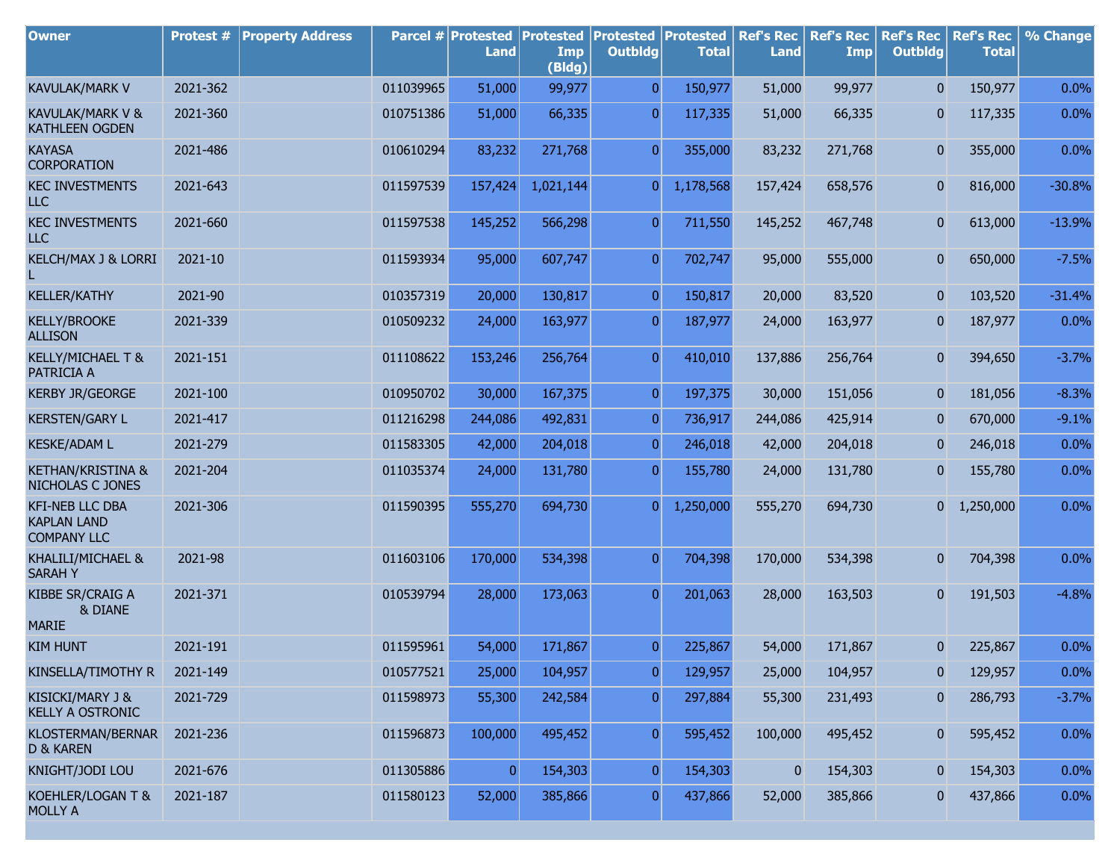| <b>Owner</b>                                                       | Protest # | <b>Property Address</b> |           | Parcel # Protested<br><b>Land</b> | <b>Protested</b><br>Imp<br>(Bldg) | <b>Protested</b><br><b>Outbldg</b> | Protested<br><b>Total</b> | <b>Ref's Rec</b><br><b>Land</b> | <b>Ref's Rec</b><br><b>Imp</b> | <b>Ref's Rec</b><br><b>Outbldg</b> | <b>Ref's Rec</b><br><b>Total</b> | % Change |
|--------------------------------------------------------------------|-----------|-------------------------|-----------|-----------------------------------|-----------------------------------|------------------------------------|---------------------------|---------------------------------|--------------------------------|------------------------------------|----------------------------------|----------|
| <b>KAVULAK/MARK V</b>                                              | 2021-362  |                         | 011039965 | 51,000                            | 99,977                            | $\overline{0}$                     | 150,977                   | 51,000                          | 99,977                         | $\overline{0}$                     | 150,977                          | 0.0%     |
| KAVULAK/MARK V &<br>KATHLEEN OGDEN                                 | 2021-360  |                         | 010751386 | 51,000                            | 66,335                            | $\overline{0}$                     | 117,335                   | 51,000                          | 66,335                         | 0                                  | 117,335                          | 0.0%     |
| <b>KAYASA</b><br><b>CORPORATION</b>                                | 2021-486  |                         | 010610294 | 83,232                            | 271,768                           | $\overline{0}$                     | 355,000                   | 83,232                          | 271,768                        | 0                                  | 355,000                          | 0.0%     |
| <b>KEC INVESTMENTS</b><br><b>LLC</b>                               | 2021-643  |                         | 011597539 | 157,424                           | 1,021,144                         | 0                                  | 1,178,568                 | 157,424                         | 658,576                        | 0                                  | 816,000                          | $-30.8%$ |
| <b>KEC INVESTMENTS</b><br><b>LLC</b>                               | 2021-660  |                         | 011597538 | 145,252                           | 566,298                           | $\overline{0}$                     | 711,550                   | 145,252                         | 467,748                        | 0                                  | 613,000                          | $-13.9%$ |
| KELCH/MAX J & LORRI                                                | 2021-10   |                         | 011593934 | 95,000                            | 607,747                           | $\overline{0}$                     | 702,747                   | 95,000                          | 555,000                        | $\bf{0}$                           | 650,000                          | $-7.5%$  |
| <b>KELLER/KATHY</b>                                                | 2021-90   |                         | 010357319 | 20,000                            | 130,817                           | $\overline{0}$                     | 150,817                   | 20,000                          | 83,520                         | $\overline{0}$                     | 103,520                          | $-31.4%$ |
| <b>KELLY/BROOKE</b><br><b>ALLISON</b>                              | 2021-339  |                         | 010509232 | 24,000                            | 163,977                           | $\overline{0}$                     | 187,977                   | 24,000                          | 163,977                        | 0                                  | 187,977                          | 0.0%     |
| KELLY/MICHAEL T &<br>PATRICIA A                                    | 2021-151  |                         | 011108622 | 153,246                           | 256,764                           | $\overline{0}$                     | 410,010                   | 137,886                         | 256,764                        | 0                                  | 394,650                          | $-3.7%$  |
| <b>KERBY JR/GEORGE</b>                                             | 2021-100  |                         | 010950702 | 30,000                            | 167,375                           | $\overline{0}$                     | 197,375                   | 30,000                          | 151,056                        | 0                                  | 181,056                          | $-8.3%$  |
| <b>KERSTEN/GARY L</b>                                              | 2021-417  |                         | 011216298 | 244,086                           | 492,831                           | $\mathbf{0}$                       | 736,917                   | 244,086                         | 425,914                        | 0                                  | 670,000                          | $-9.1%$  |
| <b>KESKE/ADAM L</b>                                                | 2021-279  |                         | 011583305 | 42,000                            | 204,018                           | $\mathbf{0}$                       | 246,018                   | 42,000                          | 204,018                        | 0                                  | 246,018                          | 0.0%     |
| KETHAN/KRISTINA &<br>NICHOLAS C JONES                              | 2021-204  |                         | 011035374 | 24,000                            | 131,780                           | $\overline{0}$                     | 155,780                   | 24,000                          | 131,780                        | 0                                  | 155,780                          | 0.0%     |
| <b>KFI-NEB LLC DBA</b><br><b>KAPLAN LAND</b><br><b>COMPANY LLC</b> | 2021-306  |                         | 011590395 | 555,270                           | 694,730                           | $\overline{0}$                     | 1,250,000                 | 555,270                         | 694,730                        | $\overline{0}$                     | 1,250,000                        | 0.0%     |
| KHALILI/MICHAEL &<br><b>SARAHY</b>                                 | 2021-98   |                         | 011603106 | 170,000                           | 534,398                           | $\mathbf{0}$                       | 704,398                   | 170,000                         | 534,398                        | $\overline{0}$                     | 704,398                          | 0.0%     |
| KIBBE SR/CRAIG A<br>& DIANE<br><b>MARIE</b>                        | 2021-371  |                         | 010539794 | 28,000                            | 173,063                           | $\overline{0}$                     | 201,063                   | 28,000                          | 163,503                        | 0                                  | 191,503                          | $-4.8%$  |
| <b>KIM HUNT</b>                                                    | 2021-191  |                         | 011595961 | 54,000                            | 171,867                           | $\overline{0}$                     | 225,867                   | 54,000                          | 171,867                        | 0                                  | 225,867                          | 0.0%     |
| KINSELLA/TIMOTHY R                                                 | 2021-149  |                         | 010577521 | 25,000                            | 104,957                           | 0                                  | 129,957                   | 25,000                          | 104,957                        | 0                                  | 129,957                          | 0.0%     |
| KISICKI/MARY J &<br>KELLY A OSTRONIC                               | 2021-729  |                         | 011598973 | 55,300                            | 242,584                           | $\overline{0}$                     | 297,884                   | 55,300                          | 231,493                        | 0                                  | 286,793                          | $-3.7%$  |
| KLOSTERMAN/BERNAR<br>D & KAREN                                     | 2021-236  |                         | 011596873 | 100,000                           | 495,452                           | $\boldsymbol{0}$                   | 595,452                   | 100,000                         | 495,452                        | 0                                  | 595,452                          | 0.0%     |
| KNIGHT/JODI LOU                                                    | 2021-676  |                         | 011305886 | 0                                 | 154,303                           | 0                                  | 154,303                   | 0                               | 154,303                        | 0                                  | 154,303                          | 0.0%     |
| KOEHLER/LOGAN T &<br><b>MOLLY A</b>                                | 2021-187  |                         | 011580123 | 52,000                            | 385,866                           | 0                                  | 437,866                   | 52,000                          | 385,866                        | 0                                  | 437,866                          | 0.0%     |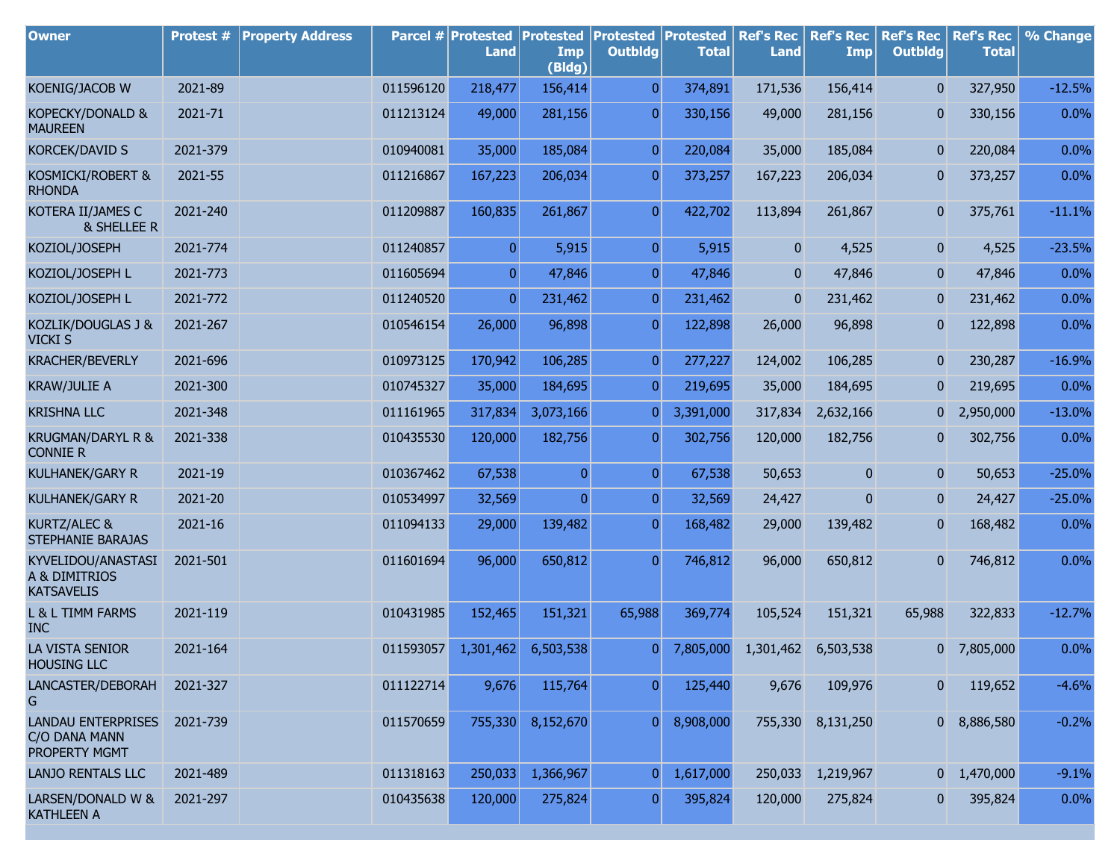| <b>Owner</b>                                                | Protest # | <b>Property Address</b> |           | Parcel # Protested<br>Land | <b>Protested</b><br>Imp<br>(Bldg) | <b>Protested Protested</b><br><b>Outbldg</b> | <b>Total</b> | <b>Ref's Rec</b><br><b>Land</b> | <b>Ref's Rec</b><br>Imp | <b>Ref's Rec</b><br><b>Outbldg</b> | <b>Ref's Rec</b><br><b>Total</b> | % Change |
|-------------------------------------------------------------|-----------|-------------------------|-----------|----------------------------|-----------------------------------|----------------------------------------------|--------------|---------------------------------|-------------------------|------------------------------------|----------------------------------|----------|
| KOENIG/JACOB W                                              | 2021-89   |                         | 011596120 | 218,477                    | 156,414                           | $\overline{0}$                               | 374,891      | 171,536                         | 156,414                 | $\overline{0}$                     | 327,950                          | $-12.5%$ |
| KOPECKY/DONALD &<br><b>MAUREEN</b>                          | 2021-71   |                         | 011213124 | 49,000                     | 281,156                           | $\overline{0}$                               | 330,156      | 49,000                          | 281,156                 | $\mathbf{0}$                       | 330,156                          | 0.0%     |
| <b>KORCEK/DAVID S</b>                                       | 2021-379  |                         | 010940081 | 35,000                     | 185,084                           | $\overline{0}$                               | 220,084      | 35,000                          | 185,084                 | $\mathbf{0}$                       | 220,084                          | 0.0%     |
| KOSMICKI/ROBERT &<br><b>RHONDA</b>                          | 2021-55   |                         | 011216867 | 167,223                    | 206,034                           | $\overline{0}$                               | 373,257      | 167,223                         | 206,034                 | $\overline{0}$                     | 373,257                          | 0.0%     |
| KOTERA II/JAMES C<br>& SHELLEE R                            | 2021-240  |                         | 011209887 | 160,835                    | 261,867                           | $\overline{0}$                               | 422,702      | 113,894                         | 261,867                 | $\overline{0}$                     | 375,761                          | $-11.1%$ |
| KOZIOL/JOSEPH                                               | 2021-774  |                         | 011240857 | $\overline{0}$             | 5,915                             | $\overline{0}$                               | 5,915        | $\mathbf{0}$                    | 4,525                   | $\mathbf{0}$                       | 4,525                            | $-23.5%$ |
| KOZIOL/JOSEPH L                                             | 2021-773  |                         | 011605694 | $\overline{0}$             | 47,846                            | $\overline{0}$                               | 47,846       | $\overline{0}$                  | 47,846                  | $\overline{0}$                     | 47,846                           | 0.0%     |
| KOZIOL/JOSEPH L                                             | 2021-772  |                         | 011240520 | $\overline{0}$             | 231,462                           | $\overline{0}$                               | 231,462      | 0                               | 231,462                 | $\mathbf{0}$                       | 231,462                          | 0.0%     |
| KOZLIK/DOUGLAS J &<br><b>VICKI S</b>                        | 2021-267  |                         | 010546154 | 26,000                     | 96,898                            | $\overline{0}$                               | 122,898      | 26,000                          | 96,898                  | $\mathbf{0}$                       | 122,898                          | 0.0%     |
| <b>KRACHER/BEVERLY</b>                                      | 2021-696  |                         | 010973125 | 170,942                    | 106,285                           | $\overline{0}$                               | 277,227      | 124,002                         | 106,285                 | $\mathbf{0}$                       | 230,287                          | $-16.9%$ |
| <b>KRAW/JULIE A</b>                                         | 2021-300  |                         | 010745327 | 35,000                     | 184,695                           | $\overline{0}$                               | 219,695      | 35,000                          | 184,695                 | $\overline{0}$                     | 219,695                          | 0.0%     |
| <b>KRISHNA LLC</b>                                          | 2021-348  |                         | 011161965 | 317,834                    | 3,073,166                         | $\overline{0}$                               | 3,391,000    | 317,834                         | 2,632,166               | 0                                  | 2,950,000                        | $-13.0%$ |
| KRUGMAN/DARYL R &<br><b>CONNIE R</b>                        | 2021-338  |                         | 010435530 | 120,000                    | 182,756                           | $\boldsymbol{0}$                             | 302,756      | 120,000                         | 182,756                 | $\mathbf{0}$                       | 302,756                          | 0.0%     |
| KULHANEK/GARY R                                             | 2021-19   |                         | 010367462 | 67,538                     | $\mathbf{0}$                      | $\overline{0}$                               | 67,538       | 50,653                          | $\mathbf{0}$            | $\overline{0}$                     | 50,653                           | $-25.0%$ |
| KULHANEK/GARY R                                             | 2021-20   |                         | 010534997 | 32,569                     | $\overline{0}$                    | $\overline{0}$                               | 32,569       | 24,427                          | $\mathbf{0}$            | 0                                  | 24,427                           | $-25.0%$ |
| KURTZ/ALEC &<br>STEPHANIE BARAJAS                           | 2021-16   |                         | 011094133 | 29,000                     | 139,482                           | $\boldsymbol{0}$                             | 168,482      | 29,000                          | 139,482                 | 0                                  | 168,482                          | 0.0%     |
| KYVELIDOU/ANASTASI<br>A & DIMITRIOS<br><b>KATSAVELIS</b>    | 2021-501  |                         | 011601694 | 96,000                     | 650,812                           | $\overline{0}$                               | 746,812      | 96,000                          | 650,812                 | $\overline{0}$                     | 746,812                          | 0.0%     |
| L & L TIMM FARMS<br><b>INC</b>                              | 2021-119  |                         | 010431985 | 152,465                    | 151,321                           | 65,988                                       | 369,774      | 105,524                         | 151,321                 | 65,988                             | 322,833                          | $-12.7%$ |
| LA VISTA SENIOR<br><b>HOUSING LLC</b>                       | 2021-164  |                         | 011593057 | 1,301,462                  | 6,503,538                         | $\overline{0}$                               | 7,805,000    | 1,301,462                       | 6,503,538               |                                    | $0$ 7,805,000                    | 0.0%     |
| LANCASTER/DEBORAH<br>G                                      | 2021-327  |                         | 011122714 | 9,676                      | 115,764                           | $\boldsymbol{0}$                             | 125,440      | 9,676                           | 109,976                 | $\mathbf{0}$                       | 119,652                          | $-4.6%$  |
| <b>LANDAU ENTERPRISES</b><br>C/O DANA MANN<br>PROPERTY MGMT | 2021-739  |                         | 011570659 | 755,330                    | 8,152,670                         | 0                                            | 8,908,000    |                                 | 755,330 8,131,250       |                                    | 0 8,886,580                      | $-0.2%$  |
| LANJO RENTALS LLC                                           | 2021-489  |                         | 011318163 | 250,033                    | 1,366,967                         | 0                                            | 1,617,000    | 250,033                         | 1,219,967               |                                    | $0 \quad 1,470,000$              | $-9.1%$  |
| LARSEN/DONALD W &<br><b>KATHLEEN A</b>                      | 2021-297  |                         | 010435638 | 120,000                    | 275,824                           | $\overline{0}$                               | 395,824      | 120,000                         | 275,824                 | $\mathbf{0}$                       | 395,824                          | 0.0%     |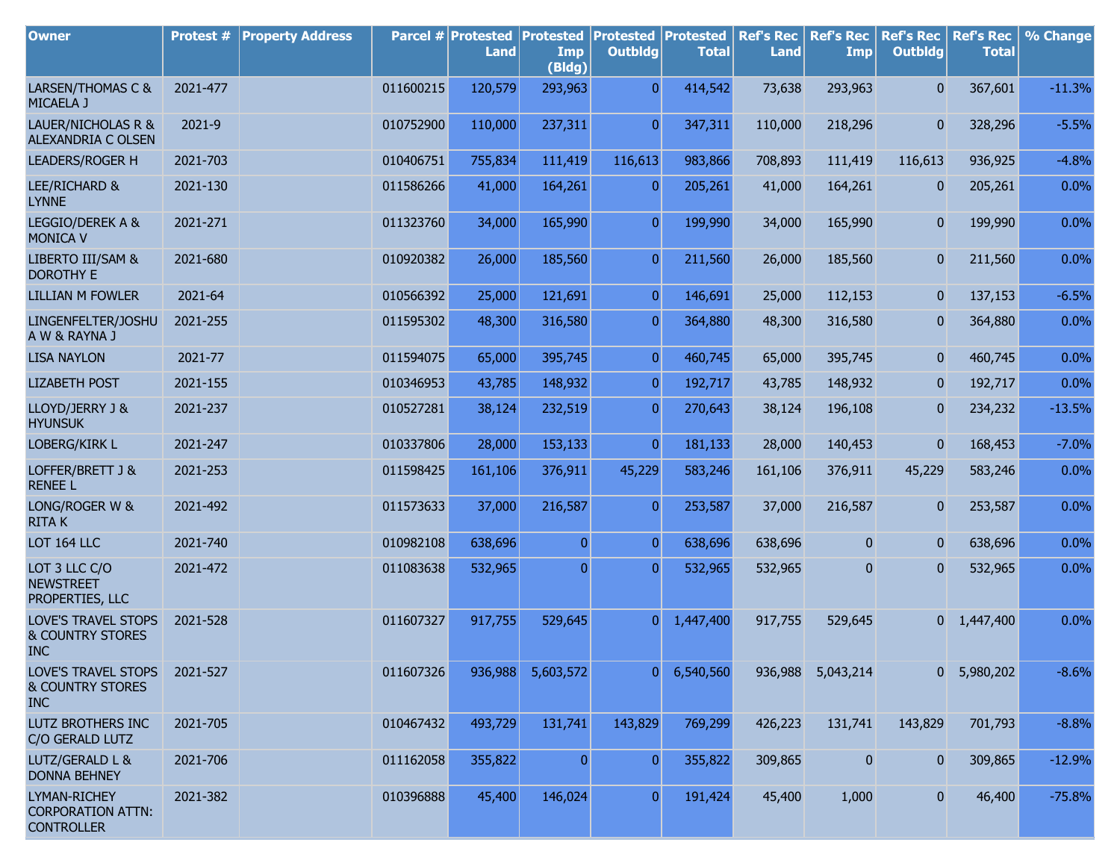| <b>Owner</b>                                                     | Protest # | <b>Property Address</b> |           | Parcel # Protested<br><b>Land</b> | <b>Protested</b><br>Imp<br>(Bldg) | <b>Protested Protested</b><br><b>Outbldg</b> | <b>Total</b> | <b>Ref's Rec</b><br><b>Land</b> | <b>Ref's Rec</b><br>Imp | <b>Ref's Rec</b><br><b>Outbldg</b> | <b>Ref's Rec</b><br><b>Total</b> | % Change |
|------------------------------------------------------------------|-----------|-------------------------|-----------|-----------------------------------|-----------------------------------|----------------------------------------------|--------------|---------------------------------|-------------------------|------------------------------------|----------------------------------|----------|
| LARSEN/THOMAS C &<br>MICAELA J                                   | 2021-477  |                         | 011600215 | 120,579                           | 293,963                           | $\overline{0}$                               | 414,542      | 73,638                          | 293,963                 | $\mathbf{0}$                       | 367,601                          | $-11.3%$ |
| LAUER/NICHOLAS R &<br>ALEXANDRIA C OLSEN                         | 2021-9    |                         | 010752900 | 110,000                           | 237,311                           | $\overline{0}$                               | 347,311      | 110,000                         | 218,296                 | $\overline{0}$                     | 328,296                          | $-5.5%$  |
| LEADERS/ROGER H                                                  | 2021-703  |                         | 010406751 | 755,834                           | 111,419                           | 116,613                                      | 983,866      | 708,893                         | 111,419                 | 116,613                            | 936,925                          | $-4.8%$  |
| LEE/RICHARD &<br><b>LYNNE</b>                                    | 2021-130  |                         | 011586266 | 41,000                            | 164,261                           | $\overline{0}$                               | 205,261      | 41,000                          | 164,261                 | $\mathbf{0}$                       | 205,261                          | 0.0%     |
| LEGGIO/DEREK A &<br><b>MONICA V</b>                              | 2021-271  |                         | 011323760 | 34,000                            | 165,990                           | $\overline{0}$                               | 199,990      | 34,000                          | 165,990                 | $\mathbf{0}$                       | 199,990                          | 0.0%     |
| LIBERTO III/SAM &<br><b>DOROTHY E</b>                            | 2021-680  |                         | 010920382 | 26,000                            | 185,560                           | $\overline{0}$                               | 211,560      | 26,000                          | 185,560                 | 0                                  | 211,560                          | 0.0%     |
| <b>LILLIAN M FOWLER</b>                                          | 2021-64   |                         | 010566392 | 25,000                            | 121,691                           | $\overline{0}$                               | 146,691      | 25,000                          | 112,153                 | $\mathbf{0}$                       | 137,153                          | $-6.5%$  |
| LINGENFELTER/JOSHU<br>A W & RAYNA J                              | 2021-255  |                         | 011595302 | 48,300                            | 316,580                           | $\overline{0}$                               | 364,880      | 48,300                          | 316,580                 | $\mathbf{0}$                       | 364,880                          | 0.0%     |
| <b>LISA NAYLON</b>                                               | 2021-77   |                         | 011594075 | 65,000                            | 395,745                           | $\overline{0}$                               | 460,745      | 65,000                          | 395,745                 | 0                                  | 460,745                          | 0.0%     |
| <b>LIZABETH POST</b>                                             | 2021-155  |                         | 010346953 | 43,785                            | 148,932                           | $\overline{0}$                               | 192,717      | 43,785                          | 148,932                 | 0                                  | 192,717                          | 0.0%     |
| LLOYD/JERRY J &<br><b>HYUNSUK</b>                                | 2021-237  |                         | 010527281 | 38,124                            | 232,519                           | $\overline{0}$                               | 270,643      | 38,124                          | 196,108                 | 0                                  | 234,232                          | $-13.5%$ |
| LOBERG/KIRK L                                                    | 2021-247  |                         | 010337806 | 28,000                            | 153,133                           | $\overline{0}$                               | 181,133      | 28,000                          | 140,453                 | $\mathbf{0}$                       | 168,453                          | $-7.0%$  |
| LOFFER/BRETT J &<br><b>RENEE L</b>                               | 2021-253  |                         | 011598425 | 161,106                           | 376,911                           | 45,229                                       | 583,246      | 161,106                         | 376,911                 | 45,229                             | 583,246                          | 0.0%     |
| LONG/ROGER W &<br><b>RITAK</b>                                   | 2021-492  |                         | 011573633 | 37,000                            | 216,587                           | $\overline{0}$                               | 253,587      | 37,000                          | 216,587                 | $\mathbf{0}$                       | 253,587                          | 0.0%     |
| LOT 164 LLC                                                      | 2021-740  |                         | 010982108 | 638,696                           | $\overline{0}$                    | $\overline{0}$                               | 638,696      | 638,696                         | $\overline{0}$          | $\mathbf{0}$                       | 638,696                          | 0.0%     |
| LOT 3 LLC C/O<br><b>NEWSTREET</b><br>PROPERTIES, LLC             | 2021-472  |                         | 011083638 | 532,965                           | $\overline{0}$                    | $\overline{0}$                               | 532,965      | 532,965                         | 0                       | 0                                  | 532,965                          | 0.0%     |
| LOVE'S TRAVEL STOPS<br><b>&amp; COUNTRY STORES</b><br><b>INC</b> | 2021-528  |                         | 011607327 | 917,755                           | 529,645                           | 0                                            | 1,447,400    | 917,755                         | 529,645                 |                                    | $0 \quad 1,447,400$              | 0.0%     |
| LOVE'S TRAVEL STOPS<br><b>&amp; COUNTRY STORES</b><br><b>INC</b> | 2021-527  |                         | 011607326 | 936,988                           | 5,603,572                         | 0                                            | 6,540,560    | 936,988                         | 5,043,214               | 01                                 | 5,980,202                        | $-8.6%$  |
| LUTZ BROTHERS INC<br>C/O GERALD LUTZ                             | 2021-705  |                         | 010467432 | 493,729                           | 131,741                           | 143,829                                      | 769,299      | 426,223                         | 131,741                 | 143,829                            | 701,793                          | $-8.8%$  |
| LUTZ/GERALD L &<br><b>DONNA BEHNEY</b>                           | 2021-706  |                         | 011162058 | 355,822                           | $\overline{0}$                    | $\overline{0}$                               | 355,822      | 309,865                         | $\boldsymbol{0}$        | 0                                  | 309,865                          | $-12.9%$ |
| LYMAN-RICHEY<br><b>CORPORATION ATTN:</b><br><b>CONTROLLER</b>    | 2021-382  |                         | 010396888 | 45,400                            | 146,024                           | $\overline{0}$                               | 191,424      | 45,400                          | 1,000                   | $\mathbf{0}$                       | 46,400                           | $-75.8%$ |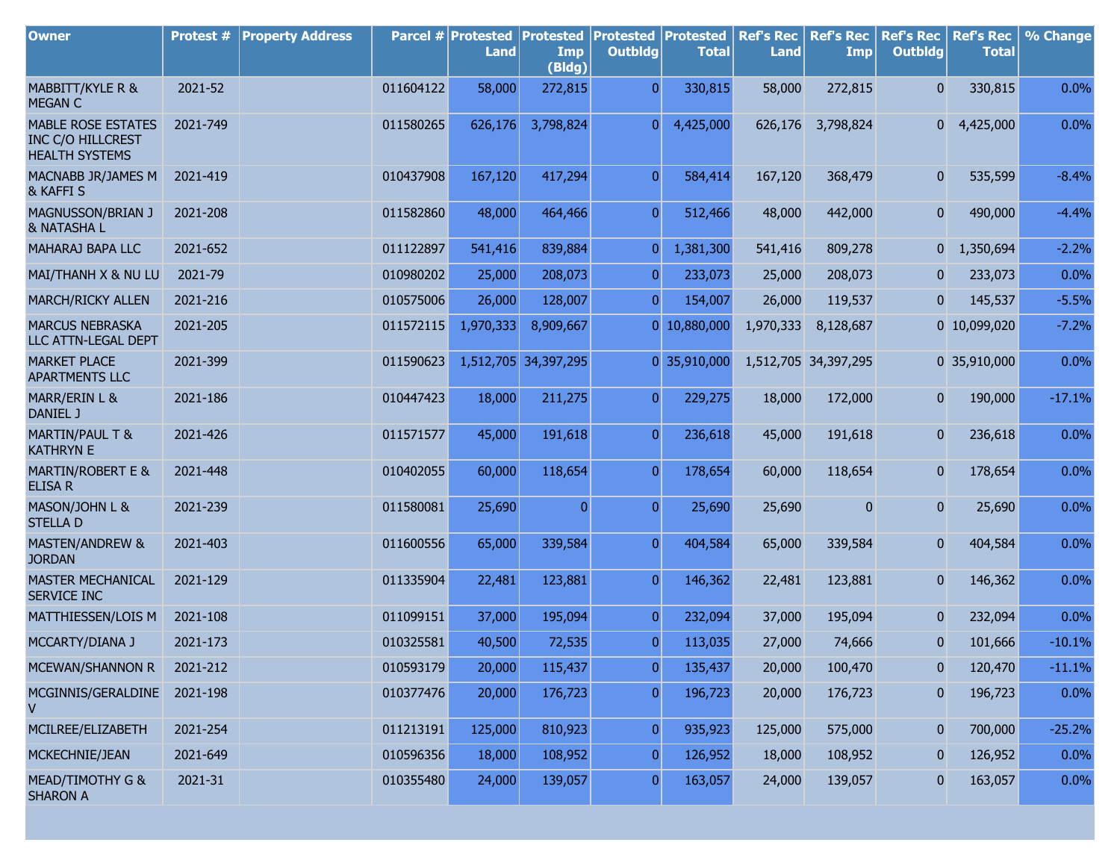| <b>Owner</b>                                                                   | Protest # | <b>Property Address</b> |           | <b>Parcel # Protested</b><br>Land | <b>Protested Protested Protested</b><br>Imp<br>(Bldg) | <b>Outbldg</b>   | <b>Total</b> | <b>Ref's Rec</b><br><b>Land</b> | <b>Ref's Rec</b><br><b>Imp</b> | <b>Ref's Rec</b><br><b>Outbldg</b> | <b>Ref's Rec</b><br><b>Total</b> | % Change |
|--------------------------------------------------------------------------------|-----------|-------------------------|-----------|-----------------------------------|-------------------------------------------------------|------------------|--------------|---------------------------------|--------------------------------|------------------------------------|----------------------------------|----------|
| MABBITT/KYLE R &<br><b>MEGAN C</b>                                             | 2021-52   |                         | 011604122 | 58,000                            | 272,815                                               | $\overline{0}$   | 330,815      | 58,000                          | 272,815                        | $\overline{0}$                     | 330,815                          | 0.0%     |
| <b>MABLE ROSE ESTATES</b><br><b>INC C/O HILLCREST</b><br><b>HEALTH SYSTEMS</b> | 2021-749  |                         | 011580265 | 626,176                           | 3,798,824                                             | 0                | 4,425,000    |                                 | 626,176 3,798,824              | 0                                  | 4,425,000                        | 0.0%     |
| MACNABB JR/JAMES M<br>& KAFFI S                                                | 2021-419  |                         | 010437908 | 167,120                           | 417,294                                               | $\overline{0}$   | 584,414      | 167,120                         | 368,479                        | $\overline{0}$                     | 535,599                          | $-8.4%$  |
| MAGNUSSON/BRIAN J<br>& NATASHA L                                               | 2021-208  |                         | 011582860 | 48,000                            | 464,466                                               | $\overline{0}$   | 512,466      | 48,000                          | 442,000                        | $\overline{0}$                     | 490,000                          | $-4.4%$  |
| MAHARAJ BAPA LLC                                                               | 2021-652  |                         | 011122897 | 541,416                           | 839,884                                               | $\overline{0}$   | 1,381,300    | 541,416                         | 809,278                        | 0                                  | 1,350,694                        | $-2.2%$  |
| MAI/THANH X & NU LU                                                            | 2021-79   |                         | 010980202 | 25,000                            | 208,073                                               | $\overline{0}$   | 233,073      | 25,000                          | 208,073                        | $\mathbf{0}$                       | 233,073                          | 0.0%     |
| MARCH/RICKY ALLEN                                                              | 2021-216  |                         | 010575006 | 26,000                            | 128,007                                               | $\overline{0}$   | 154,007      | 26,000                          | 119,537                        | $\bf{0}$                           | 145,537                          | $-5.5%$  |
| <b>MARCUS NEBRASKA</b><br>LLC ATTN-LEGAL DEPT                                  | 2021-205  |                         | 011572115 | 1,970,333                         | 8,909,667                                             |                  | 0 10,880,000 | 1,970,333                       | 8,128,687                      |                                    | 0 10,099,020                     | $-7.2%$  |
| <b>MARKET PLACE</b><br><b>APARTMENTS LLC</b>                                   | 2021-399  |                         | 011590623 |                                   | 1,512,705 34,397,295                                  |                  | 0 35,910,000 |                                 | 1,512,705 34,397,295           |                                    | 0 35,910,000                     | 0.0%     |
| MARR/ERIN L &<br>DANIEL J                                                      | 2021-186  |                         | 010447423 | 18,000                            | 211,275                                               | $\overline{0}$   | 229,275      | 18,000                          | 172,000                        | $\overline{0}$                     | 190,000                          | $-17.1%$ |
| <b>MARTIN/PAUL T &amp;</b><br><b>KATHRYN E</b>                                 | 2021-426  |                         | 011571577 | 45,000                            | 191,618                                               | $\overline{0}$   | 236,618      | 45,000                          | 191,618                        | 0                                  | 236,618                          | 0.0%     |
| <b>MARTIN/ROBERT E &amp;</b><br><b>ELISA R</b>                                 | 2021-448  |                         | 010402055 | 60,000                            | 118,654                                               | $\overline{0}$   | 178,654      | 60,000                          | 118,654                        | $\mathbf{0}$                       | 178,654                          | 0.0%     |
| MASON/JOHN L &<br><b>STELLAD</b>                                               | 2021-239  |                         | 011580081 | 25,690                            | $\mathbf{0}$                                          | $\overline{0}$   | 25,690       | 25,690                          | $\mathbf{0}$                   | $\overline{0}$                     | 25,690                           | 0.0%     |
| <b>MASTEN/ANDREW &amp;</b><br><b>JORDAN</b>                                    | 2021-403  |                         | 011600556 | 65,000                            | 339,584                                               | $\overline{0}$   | 404,584      | 65,000                          | 339,584                        | $\overline{0}$                     | 404,584                          | 0.0%     |
| MASTER MECHANICAL<br>SERVICE INC                                               | 2021-129  |                         | 011335904 | 22,481                            | 123,881                                               | $\overline{0}$   | 146,362      | 22,481                          | 123,881                        | $\mathbf{0}$                       | 146,362                          | 0.0%     |
| MATTHIESSEN/LOIS M                                                             | 2021-108  |                         | 011099151 | 37,000                            | 195,094                                               | $\overline{0}$   | 232,094      | 37,000                          | 195,094                        | $\overline{0}$                     | 232,094                          | 0.0%     |
| MCCARTY/DIANA J                                                                | 2021-173  |                         | 010325581 | 40,500                            | 72,535                                                | $\overline{0}$   | 113,035      | 27,000                          | 74,666                         | $\overline{0}$                     | 101,666                          | $-10.1%$ |
| MCEWAN/SHANNON R                                                               | 2021-212  |                         | 010593179 | 20,000                            | 115,437                                               | $\pmb{0}$        | 135,437      | 20,000                          | 100,470                        | 0                                  | 120,470                          | $-11.1%$ |
| MCGINNIS/GERALDINE 2021-198<br>V                                               |           |                         | 010377476 | 20,000                            | 176,723                                               | $\overline{0}$   | 196,723      | 20,000                          | 176,723                        | $\boldsymbol{0}$                   | 196,723                          | 0.0%     |
| MCILREE/ELIZABETH                                                              | 2021-254  |                         | 011213191 | 125,000                           | 810,923                                               | $\boldsymbol{0}$ | 935,923      | 125,000                         | 575,000                        | $\mathbf{0}$                       | 700,000                          | $-25.2%$ |
| MCKECHNIE/JEAN                                                                 | 2021-649  |                         | 010596356 | 18,000                            | 108,952                                               | $\boldsymbol{0}$ | 126,952      | 18,000                          | 108,952                        | 0                                  | 126,952                          | 0.0%     |
| MEAD/TIMOTHY G &<br><b>SHARON A</b>                                            | 2021-31   |                         | 010355480 | 24,000                            | 139,057                                               | $\overline{0}$   | 163,057      | 24,000                          | 139,057                        | $\bf{0}$                           | 163,057                          | 0.0%     |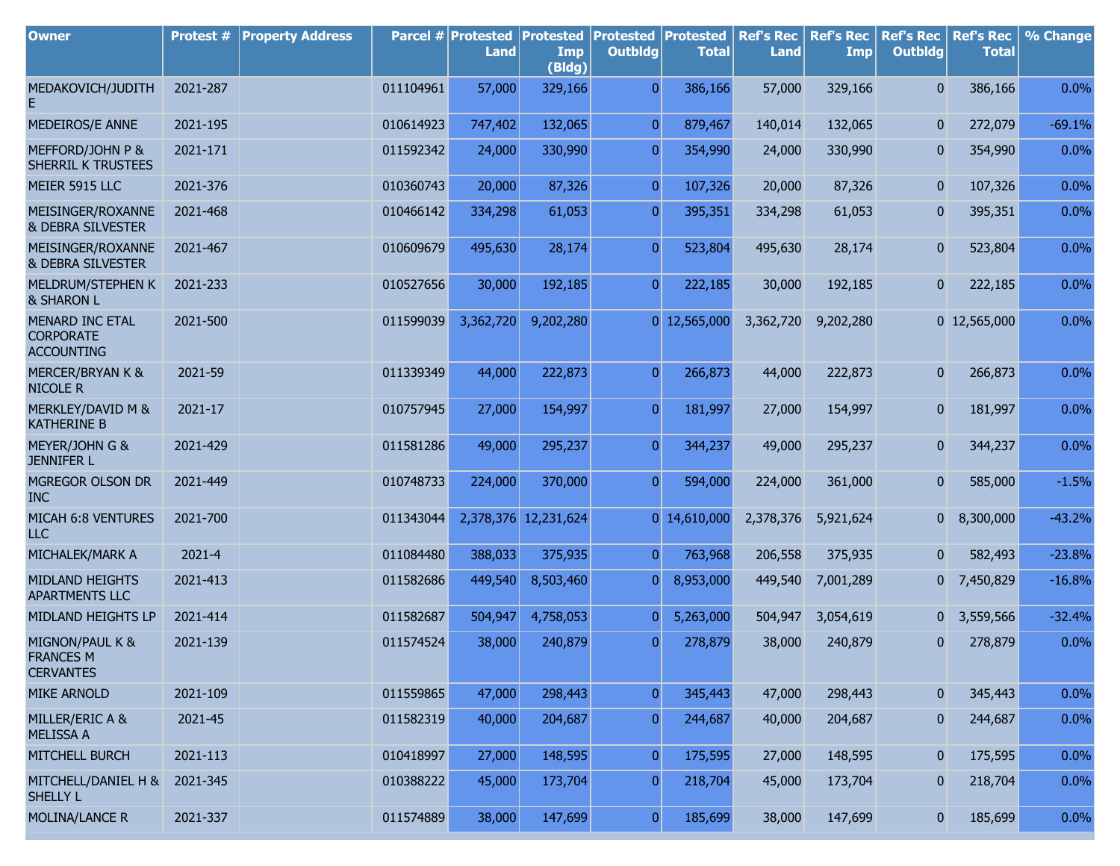| <b>Owner</b>                                                    | Protest # | <b>Property Address</b> |           | Parcel # Protested<br><b>Land</b> | <b>Protested</b><br>Imp<br>(Bldg) | <b>Protested</b><br><b>Outbldg</b> | Protested<br><b>Total</b> | <b>Ref's Rec</b><br><b>Land</b> | <b>Ref's Rec</b><br>Imp | <b>Ref's Rec</b><br><b>Outbldg</b> | <b>Ref's Rec</b><br><b>Total</b> | % Change |
|-----------------------------------------------------------------|-----------|-------------------------|-----------|-----------------------------------|-----------------------------------|------------------------------------|---------------------------|---------------------------------|-------------------------|------------------------------------|----------------------------------|----------|
| MEDAKOVICH/JUDITH                                               | 2021-287  |                         | 011104961 | 57,000                            | 329,166                           | $\overline{0}$                     | 386,166                   | 57,000                          | 329,166                 | $\overline{0}$                     | 386,166                          | 0.0%     |
| MEDEIROS/E ANNE                                                 | 2021-195  |                         | 010614923 | 747,402                           | 132,065                           | $\overline{0}$                     | 879,467                   | 140,014                         | 132,065                 | $\mathbf{0}$                       | 272,079                          | $-69.1%$ |
| MEFFORD/JOHN P &<br>SHERRIL K TRUSTEES                          | 2021-171  |                         | 011592342 | 24,000                            | 330,990                           | $\overline{0}$                     | 354,990                   | 24,000                          | 330,990                 | $\boldsymbol{0}$                   | 354,990                          | 0.0%     |
| MEIER 5915 LLC                                                  | 2021-376  |                         | 010360743 | 20,000                            | 87,326                            | $\overline{0}$                     | 107,326                   | 20,000                          | 87,326                  | $\mathbf{0}$                       | 107,326                          | 0.0%     |
| MEISINGER/ROXANNE<br>& DEBRA SILVESTER                          | 2021-468  |                         | 010466142 | 334,298                           | 61,053                            | $\overline{0}$                     | 395,351                   | 334,298                         | 61,053                  | $\mathbf{0}$                       | 395,351                          | 0.0%     |
| MEISINGER/ROXANNE<br>& DEBRA SILVESTER                          | 2021-467  |                         | 010609679 | 495,630                           | 28,174                            | $\overline{0}$                     | 523,804                   | 495,630                         | 28,174                  | $\boldsymbol{0}$                   | 523,804                          | 0.0%     |
| MELDRUM/STEPHEN K<br>& SHARON L                                 | 2021-233  |                         | 010527656 | 30,000                            | 192,185                           | $\overline{0}$                     | 222,185                   | 30,000                          | 192,185                 | 0                                  | 222,185                          | 0.0%     |
| <b>MENARD INC ETAL</b><br><b>CORPORATE</b><br><b>ACCOUNTING</b> | 2021-500  |                         | 011599039 | 3,362,720                         | 9,202,280                         |                                    | $0$ 12,565,000            | 3,362,720                       | 9,202,280               |                                    | 0 12,565,000                     | 0.0%     |
| <b>MERCER/BRYAN K &amp;</b><br><b>NICOLE R</b>                  | 2021-59   |                         | 011339349 | 44,000                            | 222,873                           | $\overline{0}$                     | 266,873                   | 44,000                          | 222,873                 | $\overline{0}$                     | 266,873                          | 0.0%     |
| MERKLEY/DAVID M &<br><b>KATHERINE B</b>                         | 2021-17   |                         | 010757945 | 27,000                            | 154,997                           | $\overline{0}$                     | 181,997                   | 27,000                          | 154,997                 | $\mathbf{0}$                       | 181,997                          | 0.0%     |
| MEYER/JOHN G &<br><b>JENNIFER L</b>                             | 2021-429  |                         | 011581286 | 49,000                            | 295,237                           | $\overline{0}$                     | 344,237                   | 49,000                          | 295,237                 | $\overline{0}$                     | 344,237                          | 0.0%     |
| MGREGOR OLSON DR<br><b>INC</b>                                  | 2021-449  |                         | 010748733 | 224,000                           | 370,000                           | $\overline{0}$                     | 594,000                   | 224,000                         | 361,000                 | $\overline{0}$                     | 585,000                          | $-1.5%$  |
| MICAH 6:8 VENTURES<br>ILC                                       | 2021-700  |                         | 011343044 |                                   | 2,378,376 12,231,624              |                                    | $0$ 14,610,000            | 2,378,376                       | 5,921,624               | $\overline{0}$                     | 8,300,000                        | $-43.2%$ |
| MICHALEK/MARK A                                                 | 2021-4    |                         | 011084480 | 388,033                           | 375,935                           | $\overline{0}$                     | 763,968                   | 206,558                         | 375,935                 | $\mathbf{0}$                       | 582,493                          | $-23.8%$ |
| <b>MIDLAND HEIGHTS</b><br><b>APARTMENTS LLC</b>                 | 2021-413  |                         | 011582686 | 449,540                           | 8,503,460                         | $\overline{0}$                     | 8,953,000                 | 449,540                         | 7,001,289               | $\overline{0}$                     | 7,450,829                        | $-16.8%$ |
| MIDLAND HEIGHTS LP                                              | 2021-414  |                         | 011582687 | 504,947                           | 4,758,053                         | 0                                  | 5,263,000                 | 504,947                         | 3,054,619               | 0                                  | 3,559,566                        | $-32.4%$ |
| MIGNON/PAUL K &<br><b>FRANCES M</b><br><b>CERVANTES</b>         | 2021-139  |                         | 011574524 | 38,000                            | 240,879                           | $\overline{0}$                     | 278,879                   | 38,000                          | 240,879                 | 0                                  | 278,879                          | 0.0%     |
| <b>MIKE ARNOLD</b>                                              | 2021-109  |                         | 011559865 | 47,000                            | 298,443                           | $\boldsymbol{0}$                   | 345,443                   | 47,000                          | 298,443                 | $\boldsymbol{0}$                   | 345,443                          | 0.0%     |
| MILLER/ERIC A &<br><b>MELISSA A</b>                             | 2021-45   |                         | 011582319 | 40,000                            | 204,687                           | $\boldsymbol{0}$                   | 244,687                   | 40,000                          | 204,687                 | $\boldsymbol{0}$                   | 244,687                          | 0.0%     |
| MITCHELL BURCH                                                  | 2021-113  |                         | 010418997 | 27,000                            | 148,595                           | $\overline{0}$                     | 175,595                   | 27,000                          | 148,595                 | $\mathbf{0}$                       | 175,595                          | 0.0%     |
| MITCHELL/DANIEL H &<br>SHELLY L                                 | 2021-345  |                         | 010388222 | 45,000                            | 173,704                           | $\overline{0}$                     | 218,704                   | 45,000                          | 173,704                 | $\mathbf{0}$                       | 218,704                          | 0.0%     |
| MOLINA/LANCE R                                                  | 2021-337  |                         | 011574889 | 38,000                            | 147,699                           | $\boldsymbol{0}$                   | 185,699                   | 38,000                          | 147,699                 | $\mathbf{0}$                       | 185,699                          | 0.0%     |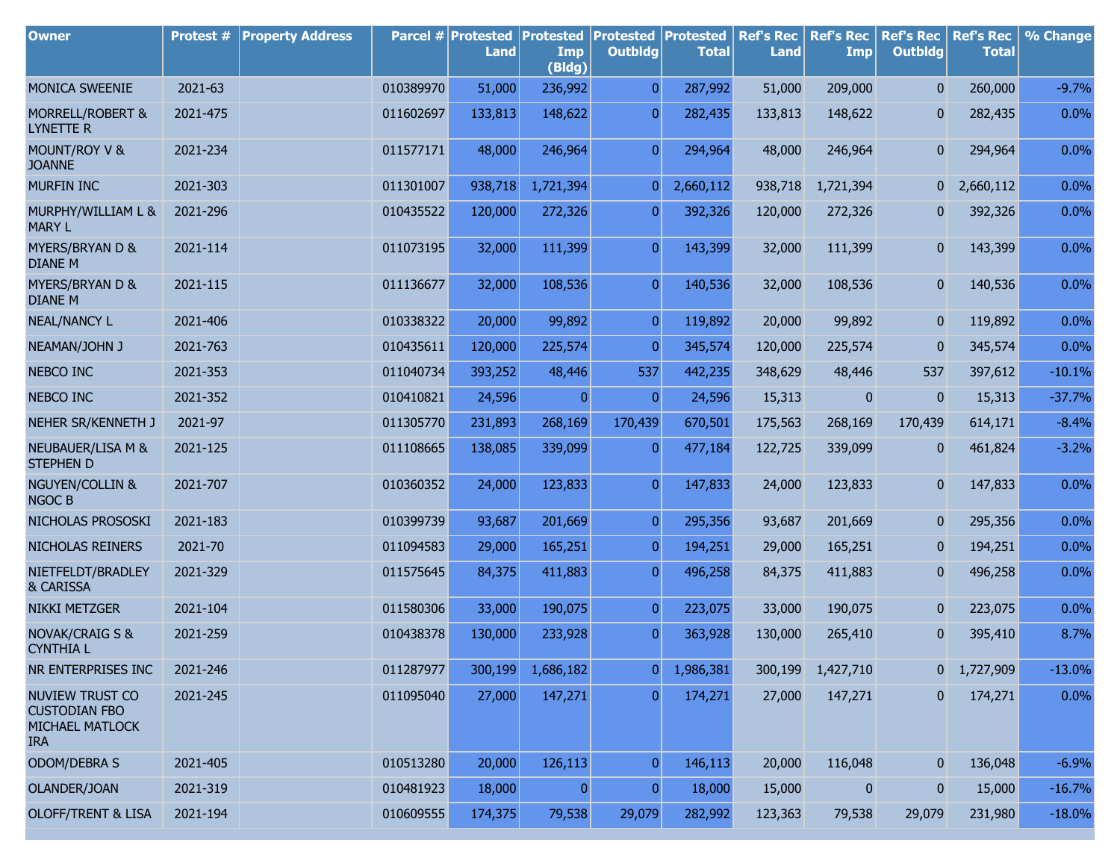| <b>Owner</b>                                                                    | Protest # | <b>Property Address</b> |           | Parcel # Protested<br><b>Land</b> | <b>Protested</b><br>Imp<br>(Bldg) | <b>Protested Protested</b><br><b>Outbldg</b> | <b>Total</b> | <b>Ref's Rec</b><br><b>Land</b> | <b>Ref's Rec</b><br><b>Imp</b> | <b>Ref's Rec</b><br><b>Outbldg</b> | <b>Ref's Rec</b><br><b>Total</b> | % Change |
|---------------------------------------------------------------------------------|-----------|-------------------------|-----------|-----------------------------------|-----------------------------------|----------------------------------------------|--------------|---------------------------------|--------------------------------|------------------------------------|----------------------------------|----------|
| MONICA SWEENIE                                                                  | 2021-63   |                         | 010389970 | 51,000                            | 236,992                           | $\overline{0}$                               | 287,992      | 51,000                          | 209,000                        | $\overline{0}$                     | 260,000                          | $-9.7%$  |
| MORRELL/ROBERT &<br><b>LYNETTE R</b>                                            | 2021-475  |                         | 011602697 | 133,813                           | 148,622                           | $\overline{0}$                               | 282,435      | 133,813                         | 148,622                        | 0                                  | 282,435                          | 0.0%     |
| MOUNT/ROY V &<br><b>JOANNE</b>                                                  | 2021-234  |                         | 011577171 | 48,000                            | 246,964                           | $\overline{0}$                               | 294,964      | 48,000                          | 246,964                        | 0                                  | 294,964                          | 0.0%     |
| <b>MURFIN INC</b>                                                               | 2021-303  |                         | 011301007 | 938,718                           | 1,721,394                         | 0                                            | 2,660,112    | 938,718                         | 1,721,394                      | $\overline{0}$                     | 2,660,112                        | 0.0%     |
| MURPHY/WILLIAM L &<br><b>MARY L</b>                                             | 2021-296  |                         | 010435522 | 120,000                           | 272,326                           | $\overline{0}$                               | 392,326      | 120,000                         | 272,326                        | 0                                  | 392,326                          | 0.0%     |
| MYERS/BRYAN D &<br><b>DIANE M</b>                                               | 2021-114  |                         | 011073195 | 32,000                            | 111,399                           | $\overline{0}$                               | 143,399      | 32,000                          | 111,399                        | 0                                  | 143,399                          | 0.0%     |
| MYERS/BRYAN D &<br><b>DIANE M</b>                                               | 2021-115  |                         | 011136677 | 32,000                            | 108,536                           | $\overline{0}$                               | 140,536      | 32,000                          | 108,536                        | 0                                  | 140,536                          | 0.0%     |
| <b>NEAL/NANCY L</b>                                                             | 2021-406  |                         | 010338322 | 20,000                            | 99,892                            | $\pmb{0}$                                    | 119,892      | 20,000                          | 99,892                         | 0                                  | 119,892                          | 0.0%     |
| NEAMAN/JOHN J                                                                   | 2021-763  |                         | 010435611 | 120,000                           | 225,574                           | $\mathbf{0}$                                 | 345,574      | 120,000                         | 225,574                        | $\bf{0}$                           | 345,574                          | 0.0%     |
| <b>NEBCO INC</b>                                                                | 2021-353  |                         | 011040734 | 393,252                           | 48,446                            | 537                                          | 442,235      | 348,629                         | 48,446                         | 537                                | 397,612                          | $-10.1%$ |
| NEBCO INC                                                                       | 2021-352  |                         | 010410821 | 24,596                            | $\mathbf{0}$                      | $\mathbf{0}$                                 | 24,596       | 15,313                          | $\bf{0}$                       | $\mathbf{0}$                       | 15,313                           | $-37.7%$ |
| NEHER SR/KENNETH J                                                              | 2021-97   |                         | 011305770 | 231,893                           | 268,169                           | 170,439                                      | 670,501      | 175,563                         | 268,169                        | 170,439                            | 614,171                          | $-8.4%$  |
| NEUBAUER/LISA M &<br><b>STEPHEN D</b>                                           | 2021-125  |                         | 011108665 | 138,085                           | 339,099                           | $\overline{0}$                               | 477,184      | 122,725                         | 339,099                        | 0                                  | 461,824                          | $-3.2%$  |
| <b>NGUYEN/COLLIN &amp;</b><br><b>NGOC B</b>                                     | 2021-707  |                         | 010360352 | 24,000                            | 123,833                           | $\overline{0}$                               | 147,833      | 24,000                          | 123,833                        | 0                                  | 147,833                          | 0.0%     |
| NICHOLAS PROSOSKI                                                               | 2021-183  |                         | 010399739 | 93,687                            | 201,669                           | $\overline{0}$                               | 295,356      | 93,687                          | 201,669                        | 0                                  | 295,356                          | 0.0%     |
| NICHOLAS REINERS                                                                | 2021-70   |                         | 011094583 | 29,000                            | 165,251                           | $\overline{0}$                               | 194,251      | 29,000                          | 165,251                        | 0                                  | 194,251                          | 0.0%     |
| NIETFELDT/BRADLEY<br>& CARISSA                                                  | 2021-329  |                         | 011575645 | 84,375                            | 411,883                           | $\overline{0}$                               | 496,258      | 84,375                          | 411,883                        | 0                                  | 496,258                          | 0.0%     |
| <b>NIKKI METZGER</b>                                                            | 2021-104  |                         | 011580306 | 33,000                            | 190,075                           | $\pmb{0}$                                    | 223,075      | 33,000                          | 190,075                        | 0                                  | 223,075                          | 0.0%     |
| <b>NOVAK/CRAIG S &amp;</b><br><b>CYNTHIA L</b>                                  | 2021-259  |                         | 010438378 | 130,000                           | 233,928                           | $\overline{0}$                               | 363,928      | 130,000                         | 265,410                        | 0                                  | 395,410                          | 8.7%     |
| NR ENTERPRISES INC                                                              | 2021-246  |                         | 011287977 | 300,199                           | 1,686,182                         | 0                                            | 1,986,381    | 300,199                         | 1,427,710                      | $\mathbf{0}$                       | 1,727,909                        | $-13.0%$ |
| <b>NUVIEW TRUST CO</b><br><b>CUSTODIAN FBO</b><br>MICHAEL MATLOCK<br><b>IRA</b> | 2021-245  |                         | 011095040 | 27,000                            | 147,271                           | $\overline{0}$                               | 174,271      | 27,000                          | 147,271                        | 0                                  | 174,271                          | 0.0%     |
| ODOM/DEBRA S                                                                    | 2021-405  |                         | 010513280 | 20,000                            | 126,113                           | $\overline{0}$                               | 146,113      | 20,000                          | 116,048                        | 0                                  | 136,048                          | $-6.9%$  |
| OLANDER/JOAN                                                                    | 2021-319  |                         | 010481923 | 18,000                            | 0                                 | $\overline{0}$                               | 18,000       | 15,000                          | $\pmb{0}$                      | $\pmb{0}$                          | 15,000                           | $-16.7%$ |
| <b>OLOFF/TRENT &amp; LISA</b>                                                   | 2021-194  |                         | 010609555 | 174,375                           | 79,538                            | 29,079                                       | 282,992      | 123,363                         | 79,538                         | 29,079                             | 231,980                          | $-18.0%$ |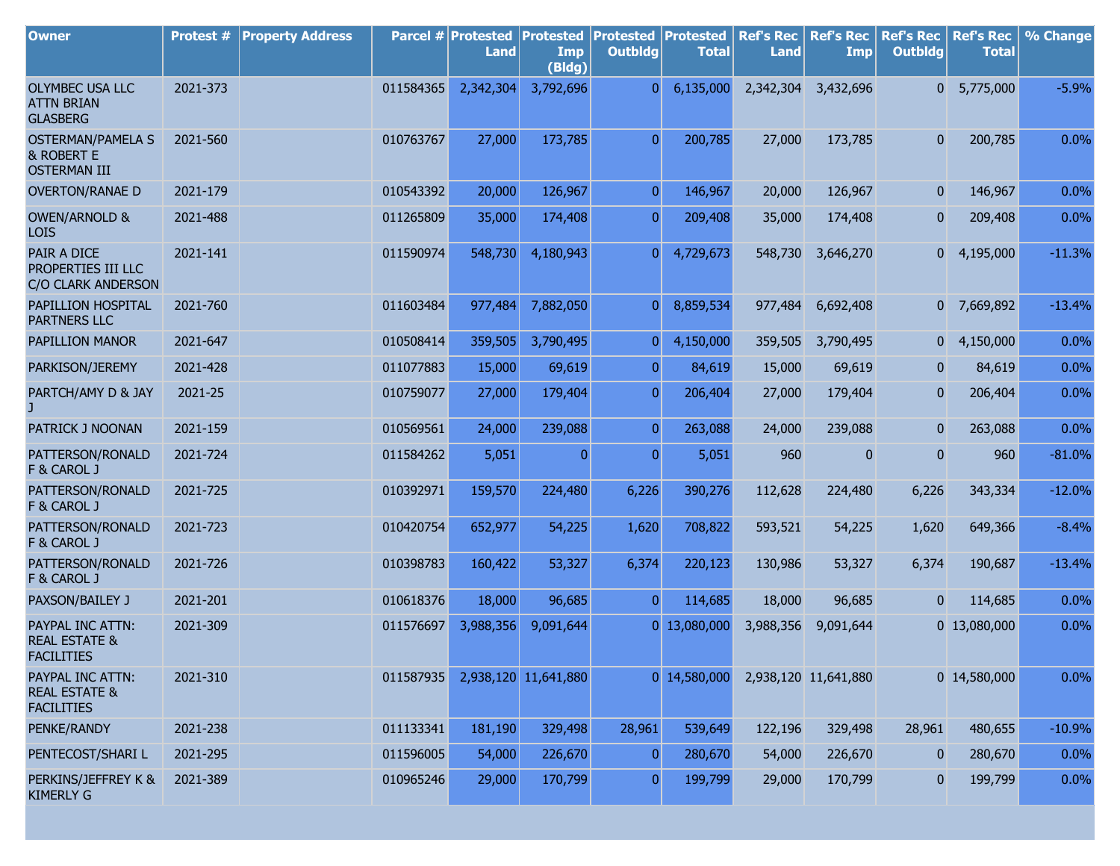| <b>Owner</b>                                                      | Protest # | <b>Property Address</b> |           | Parcel # Protested<br><b>Land</b> | <b>Protested</b><br>Imp | <b>Protested</b><br><b>Outbldg</b> | Protested<br><b>Total</b> | <b>Ref's Rec</b><br><b>Land</b> | <b>Ref's Rec</b><br>Imp | <b>Ref's Rec</b><br><b>Outbldg</b> | <b>Ref's Rec</b><br><b>Total</b> | % Change |
|-------------------------------------------------------------------|-----------|-------------------------|-----------|-----------------------------------|-------------------------|------------------------------------|---------------------------|---------------------------------|-------------------------|------------------------------------|----------------------------------|----------|
|                                                                   |           |                         |           |                                   | (Bldg)                  |                                    |                           |                                 |                         |                                    |                                  |          |
| OLYMBEC USA LLC<br><b>ATTN BRIAN</b><br><b>GLASBERG</b>           | 2021-373  |                         | 011584365 | 2,342,304                         | 3,792,696               | $\overline{0}$                     | 6,135,000                 | 2,342,304                       | 3,432,696               | 0                                  | 5,775,000                        | $-5.9%$  |
| <b>OSTERMAN/PAMELA S</b><br>& ROBERT E<br><b>OSTERMAN III</b>     | 2021-560  |                         | 010763767 | 27,000                            | 173,785                 | $\overline{0}$                     | 200,785                   | 27,000                          | 173,785                 | $\overline{0}$                     | 200,785                          | 0.0%     |
| <b>OVERTON/RANAE D</b>                                            | 2021-179  |                         | 010543392 | 20,000                            | 126,967                 | $\overline{0}$                     | 146,967                   | 20,000                          | 126,967                 | $\overline{0}$                     | 146,967                          | 0.0%     |
| <b>OWEN/ARNOLD &amp;</b><br><b>LOIS</b>                           | 2021-488  |                         | 011265809 | 35,000                            | 174,408                 | $\overline{0}$                     | 209,408                   | 35,000                          | 174,408                 | $\mathbf{0}$                       | 209,408                          | 0.0%     |
| PAIR A DICE<br>PROPERTIES III LLC<br>C/O CLARK ANDERSON           | 2021-141  |                         | 011590974 | 548,730                           | 4,180,943               | $\overline{0}$                     | 4,729,673                 | 548,730                         | 3,646,270               | 0                                  | 4,195,000                        | $-11.3%$ |
| PAPILLION HOSPITAL<br>PARTNERS LLC                                | 2021-760  |                         | 011603484 | 977,484                           | 7,882,050               | $\overline{0}$                     | 8,859,534                 | 977,484                         | 6,692,408               |                                    | 0 7,669,892                      | $-13.4%$ |
| PAPILLION MANOR                                                   | 2021-647  |                         | 010508414 | 359,505                           | 3,790,495               | $\overline{0}$                     | 4,150,000                 | 359,505                         | 3,790,495               | 0                                  | 4,150,000                        | 0.0%     |
| PARKISON/JEREMY                                                   | 2021-428  |                         | 011077883 | 15,000                            | 69,619                  | $\overline{0}$                     | 84,619                    | 15,000                          | 69,619                  | $\mathbf{0}$                       | 84,619                           | 0.0%     |
| PARTCH/AMY D & JAY                                                | 2021-25   |                         | 010759077 | 27,000                            | 179,404                 | $\overline{0}$                     | 206,404                   | 27,000                          | 179,404                 | $\overline{0}$                     | 206,404                          | 0.0%     |
| PATRICK J NOONAN                                                  | 2021-159  |                         | 010569561 | 24,000                            | 239,088                 | $\overline{0}$                     | 263,088                   | 24,000                          | 239,088                 | $\mathbf{0}$                       | 263,088                          | 0.0%     |
| PATTERSON/RONALD<br>F & CAROL J                                   | 2021-724  |                         | 011584262 | 5,051                             | 0                       | $\overline{0}$                     | 5,051                     | 960                             | 0                       | $\mathbf{0}$                       | 960                              | $-81.0%$ |
| PATTERSON/RONALD<br>F & CAROL J                                   | 2021-725  |                         | 010392971 | 159,570                           | 224,480                 | 6,226                              | 390,276                   | 112,628                         | 224,480                 | 6,226                              | 343,334                          | $-12.0%$ |
| PATTERSON/RONALD<br>F & CAROL J                                   | 2021-723  |                         | 010420754 | 652,977                           | 54,225                  | 1,620                              | 708,822                   | 593,521                         | 54,225                  | 1,620                              | 649,366                          | $-8.4%$  |
| PATTERSON/RONALD<br>F & CAROL J                                   | 2021-726  |                         | 010398783 | 160,422                           | 53,327                  | 6,374                              | 220,123                   | 130,986                         | 53,327                  | 6,374                              | 190,687                          | $-13.4%$ |
| PAXSON/BAILEY J                                                   | 2021-201  |                         | 010618376 | 18,000                            | 96,685                  | $\overline{0}$                     | 114,685                   | 18,000                          | 96,685                  | $\mathbf{0}$                       | 114,685                          | 0.0%     |
| PAYPAL INC ATTN:<br><b>REAL ESTATE &amp;</b><br><b>FACILITIES</b> | 2021-309  |                         | 011576697 | 3,988,356                         | 9,091,644               |                                    | 0 13,080,000              | 3,988,356                       | 9,091,644               |                                    | 0 13,080,000                     | 0.0%     |
| PAYPAL INC ATTN:<br><b>REAL ESTATE &amp;</b><br><b>FACILITIES</b> | 2021-310  |                         | 011587935 |                                   | 2,938,120 11,641,880    |                                    | 0 14,580,000              |                                 | 2,938,120 11,641,880    |                                    | 0 14,580,000                     | 0.0%     |
| PENKE/RANDY                                                       | 2021-238  |                         | 011133341 | 181,190                           | 329,498                 | 28,961                             | 539,649                   | 122,196                         | 329,498                 | 28,961                             | 480,655                          | $-10.9%$ |
| PENTECOST/SHARI L                                                 | 2021-295  |                         | 011596005 | 54,000                            | 226,670                 | $\vert 0 \vert$                    | 280,670                   | 54,000                          | 226,670                 | $\bf{0}$                           | 280,670                          | 0.0%     |
| PERKINS/JEFFREY K &<br><b>KIMERLY G</b>                           | 2021-389  |                         | 010965246 | 29,000                            | 170,799                 | $\overline{0}$                     | 199,799                   | 29,000                          | 170,799                 | $\mathbf{0}$                       | 199,799                          | 0.0%     |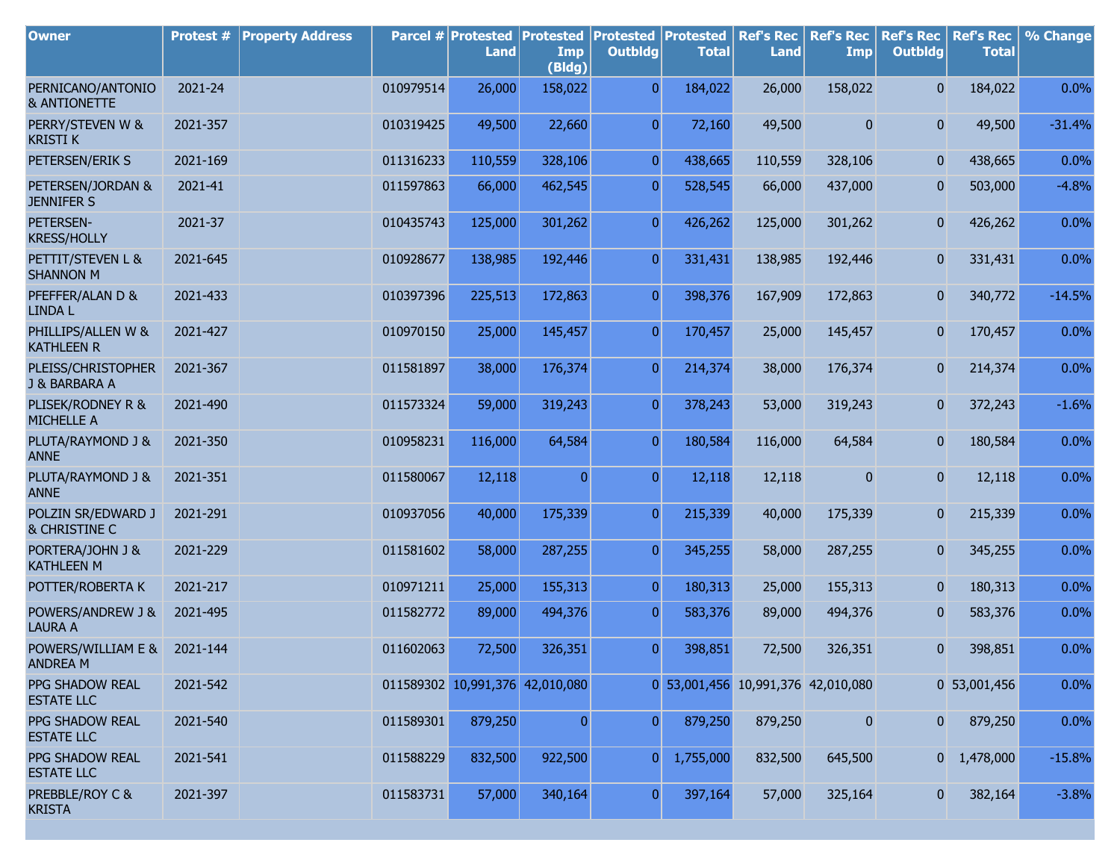| <b>Owner</b>                                 | Protest # | <b>Property Address</b> |           | Parcel # Protested<br><b>Land</b> | <b>Protested</b><br>Imp<br>(Bldg) | <b>Protested</b><br><b>Outbldg</b> | Protested<br><b>Total</b>          | <b>Ref's Rec</b><br><b>Land</b> | <b>Ref's Rec</b><br><b>Imp</b> | <b>Ref's Rec</b><br><b>Outbldg</b> | <b>Ref's Rec</b><br><b>Total</b> | % Change |
|----------------------------------------------|-----------|-------------------------|-----------|-----------------------------------|-----------------------------------|------------------------------------|------------------------------------|---------------------------------|--------------------------------|------------------------------------|----------------------------------|----------|
| PERNICANO/ANTONIO<br><b>&amp; ANTIONETTE</b> | 2021-24   |                         | 010979514 | 26,000                            | 158,022                           | $\overline{0}$                     | 184,022                            | 26,000                          | 158,022                        | $\overline{0}$                     | 184,022                          | 0.0%     |
| PERRY/STEVEN W &<br><b>KRISTI K</b>          | 2021-357  |                         | 010319425 | 49,500                            | 22,660                            | $\overline{0}$                     | 72,160                             | 49,500                          | 0                              | $\overline{0}$                     | 49,500                           | $-31.4%$ |
| PETERSEN/ERIK S                              | 2021-169  |                         | 011316233 | 110,559                           | 328,106                           | $\overline{0}$                     | 438,665                            | 110,559                         | 328,106                        | $\mathbf{0}$                       | 438,665                          | 0.0%     |
| PETERSEN/JORDAN &<br><b>JENNIFER S</b>       | 2021-41   |                         | 011597863 | 66,000                            | 462,545                           | $\overline{0}$                     | 528,545                            | 66,000                          | 437,000                        | $\mathbf{0}$                       | 503,000                          | $-4.8%$  |
| PETERSEN-<br><b>KRESS/HOLLY</b>              | 2021-37   |                         | 010435743 | 125,000                           | 301,262                           | $\overline{0}$                     | 426,262                            | 125,000                         | 301,262                        | 0                                  | 426,262                          | 0.0%     |
| PETTIT/STEVEN L &<br><b>SHANNON M</b>        | 2021-645  |                         | 010928677 | 138,985                           | 192,446                           | $\overline{0}$                     | 331,431                            | 138,985                         | 192,446                        | $\overline{0}$                     | 331,431                          | 0.0%     |
| PFEFFER/ALAN D &<br><b>LINDA L</b>           | 2021-433  |                         | 010397396 | 225,513                           | 172,863                           | $\overline{0}$                     | 398,376                            | 167,909                         | 172,863                        | $\overline{0}$                     | 340,772                          | $-14.5%$ |
| PHILLIPS/ALLEN W &<br><b>KATHLEEN R</b>      | 2021-427  |                         | 010970150 | 25,000                            | 145,457                           | $\overline{0}$                     | 170,457                            | 25,000                          | 145,457                        | 0                                  | 170,457                          | 0.0%     |
| PLEISS/CHRISTOPHER<br>J & BARBARA A          | 2021-367  |                         | 011581897 | 38,000                            | 176,374                           | $\overline{0}$                     | 214,374                            | 38,000                          | 176,374                        | 0                                  | 214,374                          | 0.0%     |
| PLISEK/RODNEY R &<br>MICHELLE A              | 2021-490  |                         | 011573324 | 59,000                            | 319,243                           | $\overline{0}$                     | 378,243                            | 53,000                          | 319,243                        | 0                                  | 372,243                          | $-1.6%$  |
| PLUTA/RAYMOND J &<br><b>ANNE</b>             | 2021-350  |                         | 010958231 | 116,000                           | 64,584                            | $\overline{0}$                     | 180,584                            | 116,000                         | 64,584                         | 0                                  | 180,584                          | 0.0%     |
| PLUTA/RAYMOND J &<br><b>ANNE</b>             | 2021-351  |                         | 011580067 | 12,118                            | $\mathbf{0}$                      | $\overline{0}$                     | 12,118                             | 12,118                          | 0                              | $\overline{0}$                     | 12,118                           | 0.0%     |
| POLZIN SR/EDWARD J<br>& CHRISTINE C          | 2021-291  |                         | 010937056 | 40,000                            | 175,339                           | $\overline{0}$                     | 215,339                            | 40,000                          | 175,339                        | 0                                  | 215,339                          | 0.0%     |
| PORTERA/JOHN J &<br><b>KATHLEEN M</b>        | 2021-229  |                         | 011581602 | 58,000                            | 287,255                           | $\overline{0}$                     | 345,255                            | 58,000                          | 287,255                        | $\mathbf{0}$                       | 345,255                          | 0.0%     |
| POTTER/ROBERTA K                             | 2021-217  |                         | 010971211 | 25,000                            | 155,313                           | $\overline{0}$                     | 180,313                            | 25,000                          | 155,313                        | 0                                  | 180,313                          | 0.0%     |
| POWERS/ANDREW J &<br><b>LAURA A</b>          | 2021-495  |                         | 011582772 | 89,000                            | 494,376                           | $\overline{0}$                     | 583,376                            | 89,000                          | 494,376                        | 0                                  | 583,376                          | 0.0%     |
| POWERS/WILLIAM E &<br>andrea m               | 2021-144  |                         | 011602063 | 72,500                            | 326,351                           | $\overline{0}$                     | 398,851                            | 72,500                          | 326,351                        | 0                                  | 398,851                          | 0.0%     |
| PPG SHADOW REAL<br><b>ESTATE LLC</b>         | 2021-542  |                         |           | 011589302 10,991,376 42,010,080   |                                   |                                    | 0 53,001,456 10,991,376 42,010,080 |                                 |                                |                                    | 0 53,001,456                     | 0.0%     |
| PPG SHADOW REAL<br><b>ESTATE LLC</b>         | 2021-540  |                         | 011589301 | 879,250                           | $\pmb{0}$                         | $\overline{0}$                     | 879,250                            | 879,250                         | 0                              | 0                                  | 879,250                          | 0.0%     |
| PPG SHADOW REAL<br><b>ESTATE LLC</b>         | 2021-541  |                         | 011588229 | 832,500                           | 922,500                           | 0                                  | 1,755,000                          | 832,500                         | 645,500                        |                                    | $0 \quad 1,478,000$              | $-15.8%$ |
| PREBBLE/ROY C &<br><b>KRISTA</b>             | 2021-397  |                         | 011583731 | 57,000                            | 340,164                           | $\boldsymbol{0}$                   | 397,164                            | 57,000                          | 325,164                        | $\overline{0}$                     | 382,164                          | $-3.8%$  |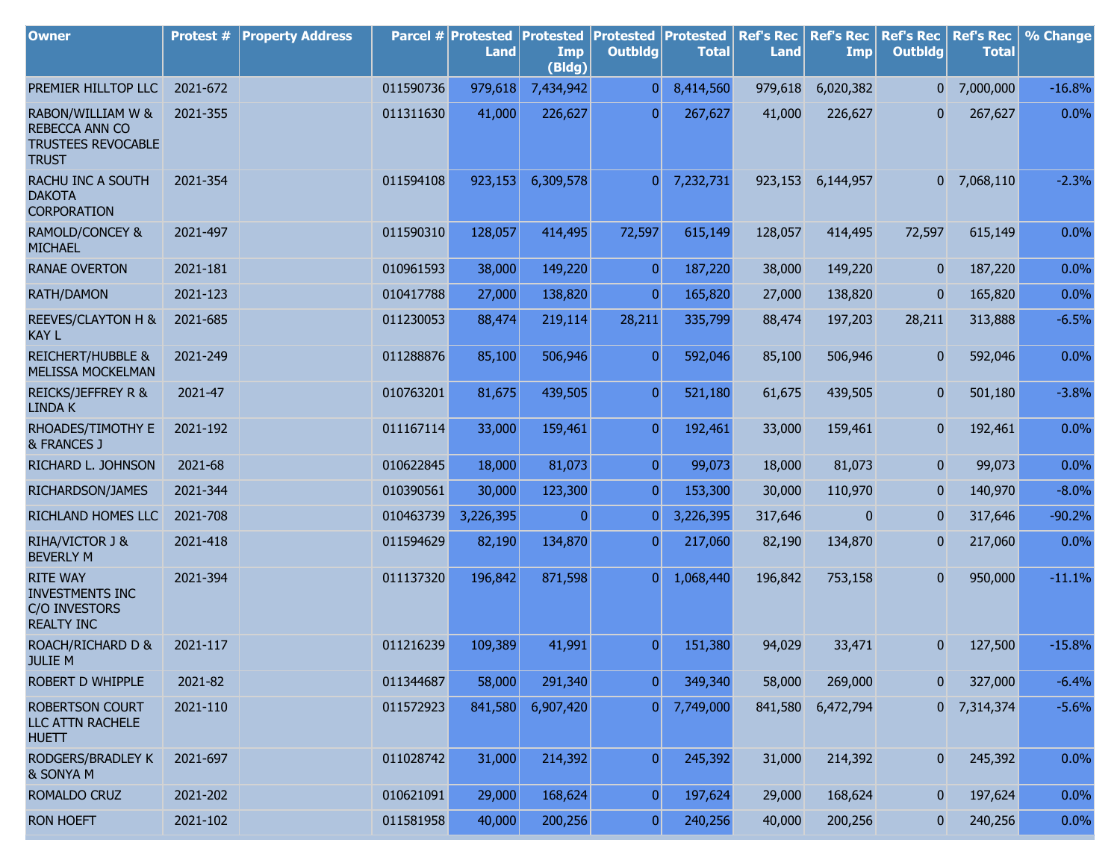| <b>Owner</b>                                                                     | Protest # | <b>Property Address</b> |           | <b>Parcel # Protested</b><br><b>Land</b> | <b>Protested</b><br>Imp<br>(Bldg) | <b>Protested Protested</b><br><b>Outbldg</b> | <b>Total</b> | <b>Ref's Rec</b><br><b>Land</b> | <b>Ref's Rec</b><br>Imp | <b>Ref's Rec</b><br><b>Outbldg</b> | <b>Ref's Rec</b><br><b>Total</b> | % Change |
|----------------------------------------------------------------------------------|-----------|-------------------------|-----------|------------------------------------------|-----------------------------------|----------------------------------------------|--------------|---------------------------------|-------------------------|------------------------------------|----------------------------------|----------|
| PREMIER HILLTOP LLC                                                              | 2021-672  |                         | 011590736 | 979,618                                  | 7,434,942                         | $\overline{0}$                               | 8,414,560    | 979,618                         | 6,020,382               | $\overline{0}$                     | 7,000,000                        | $-16.8%$ |
| RABON/WILLIAM W &<br>REBECCA ANN CO<br><b>TRUSTEES REVOCABLE</b><br><b>TRUST</b> | 2021-355  |                         | 011311630 | 41,000                                   | 226,627                           | $\overline{0}$                               | 267,627      | 41,000                          | 226,627                 | $\mathbf{0}$                       | 267,627                          | 0.0%     |
| RACHU INC A SOUTH<br><b>DAKOTA</b><br><b>CORPORATION</b>                         | 2021-354  |                         | 011594108 | 923,153                                  | 6,309,578                         | $\overline{0}$                               | 7,232,731    | 923,153                         | 6,144,957               |                                    | $0$ 7,068,110                    | $-2.3%$  |
| <b>RAMOLD/CONCEY &amp;</b><br><b>MICHAEL</b>                                     | 2021-497  |                         | 011590310 | 128,057                                  | 414,495                           | 72,597                                       | 615,149      | 128,057                         | 414,495                 | 72,597                             | 615,149                          | 0.0%     |
| <b>RANAE OVERTON</b>                                                             | 2021-181  |                         | 010961593 | 38,000                                   | 149,220                           | $\overline{0}$                               | 187,220      | 38,000                          | 149,220                 | $\mathbf{0}$                       | 187,220                          | 0.0%     |
| RATH/DAMON                                                                       | 2021-123  |                         | 010417788 | 27,000                                   | 138,820                           | $\overline{0}$                               | 165,820      | 27,000                          | 138,820                 | $\mathbf{0}$                       | 165,820                          | $0.0\%$  |
| <b>REEVES/CLAYTON H &amp;</b><br><b>KAY L</b>                                    | 2021-685  |                         | 011230053 | 88,474                                   | 219,114                           | 28,211                                       | 335,799      | 88,474                          | 197,203                 | 28,211                             | 313,888                          | $-6.5%$  |
| <b>REICHERT/HUBBLE &amp;</b><br><b>MELISSA MOCKELMAN</b>                         | 2021-249  |                         | 011288876 | 85,100                                   | 506,946                           | $\overline{0}$                               | 592,046      | 85,100                          | 506,946                 | 0                                  | 592,046                          | 0.0%     |
| <b>REICKS/JEFFREY R &amp;</b><br><b>LINDA K</b>                                  | 2021-47   |                         | 010763201 | 81,675                                   | 439,505                           | $\overline{0}$                               | 521,180      | 61,675                          | 439,505                 | 0                                  | 501,180                          | $-3.8%$  |
| RHOADES/TIMOTHY E<br>& FRANCES J                                                 | 2021-192  |                         | 011167114 | 33,000                                   | 159,461                           | $\overline{0}$                               | 192,461      | 33,000                          | 159,461                 | 0                                  | 192,461                          | 0.0%     |
| RICHARD L. JOHNSON                                                               | 2021-68   |                         | 010622845 | 18,000                                   | 81,073                            | $\overline{0}$                               | 99,073       | 18,000                          | 81,073                  | $\mathbf{0}$                       | 99,073                           | 0.0%     |
| RICHARDSON/JAMES                                                                 | 2021-344  |                         | 010390561 | 30,000                                   | 123,300                           | $\overline{0}$                               | 153,300      | 30,000                          | 110,970                 | $\mathbf{0}$                       | 140,970                          | $-8.0%$  |
| RICHLAND HOMES LLC                                                               | 2021-708  |                         | 010463739 | 3,226,395                                | $\overline{0}$                    | $\overline{0}$                               | 3,226,395    | 317,646                         | $\mathbf{0}$            | $\mathbf{0}$                       | 317,646                          | $-90.2%$ |
| RIHA/VICTOR J &<br><b>BEVERLY M</b>                                              | 2021-418  |                         | 011594629 | 82,190                                   | 134,870                           | $\overline{0}$                               | 217,060      | 82,190                          | 134,870                 | 0                                  | 217,060                          | 0.0%     |
| <b>RITE WAY</b><br><b>INVESTMENTS INC</b><br>C/O INVESTORS<br><b>REALTY INC</b>  | 2021-394  |                         | 011137320 | 196,842                                  | 871,598                           | $\overline{0}$                               | 1,068,440    | 196,842                         | 753,158                 | 0                                  | 950,000                          | $-11.1%$ |
| ROACH/RICHARD D &<br><b>JULIE M</b>                                              | 2021-117  |                         | 011216239 | 109,389                                  | 41,991                            | $\overline{0}$                               | 151,380      | 94,029                          | 33,471                  | 0                                  | 127,500                          | $-15.8%$ |
| ROBERT D WHIPPLE                                                                 | 2021-82   |                         | 011344687 | 58,000                                   | 291,340                           | $\boldsymbol{0}$                             | 349,340      | 58,000                          | 269,000                 | $\mathbf{0}$                       | 327,000                          | $-6.4%$  |
| <b>ROBERTSON COURT</b><br>LLC ATTN RACHELE<br><b>HUETT</b>                       | 2021-110  |                         | 011572923 | 841,580                                  | 6,907,420                         | $\overline{0}$                               | 7,749,000    | 841,580                         | 6,472,794               |                                    | 0 7,314,374                      | $-5.6%$  |
| RODGERS/BRADLEY K<br>& SONYA M                                                   | 2021-697  |                         | 011028742 | 31,000                                   | 214,392                           | $\overline{0}$                               | 245,392      | 31,000                          | 214,392                 | 0                                  | 245,392                          | 0.0%     |
| ROMALDO CRUZ                                                                     | 2021-202  |                         | 010621091 | 29,000                                   | 168,624                           | $\boldsymbol{0}$                             | 197,624      | 29,000                          | 168,624                 | $\mathbf{0}$                       | 197,624                          | 0.0%     |
| <b>RON HOEFT</b>                                                                 | 2021-102  |                         | 011581958 | 40,000                                   | 200,256                           | $\boldsymbol{0}$                             | 240,256      | 40,000                          | 200,256                 | $\bf{0}$                           | 240,256                          | 0.0%     |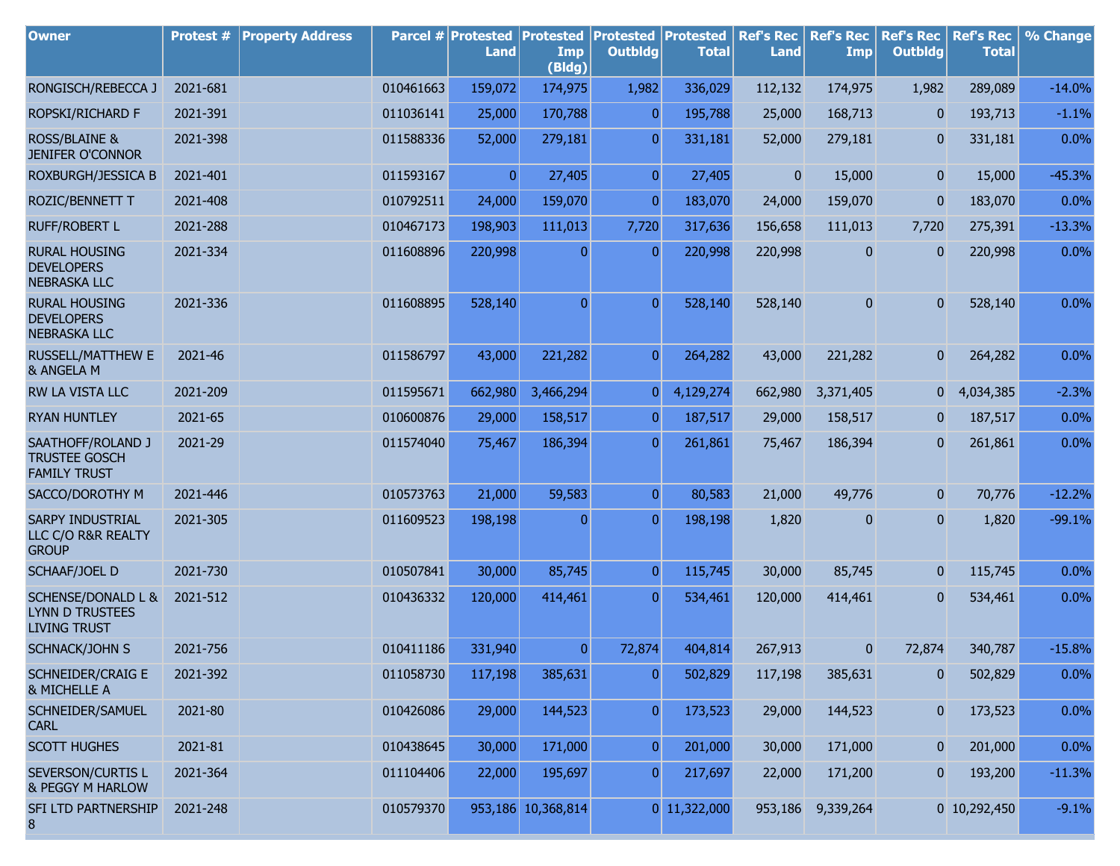| <b>Owner</b>                                                                   | <b>Protest #</b> | <b>Property Address</b> |           | Parcel # Protested<br><b>Land</b> | <b>Protested</b><br>Imp<br>(Bldg) | <b>Protested Protested</b><br><b>Outbldg</b> | <b>Total</b>   | <b>Ref's Rec</b><br><b>Land</b> | <b>Ref's Rec</b><br>Imp | <b>Ref's Rec</b><br><b>Outbldg</b> | <b>Ref's Rec</b><br><b>Total</b> | % Change |
|--------------------------------------------------------------------------------|------------------|-------------------------|-----------|-----------------------------------|-----------------------------------|----------------------------------------------|----------------|---------------------------------|-------------------------|------------------------------------|----------------------------------|----------|
| RONGISCH/REBECCA J                                                             | 2021-681         |                         | 010461663 | 159,072                           | 174,975                           | 1,982                                        | 336,029        | 112,132                         | 174,975                 | 1,982                              | 289,089                          | $-14.0%$ |
| ROPSKI/RICHARD F                                                               | 2021-391         |                         | 011036141 | 25,000                            | 170,788                           | $\overline{0}$                               | 195,788        | 25,000                          | 168,713                 | $\mathbf{0}$                       | 193,713                          | $-1.1%$  |
| <b>ROSS/BLAINE &amp;</b><br><b>JENIFER O'CONNOR</b>                            | 2021-398         |                         | 011588336 | 52,000                            | 279,181                           | $\overline{0}$                               | 331,181        | 52,000                          | 279,181                 | $\overline{0}$                     | 331,181                          | 0.0%     |
| ROXBURGH/JESSICA B                                                             | 2021-401         |                         | 011593167 | $\overline{0}$                    | 27,405                            | $\overline{0}$                               | 27,405         | $\overline{0}$                  | 15,000                  | $\overline{0}$                     | 15,000                           | $-45.3%$ |
| ROZIC/BENNETT T                                                                | 2021-408         |                         | 010792511 | 24,000                            | 159,070                           | $\overline{0}$                               | 183,070        | 24,000                          | 159,070                 | $\bf{0}$                           | 183,070                          | 0.0%     |
| <b>RUFF/ROBERT L</b>                                                           | 2021-288         |                         | 010467173 | 198,903                           | 111,013                           | 7,720                                        | 317,636        | 156,658                         | 111,013                 | 7,720                              | 275,391                          | $-13.3%$ |
| <b>RURAL HOUSING</b><br><b>DEVELOPERS</b><br><b>NEBRASKA LLC</b>               | 2021-334         |                         | 011608896 | 220,998                           | $\mathbf{0}$                      | $\overline{0}$                               | 220,998        | 220,998                         | 0                       | $\bf{0}$                           | 220,998                          | 0.0%     |
| <b>RURAL HOUSING</b><br><b>DEVELOPERS</b><br><b>NEBRASKA LLC</b>               | 2021-336         |                         | 011608895 | 528,140                           | $\mathbf{0}$                      | $\overline{0}$                               | 528,140        | 528,140                         | $\mathbf{0}$            | $\mathbf{0}$                       | 528,140                          | 0.0%     |
| <b>RUSSELL/MATTHEW E</b><br>& ANGELA M                                         | 2021-46          |                         | 011586797 | 43,000                            | 221,282                           | $\overline{0}$                               | 264,282        | 43,000                          | 221,282                 | $\overline{0}$                     | 264,282                          | 0.0%     |
| RW LA VISTA LLC                                                                | 2021-209         |                         | 011595671 | 662,980                           | 3,466,294                         | $\overline{0}$                               | 4,129,274      | 662,980                         | 3,371,405               | 0                                  | 4,034,385                        | $-2.3%$  |
| <b>RYAN HUNTLEY</b>                                                            | 2021-65          |                         | 010600876 | 29,000                            | 158,517                           | $\overline{0}$                               | 187,517        | 29,000                          | 158,517                 | $\mathbf{0}$                       | 187,517                          | 0.0%     |
| SAATHOFF/ROLAND J<br><b>TRUSTEE GOSCH</b><br><b>FAMILY TRUST</b>               | 2021-29          |                         | 011574040 | 75,467                            | 186,394                           | $\overline{0}$                               | 261,861        | 75,467                          | 186,394                 | $\mathbf{0}$                       | 261,861                          | 0.0%     |
| SACCO/DOROTHY M                                                                | 2021-446         |                         | 010573763 | 21,000                            | 59,583                            | $\overline{0}$                               | 80,583         | 21,000                          | 49,776                  | $\mathbf{0}$                       | 70,776                           | $-12.2%$ |
| SARPY INDUSTRIAL<br>LLC C/O R&R REALTY<br><b>GROUP</b>                         | 2021-305         |                         | 011609523 | 198,198                           | $\mathbf{0}$                      | $\overline{0}$                               | 198,198        | 1,820                           | 0                       | $\bf{0}$                           | 1,820                            | $-99.1%$ |
| SCHAAF/JOEL D                                                                  | 2021-730         |                         | 010507841 | 30,000                            | 85,745                            | $\overline{0}$                               | 115,745        | 30,000                          | 85,745                  | $\mathbf{0}$                       | 115,745                          | 0.0%     |
| <b>SCHENSE/DONALD L &amp;</b><br><b>LYNN D TRUSTEES</b><br><b>LIVING TRUST</b> | 2021-512         |                         | 010436332 | 120,000                           | 414,461                           | $\overline{0}$                               | 534,461        | 120,000                         | 414,461                 | $\mathbf{0}$                       | 534,461                          | 0.0%     |
| SCHNACK/JOHN S                                                                 | 2021-756         |                         | 010411186 | 331,940                           | $\pmb{0}$                         | 72,874                                       | 404,814        | 267,913                         | $\mathbf{0}$            | 72,874                             | 340,787                          | $-15.8%$ |
| <b>SCHNEIDER/CRAIG E</b><br>& MICHELLE A                                       | 2021-392         |                         | 011058730 | 117,198                           | 385,631                           | $\overline{0}$                               | 502,829        | 117,198                         | 385,631                 | $\bf{0}$                           | 502,829                          | 0.0%     |
| SCHNEIDER/SAMUEL<br><b>CARL</b>                                                | 2021-80          |                         | 010426086 | 29,000                            | 144,523                           | $\boldsymbol{0}$                             | 173,523        | 29,000                          | 144,523                 | $\mathbf{0}$                       | 173,523                          | 0.0%     |
| <b>SCOTT HUGHES</b>                                                            | 2021-81          |                         | 010438645 | 30,000                            | 171,000                           | $\overline{0}$                               | 201,000        | 30,000                          | 171,000                 | $\mathbf{0}$                       | 201,000                          | 0.0%     |
| SEVERSON/CURTIS L<br>& PEGGY M HARLOW                                          | 2021-364         |                         | 011104406 | 22,000                            | 195,697                           | $\overline{0}$                               | 217,697        | 22,000                          | 171,200                 | $\boldsymbol{0}$                   | 193,200                          | $-11.3%$ |
| SFI LTD PARTNERSHIP<br>8                                                       | 2021-248         |                         | 010579370 |                                   | 953,186 10,368,814                |                                              | $0$ 11,322,000 |                                 | 953,186 9,339,264       |                                    | 0 10,292,450                     | $-9.1%$  |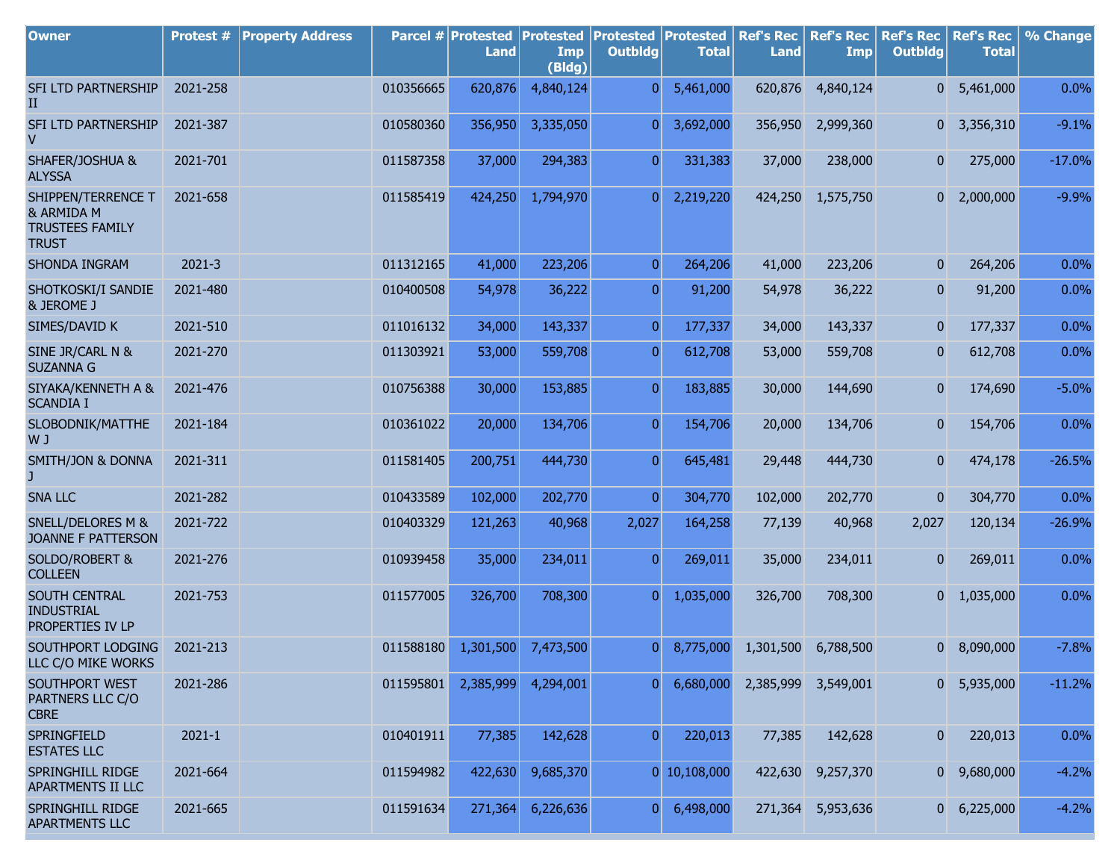| <b>Owner</b>                                                               | Protest #  | <b>Property Address</b> |           | Parcel # Protested   Protested   Protested   Protested<br><b>Land</b> | Imp<br>(Bldg) | <b>Outbldg</b> | <b>Total</b>   | <b>Land</b> | Ref's Rec   Ref's Rec  <br>Imp | <b>Outbldg</b>   | Ref's Rec   Ref's Rec  <br><b>Total</b> | % Change |
|----------------------------------------------------------------------------|------------|-------------------------|-----------|-----------------------------------------------------------------------|---------------|----------------|----------------|-------------|--------------------------------|------------------|-----------------------------------------|----------|
| SFI LTD PARTNERSHIP<br>II                                                  | 2021-258   |                         | 010356665 | 620,876                                                               | 4,840,124     | $\overline{0}$ | 5,461,000      | 620,876     | 4,840,124                      | $\overline{0}$   | 5,461,000                               | 0.0%     |
| SFI LTD PARTNERSHIP<br>V                                                   | 2021-387   |                         | 010580360 | 356,950                                                               | 3,335,050     | $\overline{0}$ | 3,692,000      | 356,950     | 2,999,360                      |                  | $0\quad 3,356,310$                      | $-9.1%$  |
| SHAFER/JOSHUA &<br><b>ALYSSA</b>                                           | 2021-701   |                         | 011587358 | 37,000                                                                | 294,383       | $\overline{0}$ | 331,383        | 37,000      | 238,000                        | $\mathbf{0}$     | 275,000                                 | $-17.0%$ |
| SHIPPEN/TERRENCE T<br>& ARMIDA M<br><b>TRUSTEES FAMILY</b><br><b>TRUST</b> | 2021-658   |                         | 011585419 | 424,250                                                               | 1,794,970     | $\overline{0}$ | 2,219,220      | 424,250     | 1,575,750                      | $\overline{0}$   | 2,000,000                               | $-9.9%$  |
| SHONDA INGRAM                                                              | 2021-3     |                         | 011312165 | 41,000                                                                | 223,206       | 0              | 264,206        | 41,000      | 223,206                        | 0                | 264,206                                 | 0.0%     |
| SHOTKOSKI/I SANDIE<br>& JEROME J                                           | 2021-480   |                         | 010400508 | 54,978                                                                | 36,222        | $\overline{0}$ | 91,200         | 54,978      | 36,222                         | $\boldsymbol{0}$ | 91,200                                  | 0.0%     |
| SIMES/DAVID K                                                              | 2021-510   |                         | 011016132 | 34,000                                                                | 143,337       | $\overline{0}$ | 177,337        | 34,000      | 143,337                        | $\mathbf{0}$     | 177,337                                 | 0.0%     |
| SINE JR/CARL N &<br><b>SUZANNA G</b>                                       | 2021-270   |                         | 011303921 | 53,000                                                                | 559,708       | $\overline{0}$ | 612,708        | 53,000      | 559,708                        | $\boldsymbol{0}$ | 612,708                                 | 0.0%     |
| SIYAKA/KENNETH A &<br><b>SCANDIA I</b>                                     | 2021-476   |                         | 010756388 | 30,000                                                                | 153,885       | $\overline{0}$ | 183,885        | 30,000      | 144,690                        | $\overline{0}$   | 174,690                                 | $-5.0%$  |
| SLOBODNIK/MATTHE<br>W J                                                    | 2021-184   |                         | 010361022 | 20,000                                                                | 134,706       | $\overline{0}$ | 154,706        | 20,000      | 134,706                        | $\mathbf{0}$     | 154,706                                 | 0.0%     |
| SMITH/JON & DONNA                                                          | 2021-311   |                         | 011581405 | 200,751                                                               | 444,730       | $\overline{0}$ | 645,481        | 29,448      | 444,730                        | $\mathbf{0}$     | 474,178                                 | $-26.5%$ |
| <b>SNA LLC</b>                                                             | 2021-282   |                         | 010433589 | 102,000                                                               | 202,770       | $\overline{0}$ | 304,770        | 102,000     | 202,770                        | $\overline{0}$   | 304,770                                 | 0.0%     |
| SNELL/DELORES M &<br>JOANNE F PATTERSON                                    | 2021-722   |                         | 010403329 | 121,263                                                               | 40,968        | 2,027          | 164,258        | 77,139      | 40,968                         | 2,027            | 120,134                                 | $-26.9%$ |
| SOLDO/ROBERT &<br><b>COLLEEN</b>                                           | 2021-276   |                         | 010939458 | 35,000                                                                | 234,011       | $\overline{0}$ | 269,011        | 35,000      | 234,011                        | $\mathbf{0}$     | 269,011                                 | 0.0%     |
| SOUTH CENTRAL<br><b>INDUSTRIAL</b><br>PROPERTIES IV LP                     | 2021-753   |                         | 011577005 | 326,700                                                               | 708,300       | $\overline{0}$ | 1,035,000      | 326,700     | 708,300                        | $\overline{0}$   | 1,035,000                               | 0.0%     |
| SOUTHPORT LODGING<br>LLC C/O MIKE WORKS                                    | 2021-213   |                         | 011588180 | 1,301,500                                                             | 7,473,500     | $\overline{0}$ | 8,775,000      | 1,301,500   | 6,788,500                      | 0 <sup>1</sup>   | 8,090,000                               | $-7.8%$  |
| SOUTHPORT WEST<br>PARTNERS LLC C/O<br><b>CBRE</b>                          | 2021-286   |                         | 011595801 | 2,385,999                                                             | 4,294,001     | 0              | 6,680,000      |             | 2,385,999 3,549,001            | $\overline{0}$   | 5,935,000                               | $-11.2%$ |
| SPRINGFIELD<br><b>ESTATES LLC</b>                                          | $2021 - 1$ |                         | 010401911 | 77,385                                                                | 142,628       | $\overline{0}$ | 220,013        | 77,385      | 142,628                        | $\bf{0}$         | 220,013                                 | 0.0%     |
| SPRINGHILL RIDGE<br>APARTMENTS II LLC                                      | 2021-664   |                         | 011594982 | 422,630                                                               | 9,685,370     |                | $0$ 10,108,000 | 422,630     | 9,257,370                      | $\overline{0}$   | 9,680,000                               | $-4.2%$  |
| SPRINGHILL RIDGE<br><b>APARTMENTS LLC</b>                                  | 2021-665   |                         | 011591634 | 271,364                                                               | 6,226,636     | 0              | 6,498,000      |             | 271,364 5,953,636              | 0                | 6,225,000                               | $-4.2%$  |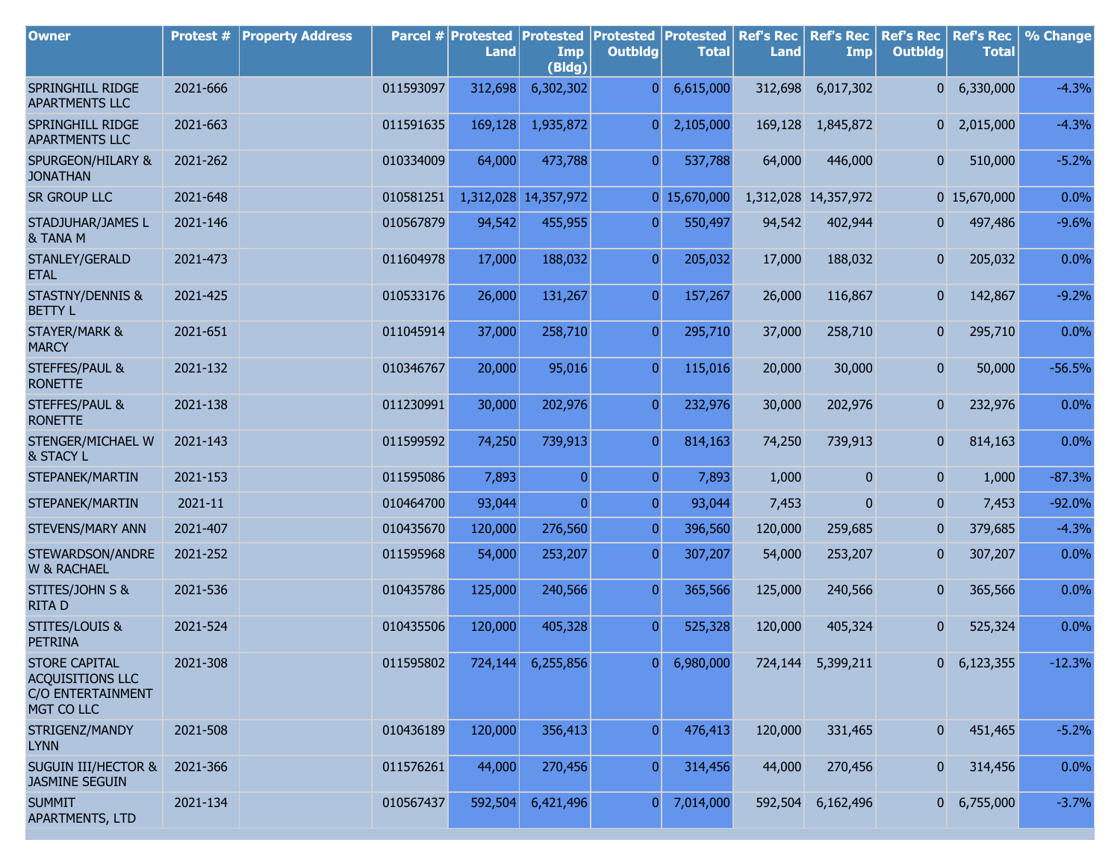| <b>Owner</b>                                                                       | Protest # | <b>Property Address</b> |           | Parcel # Protested<br><b>Land</b> | <b>Protested</b><br>Imp<br>(Bldg) | <b>Protested Protested</b><br><b>Outbldg</b> | <b>Total</b>        | <b>Ref's Rec</b><br><b>Land</b> | <b>Ref's Rec</b><br>Imp | <b>Ref's Rec</b><br><b>Outbldg</b> | <b>Ref's Rec</b><br><b>Total</b> | % Change |
|------------------------------------------------------------------------------------|-----------|-------------------------|-----------|-----------------------------------|-----------------------------------|----------------------------------------------|---------------------|---------------------------------|-------------------------|------------------------------------|----------------------------------|----------|
| SPRINGHILL RIDGE<br><b>APARTMENTS LLC</b>                                          | 2021-666  |                         | 011593097 | 312,698                           | 6,302,302                         | $\overline{0}$                               | 6,615,000           | 312,698                         | 6,017,302               |                                    | $0\quad 6,330,000$               | $-4.3%$  |
| SPRINGHILL RIDGE<br><b>APARTMENTS LLC</b>                                          | 2021-663  |                         | 011591635 | 169,128                           | 1,935,872                         | $\overline{0}$                               | 2,105,000           | 169,128                         | 1,845,872               |                                    | $0$ 2,015,000                    | $-4.3%$  |
| SPURGEON/HILARY &<br><b>JONATHAN</b>                                               | 2021-262  |                         | 010334009 | 64,000                            | 473,788                           | $\overline{0}$                               | 537,788             | 64,000                          | 446,000                 | $\mathbf{0}$                       | 510,000                          | $-5.2%$  |
| <b>SR GROUP LLC</b>                                                                | 2021-648  |                         | 010581251 | 1,312,028                         | 14,357,972                        |                                              | 0 15,670,000        |                                 | 1,312,028 14,357,972    |                                    | 0 15,670,000                     | 0.0%     |
| STADJUHAR/JAMES L<br>& TANA M                                                      | 2021-146  |                         | 010567879 | 94,542                            | 455,955                           | $\overline{0}$                               | 550,497             | 94,542                          | 402,944                 | 0                                  | 497,486                          | $-9.6%$  |
| STANLEY/GERALD<br><b>ETAL</b>                                                      | 2021-473  |                         | 011604978 | 17,000                            | 188,032                           | $\overline{0}$                               | 205,032             | 17,000                          | 188,032                 | $\overline{0}$                     | 205,032                          | 0.0%     |
| <b>STASTNY/DENNIS &amp;</b><br><b>BETTY L</b>                                      | 2021-425  |                         | 010533176 | 26,000                            | 131,267                           | $\overline{0}$                               | 157,267             | 26,000                          | 116,867                 | $\overline{0}$                     | 142,867                          | $-9.2%$  |
| <b>STAYER/MARK &amp;</b><br><b>MARCY</b>                                           | 2021-651  |                         | 011045914 | 37,000                            | 258,710                           | $\overline{0}$                               | 295,710             | 37,000                          | 258,710                 | 0                                  | 295,710                          | 0.0%     |
| <b>STEFFES/PAUL &amp;</b><br><b>RONETTE</b>                                        | 2021-132  |                         | 010346767 | 20,000                            | 95,016                            | $\overline{0}$                               | 115,016             | 20,000                          | 30,000                  | $\overline{0}$                     | 50,000                           | $-56.5%$ |
| <b>STEFFES/PAUL &amp;</b><br><b>RONETTE</b>                                        | 2021-138  |                         | 011230991 | 30,000                            | 202,976                           | $\overline{0}$                               | 232,976             | 30,000                          | 202,976                 | $\overline{0}$                     | 232,976                          | 0.0%     |
| STENGER/MICHAEL W<br>& STACY L                                                     | 2021-143  |                         | 011599592 | 74,250                            | 739,913                           | $\overline{0}$                               | 814,163             | 74,250                          | 739,913                 | 0                                  | 814,163                          | 0.0%     |
| STEPANEK/MARTIN                                                                    | 2021-153  |                         | 011595086 | 7,893                             | $\overline{0}$                    | $\overline{0}$                               | 7,893               | 1,000                           | 0                       | $\overline{0}$                     | 1,000                            | $-87.3%$ |
| STEPANEK/MARTIN                                                                    | 2021-11   |                         | 010464700 | 93,044                            | $\overline{0}$                    | $\overline{0}$                               | 93,044              | 7,453                           | $\mathbf 0$             | $\overline{0}$                     | 7,453                            | $-92.0%$ |
| STEVENS/MARY ANN                                                                   | 2021-407  |                         | 010435670 | 120,000                           | 276,560                           | $\overline{0}$                               | 396,560             | 120,000                         | 259,685                 | $\boldsymbol{0}$                   | 379,685                          | $-4.3%$  |
| STEWARDSON/ANDRE<br><b>W &amp; RACHAEL</b>                                         | 2021-252  |                         | 011595968 | 54,000                            | 253,207                           | $\overline{0}$                               | 307,207             | 54,000                          | 253,207                 | $\boldsymbol{0}$                   | 307,207                          | 0.0%     |
| STITES/JOHN S &<br><b>RITAD</b>                                                    | 2021-536  |                         | 010435786 | 125,000                           | 240,566                           | $\overline{0}$                               | 365,566             | 125,000                         | 240,566                 | $\overline{0}$                     | 365,566                          | 0.0%     |
| <b>STITES/LOUIS &amp;</b><br><b>PETRINA</b>                                        | 2021-524  |                         | 010435506 | 120,000                           | 405,328                           | $\overline{0}$                               | 525,328             | 120,000                         | 405,324                 | $\overline{0}$                     | 525,324                          | 0.0%     |
| <b>STORE CAPITAL</b><br><b>ACQUISITIONS LLC</b><br>C/O ENTERTAINMENT<br>MGT CO LLC | 2021-308  |                         | 011595802 |                                   | 724,144 6,255,856                 |                                              | $0 \quad 6,980,000$ |                                 | 724,144 5,399,211       |                                    | $0$ 6,123,355                    | $-12.3%$ |
| STRIGENZ/MANDY<br><b>LYNN</b>                                                      | 2021-508  |                         | 010436189 | 120,000                           | 356,413                           | $\overline{0}$                               | 476,413             | 120,000                         | 331,465                 | 0                                  | 451,465                          | $-5.2%$  |
| <b>SUGUIN III/HECTOR &amp;</b><br><b>JASMINE SEGUIN</b>                            | 2021-366  |                         | 011576261 | 44,000                            | 270,456                           | $\overline{0}$                               | 314,456             | 44,000                          | 270,456                 | $\mathbf{0}$                       | 314,456                          | 0.0%     |
| <b>SUMMIT</b><br><b>APARTMENTS, LTD</b>                                            | 2021-134  |                         | 010567437 | 592,504                           | 6,421,496                         | $\overline{0}$                               | 7,014,000           | 592,504                         | 6,162,496               | $\overline{0}$                     | 6,755,000                        | $-3.7%$  |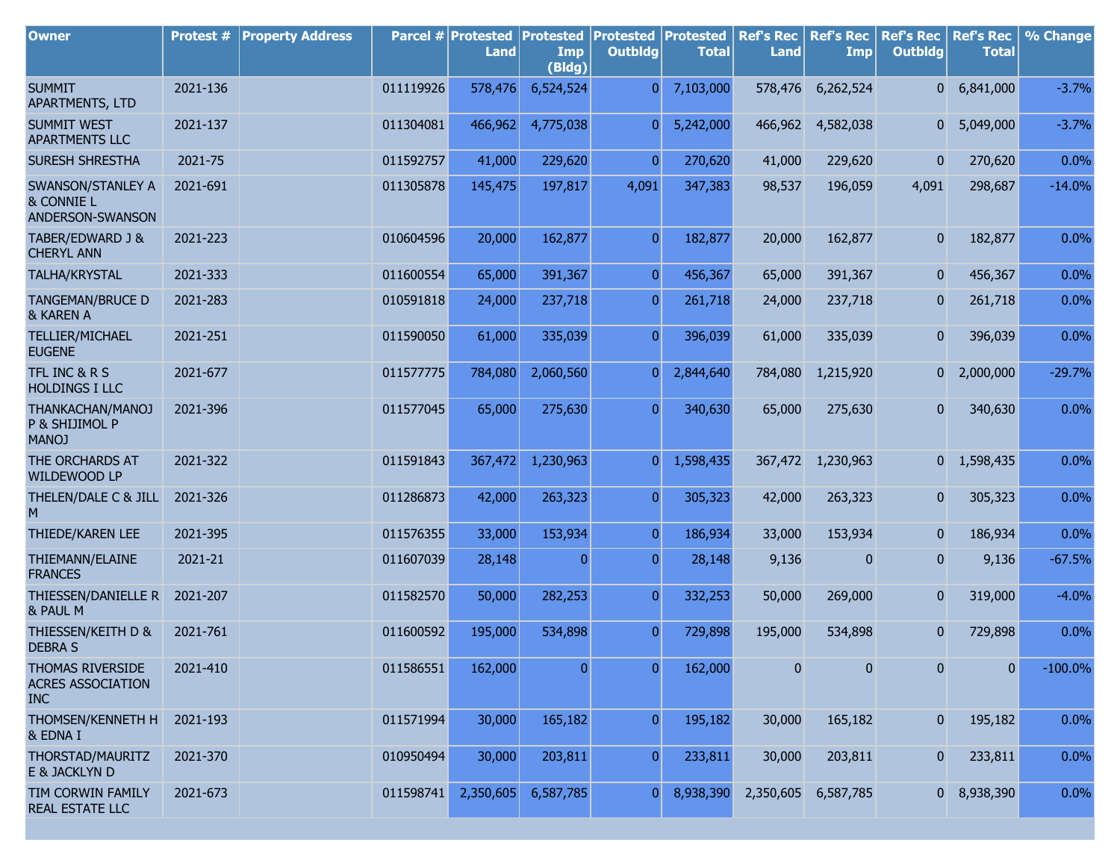| <b>Owner</b>                                               | Protest # | <b>Property Address</b> |           | Parcel # Protested<br>Land | <b>Protested</b><br>Imp<br>(Bldg) | <b>Protested</b><br><b>Outbldg</b> | <b>Protested</b><br><b>Total</b> | <b>Ref's Rec</b><br><b>Land</b> | <b>Ref's Rec</b><br><b>Imp</b> | <b>Ref's Rec</b><br><b>Outbldg</b> | <b>Ref's Rec</b><br><b>Total</b> | % Change   |
|------------------------------------------------------------|-----------|-------------------------|-----------|----------------------------|-----------------------------------|------------------------------------|----------------------------------|---------------------------------|--------------------------------|------------------------------------|----------------------------------|------------|
| <b>SUMMIT</b><br>APARTMENTS, LTD                           | 2021-136  |                         | 011119926 | 578,476                    | 6,524,524                         | $\overline{0}$                     | 7,103,000                        | 578,476                         | 6,262,524                      | 0                                  | 6,841,000                        | $-3.7%$    |
| <b>SUMMIT WEST</b><br><b>APARTMENTS LLC</b>                | 2021-137  |                         | 011304081 | 466,962                    | 4,775,038                         | $\overline{0}$                     | 5,242,000                        | 466,962                         | 4,582,038                      | $\overline{0}$                     | 5,049,000                        | $-3.7%$    |
| <b>SURESH SHRESTHA</b>                                     | 2021-75   |                         | 011592757 | 41,000                     | 229,620                           | $\overline{0}$                     | 270,620                          | 41,000                          | 229,620                        | $\overline{0}$                     | 270,620                          | 0.0%       |
| SWANSON/STANLEY A<br>& CONNIE L<br>ANDERSON-SWANSON        | 2021-691  |                         | 011305878 | 145,475                    | 197,817                           | 4,091                              | 347,383                          | 98,537                          | 196,059                        | 4,091                              | 298,687                          | $-14.0%$   |
| TABER/EDWARD J &<br><b>CHERYL ANN</b>                      | 2021-223  |                         | 010604596 | 20,000                     | 162,877                           | $\overline{0}$                     | 182,877                          | 20,000                          | 162,877                        | $\mathbf{0}$                       | 182,877                          | 0.0%       |
| TALHA/KRYSTAL                                              | 2021-333  |                         | 011600554 | 65,000                     | 391,367                           | $\overline{0}$                     | 456,367                          | 65,000                          | 391,367                        | $\mathbf{0}$                       | 456,367                          | $0.0\%$    |
| <b>TANGEMAN/BRUCE D</b><br>& KAREN A                       | 2021-283  |                         | 010591818 | 24,000                     | 237,718                           | 0                                  | 261,718                          | 24,000                          | 237,718                        | $\mathbf{0}$                       | 261,718                          | 0.0%       |
| TELLIER/MICHAEL<br><b>EUGENE</b>                           | 2021-251  |                         | 011590050 | 61,000                     | 335,039                           | $\overline{0}$                     | 396,039                          | 61,000                          | 335,039                        | $\overline{0}$                     | 396,039                          | 0.0%       |
| TFL INC & R S<br><b>HOLDINGS I LLC</b>                     | 2021-677  |                         | 011577775 | 784,080                    | 2,060,560                         | $\overline{0}$                     | 2,844,640                        | 784,080                         | 1,215,920                      | $\overline{0}$                     | 2,000,000                        | $-29.7%$   |
| THANKACHAN/MANOJ<br>P & SHIJIMOL P<br><b>MANOJ</b>         | 2021-396  |                         | 011577045 | 65,000                     | 275,630                           | $\overline{0}$                     | 340,630                          | 65,000                          | 275,630                        | $\overline{0}$                     | 340,630                          | 0.0%       |
| THE ORCHARDS AT<br>WILDEWOOD LP                            | 2021-322  |                         | 011591843 | 367,472                    | 1,230,963                         | $\overline{0}$                     | 1,598,435                        |                                 | 367,472 1,230,963              |                                    | $0\quad 1,598,435$               | 0.0%       |
| THELEN/DALE C & JILL<br>M                                  | 2021-326  |                         | 011286873 | 42,000                     | 263,323                           | $\overline{0}$                     | 305,323                          | 42,000                          | 263,323                        | $\overline{0}$                     | 305,323                          | 0.0%       |
| THIEDE/KAREN LEE                                           | 2021-395  |                         | 011576355 | 33,000                     | 153,934                           | $\overline{0}$                     | 186,934                          | 33,000                          | 153,934                        | $\overline{0}$                     | 186,934                          | 0.0%       |
| THIEMANN/ELAINE<br><b>FRANCES</b>                          | 2021-21   |                         | 011607039 | 28,148                     | $\overline{0}$                    | $\overline{0}$                     | 28,148                           | 9,136                           | $\mathbf{0}$                   | $\overline{0}$                     | 9,136                            | $-67.5%$   |
| THIESSEN/DANIELLE R<br>& PAUL M                            | 2021-207  |                         | 011582570 | 50,000                     | 282,253                           | $\overline{0}$                     | 332,253                          | 50,000                          | 269,000                        | $\mathbf{0}$                       | 319,000                          | $-4.0%$    |
| THIESSEN/KEITH D &<br><b>DEBRA S</b>                       | 2021-761  |                         | 011600592 | 195,000                    | 534,898                           | $\overline{0}$                     | 729,898                          | 195,000                         | 534,898                        | 0                                  | 729,898                          | 0.0%       |
| THOMAS RIVERSIDE<br><b>ACRES ASSOCIATION</b><br><b>INC</b> | 2021-410  |                         | 011586551 | 162,000                    | 0                                 | 0                                  | 162,000                          | 0                               | $\overline{0}$                 | $\mathbf{0}$                       | $\mathbf{0}$                     | $-100.0\%$ |
| THOMSEN/KENNETH H<br>& EDNA I                              | 2021-193  |                         | 011571994 | 30,000                     | 165,182                           | $\mathbf{0}$                       | 195,182                          | 30,000                          | 165,182                        | $\overline{0}$                     | 195,182                          | 0.0%       |
| THORSTAD/MAURITZ<br>E & JACKLYN D                          | 2021-370  |                         | 010950494 | 30,000                     | 203,811                           | $\overline{0}$                     | 233,811                          | 30,000                          | 203,811                        | 0                                  | 233,811                          | 0.0%       |
| TIM CORWIN FAMILY<br><b>REAL ESTATE LLC</b>                | 2021-673  |                         | 011598741 | 2,350,605                  | 6,587,785                         | $\overline{0}$                     | 8,938,390                        | 2,350,605                       | 6,587,785                      | 0                                  | 8,938,390                        | 0.0%       |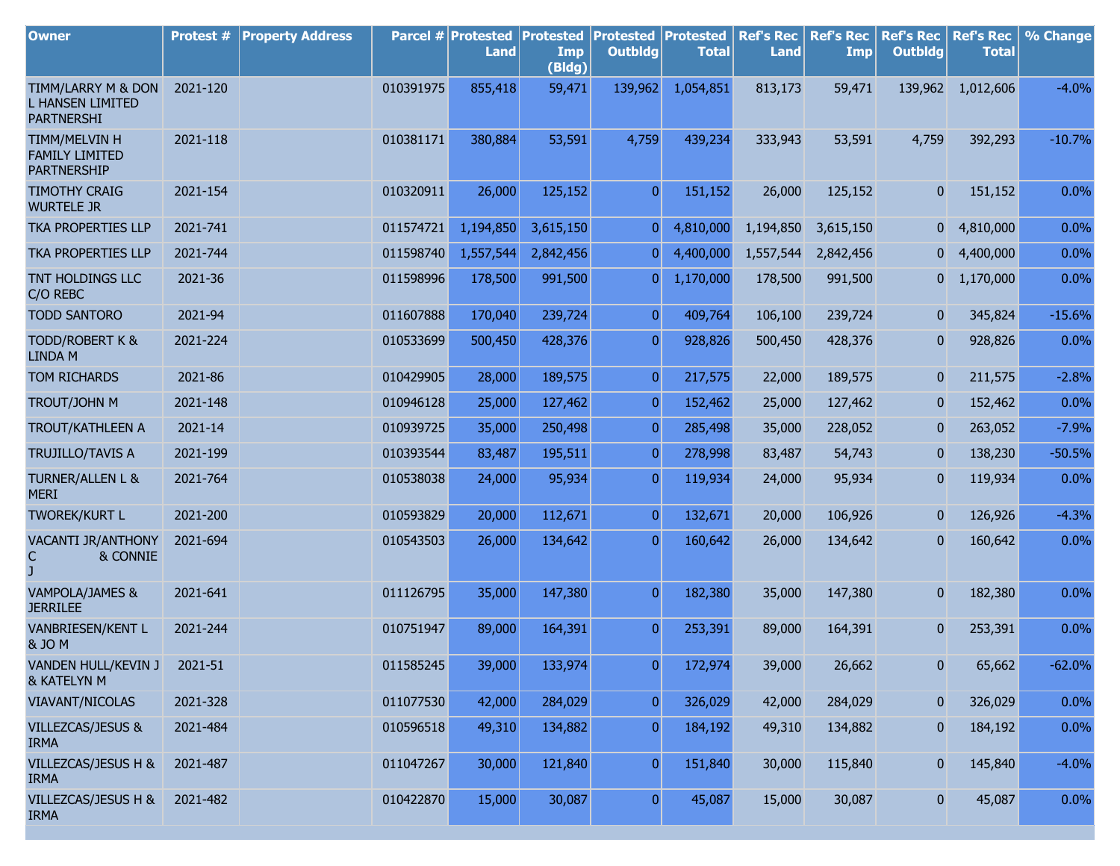| <b>Owner</b>                                                       | <b>Protest #</b> | <b>Property Address</b> |           | Parcel # Protested<br><b>Land</b> | <b>Protested</b><br>Imp<br>(Bldg) | <b>Protested</b><br><b>Outbldg</b> | Protested<br><b>Total</b> | <b>Ref's Rec</b><br><b>Land</b> | <b>Ref's Rec</b><br>Imp | <b>Ref's Rec</b><br><b>Outbldg</b> | <b>Ref's Rec</b><br><b>Total</b> | % Change |
|--------------------------------------------------------------------|------------------|-------------------------|-----------|-----------------------------------|-----------------------------------|------------------------------------|---------------------------|---------------------------------|-------------------------|------------------------------------|----------------------------------|----------|
| TIMM/LARRY M & DON<br><b>L HANSEN LIMITED</b><br><b>PARTNERSHI</b> | 2021-120         |                         | 010391975 | 855,418                           | 59,471                            | 139,962                            | 1,054,851                 | 813,173                         | 59,471                  | 139,962                            | 1,012,606                        | $-4.0%$  |
| TIMM/MELVIN H<br><b>FAMILY LIMITED</b><br><b>PARTNERSHIP</b>       | 2021-118         |                         | 010381171 | 380,884                           | 53,591                            | 4,759                              | 439,234                   | 333,943                         | 53,591                  | 4,759                              | 392,293                          | $-10.7%$ |
| <b>TIMOTHY CRAIG</b><br><b>WURTELE JR</b>                          | 2021-154         |                         | 010320911 | 26,000                            | 125,152                           | $\overline{0}$                     | 151,152                   | 26,000                          | 125,152                 | 0                                  | 151,152                          | 0.0%     |
| <b>TKA PROPERTIES LLP</b>                                          | 2021-741         |                         | 011574721 | 1,194,850                         | 3,615,150                         | 0                                  | 4,810,000                 | 1,194,850                       | 3,615,150               |                                    | $0\quad 4,810,000$               | 0.0%     |
| <b>TKA PROPERTIES LLP</b>                                          | 2021-744         |                         | 011598740 | 1,557,544                         | 2,842,456                         | $\overline{0}$                     | 4,400,000                 | 1,557,544                       | 2,842,456               | $\overline{0}$                     | 4,400,000                        | 0.0%     |
| TNT HOLDINGS LLC<br>C/O REBC                                       | 2021-36          |                         | 011598996 | 178,500                           | 991,500                           | $\boldsymbol{0}$                   | 1,170,000                 | 178,500                         | 991,500                 | 01                                 | 1,170,000                        | 0.0%     |
| <b>TODD SANTORO</b>                                                | 2021-94          |                         | 011607888 | 170,040                           | 239,724                           | $\overline{0}$                     | 409,764                   | 106,100                         | 239,724                 | 0                                  | 345,824                          | $-15.6%$ |
| TODD/ROBERT K &<br><b>LINDA M</b>                                  | 2021-224         |                         | 010533699 | 500,450                           | 428,376                           | $\overline{0}$                     | 928,826                   | 500,450                         | 428,376                 | 0                                  | 928,826                          | 0.0%     |
| <b>TOM RICHARDS</b>                                                | 2021-86          |                         | 010429905 | 28,000                            | 189,575                           | $\overline{0}$                     | 217,575                   | 22,000                          | 189,575                 | 0                                  | 211,575                          | $-2.8%$  |
| TROUT/JOHN M                                                       | 2021-148         |                         | 010946128 | 25,000                            | 127,462                           | $\overline{0}$                     | 152,462                   | 25,000                          | 127,462                 | 0                                  | 152,462                          | 0.0%     |
| <b>TROUT/KATHLEEN A</b>                                            | 2021-14          |                         | 010939725 | 35,000                            | 250,498                           | $\overline{0}$                     | 285,498                   | 35,000                          | 228,052                 | 0                                  | 263,052                          | $-7.9%$  |
| <b>TRUJILLO/TAVIS A</b>                                            | 2021-199         |                         | 010393544 | 83,487                            | 195,511                           | $\overline{0}$                     | 278,998                   | 83,487                          | 54,743                  | 0                                  | 138,230                          | $-50.5%$ |
| <b>TURNER/ALLEN L &amp;</b><br><b>MERI</b>                         | 2021-764         |                         | 010538038 | 24,000                            | 95,934                            | $\overline{0}$                     | 119,934                   | 24,000                          | 95,934                  | 0                                  | 119,934                          | 0.0%     |
| <b>TWOREK/KURT L</b>                                               | 2021-200         |                         | 010593829 | 20,000                            | 112,671                           | $\overline{0}$                     | 132,671                   | 20,000                          | 106,926                 | $\mathbf{0}$                       | 126,926                          | $-4.3%$  |
| <b>VACANTI JR/ANTHONY</b><br>& CONNIE<br>С                         | 2021-694         |                         | 010543503 | 26,000                            | 134,642                           | $\overline{0}$                     | 160,642                   | 26,000                          | 134,642                 | $\mathbf{0}$                       | 160,642                          | 0.0%     |
| VAMPOLA/JAMES &<br><b>JERRILEE</b>                                 | 2021-641         |                         | 011126795 | 35,000                            | 147,380                           | $\overline{0}$                     | 182,380                   | 35,000                          | 147,380                 | $\mathbf{0}$                       | 182,380                          | 0.0%     |
| VANBRIESEN/KENT L<br>& JO M                                        | 2021-244         |                         | 010751947 | 89,000                            | 164,391                           | $\overline{0}$                     | 253,391                   | 89,000                          | 164,391                 | 0                                  | 253,391                          | 0.0%     |
| VANDEN HULL/KEVIN J<br>& KATELYN M                                 | 2021-51          |                         | 011585245 | 39,000                            | 133,974                           | 0                                  | 172,974                   | 39,000                          | 26,662                  | 0                                  | 65,662                           | $-62.0%$ |
| VIAVANT/NICOLAS                                                    | 2021-328         |                         | 011077530 | 42,000                            | 284,029                           | $\overline{0}$                     | 326,029                   | 42,000                          | 284,029                 | 0                                  | 326,029                          | 0.0%     |
| VILLEZCAS/JESUS &<br><b>IRMA</b>                                   | 2021-484         |                         | 010596518 | 49,310                            | 134,882                           | $\boldsymbol{0}$                   | 184,192                   | 49,310                          | 134,882                 | 0                                  | 184,192                          | 0.0%     |
| VILLEZCAS/JESUS H &<br><b>IRMA</b>                                 | 2021-487         |                         | 011047267 | 30,000                            | 121,840                           | $\overline{0}$                     | 151,840                   | 30,000                          | 115,840                 | $\mathbf{0}$                       | 145,840                          | $-4.0%$  |
| VILLEZCAS/JESUS H &<br><b>IRMA</b>                                 | 2021-482         |                         | 010422870 | 15,000                            | 30,087                            | $\overline{0}$                     | 45,087                    | 15,000                          | 30,087                  | $\bf{0}$                           | 45,087                           | 0.0%     |

r.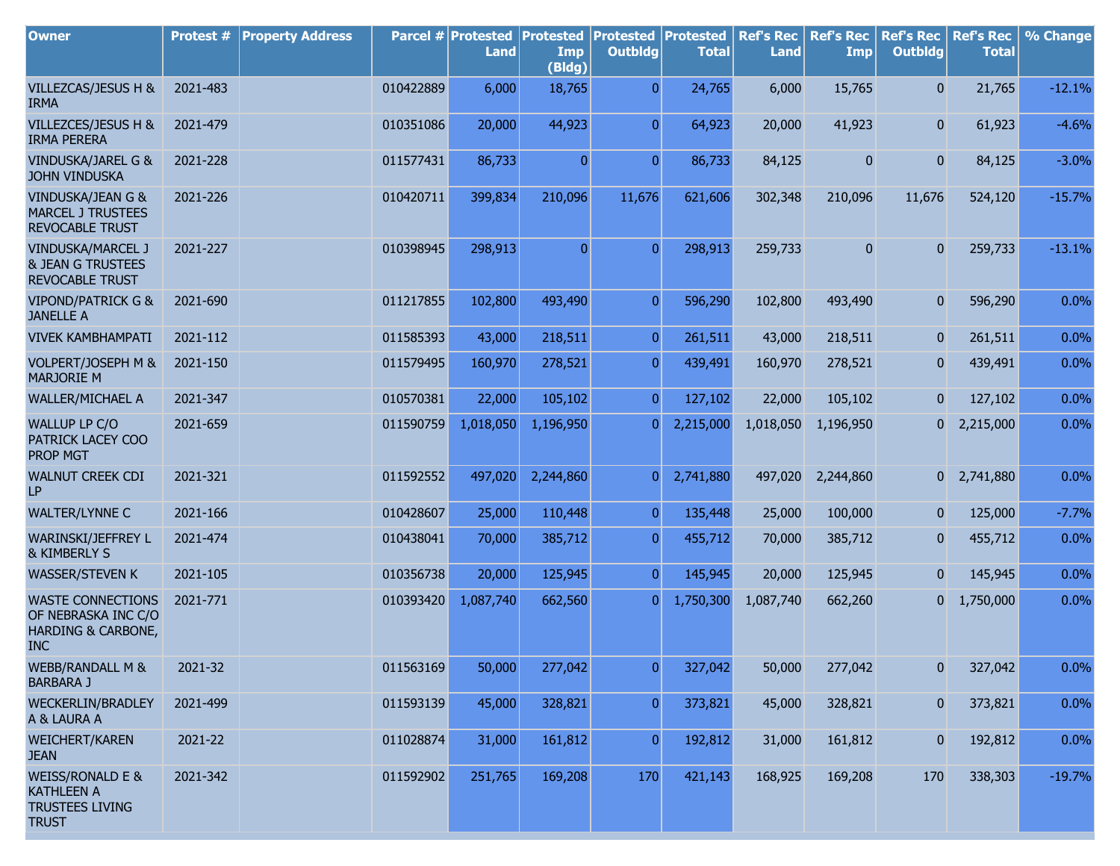| <b>Owner</b>                                                                               | Protest # | <b>Property Address</b> |           | Parcel # Protested<br><b>Land</b> | <b>Protested</b><br>Imp<br>(Bldg) | <b>Protested</b><br><b>Outbldg</b> | Protested<br><b>Total</b> | <b>Ref's Rec</b><br><b>Land</b> | <b>Ref's Rec</b><br>Imp | <b>Ref's Rec</b><br><b>Outbldg</b> | <b>Ref's Rec</b><br><b>Total</b> | % Change |
|--------------------------------------------------------------------------------------------|-----------|-------------------------|-----------|-----------------------------------|-----------------------------------|------------------------------------|---------------------------|---------------------------------|-------------------------|------------------------------------|----------------------------------|----------|
| VILLEZCAS/JESUS H &<br><b>IRMA</b>                                                         | 2021-483  |                         | 010422889 | 6,000                             | 18,765                            | $\overline{0}$                     | 24,765                    | 6,000                           | 15,765                  | $\overline{0}$                     | 21,765                           | $-12.1%$ |
| VILLEZCES/JESUS H &<br><b>IRMA PERERA</b>                                                  | 2021-479  |                         | 010351086 | 20,000                            | 44,923                            | $\overline{0}$                     | 64,923                    | 20,000                          | 41,923                  | $\overline{0}$                     | 61,923                           | $-4.6%$  |
| VINDUSKA/JAREL G &<br><b>JOHN VINDUSKA</b>                                                 | 2021-228  |                         | 011577431 | 86,733                            | $\mathbf{0}$                      | $\overline{0}$                     | 86,733                    | 84,125                          | 0                       | $\boldsymbol{0}$                   | 84,125                           | $-3.0%$  |
| VINDUSKA/JEAN G &<br><b>MARCEL J TRUSTEES</b><br><b>REVOCABLE TRUST</b>                    | 2021-226  |                         | 010420711 | 399,834                           | 210,096                           | 11,676                             | 621,606                   | 302,348                         | 210,096                 | 11,676                             | 524,120                          | $-15.7%$ |
| VINDUSKA/MARCEL J<br><b>&amp; JEAN G TRUSTEES</b><br><b>REVOCABLE TRUST</b>                | 2021-227  |                         | 010398945 | 298,913                           | 0                                 | $\overline{0}$                     | 298,913                   | 259,733                         | $\overline{0}$          | 0                                  | 259,733                          | $-13.1%$ |
| <b>VIPOND/PATRICK G &amp;</b><br><b>JANELLE A</b>                                          | 2021-690  |                         | 011217855 | 102,800                           | 493,490                           | $\overline{0}$                     | 596,290                   | 102,800                         | 493,490                 | 0                                  | 596,290                          | 0.0%     |
| <b>VIVEK KAMBHAMPATI</b>                                                                   | 2021-112  |                         | 011585393 | 43,000                            | 218,511                           | $\overline{0}$                     | 261,511                   | 43,000                          | 218,511                 | $\overline{0}$                     | 261,511                          | 0.0%     |
| VOLPERT/JOSEPH M &<br><b>MARJORIE M</b>                                                    | 2021-150  |                         | 011579495 | 160,970                           | 278,521                           | $\overline{0}$                     | 439,491                   | 160,970                         | 278,521                 | $\bf{0}$                           | 439,491                          | 0.0%     |
| <b>WALLER/MICHAEL A</b>                                                                    | 2021-347  |                         | 010570381 | 22,000                            | 105,102                           | $\overline{0}$                     | 127,102                   | 22,000                          | 105,102                 | 0                                  | 127,102                          | 0.0%     |
| WALLUP LP C/O<br>PATRICK LACEY COO<br><b>PROP MGT</b>                                      | 2021-659  |                         | 011590759 | 1,018,050                         | 1,196,950                         | $\overline{0}$                     | 2,215,000                 | 1,018,050                       | 1,196,950               | 0                                  | 2,215,000                        | 0.0%     |
| WALNUT CREEK CDI<br>LP                                                                     | 2021-321  |                         | 011592552 | 497,020                           | 2,244,860                         | $\overline{0}$                     | 2,741,880                 | 497,020                         | 2,244,860               |                                    | $0\quad 2,741,880$               | 0.0%     |
| <b>WALTER/LYNNE C</b>                                                                      | 2021-166  |                         | 010428607 | 25,000                            | 110,448                           | $\overline{0}$                     | 135,448                   | 25,000                          | 100,000                 | 0                                  | 125,000                          | $-7.7%$  |
| WARINSKI/JEFFREY L<br>& KIMBERLY S                                                         | 2021-474  |                         | 010438041 | 70,000                            | 385,712                           | $\overline{0}$                     | 455,712                   | 70,000                          | 385,712                 | 0                                  | 455,712                          | 0.0%     |
| <b>WASSER/STEVEN K</b>                                                                     | 2021-105  |                         | 010356738 | 20,000                            | 125,945                           | $\overline{0}$                     | 145,945                   | 20,000                          | 125,945                 | $\mathbf{0}$                       | 145,945                          | 0.0%     |
| <b>WASTE CONNECTIONS</b><br>OF NEBRASKA INC C/O<br>HARDING & CARBONE,<br><b>INC</b>        | 2021-771  |                         | 010393420 | 1,087,740                         | 662,560                           | 0                                  | 1,750,300                 | 1,087,740                       | 662,260                 | 0                                  | 1,750,000                        | 0.0%     |
| <b>WEBB/RANDALL M &amp;</b><br><b>BARBARA J</b>                                            | 2021-32   |                         | 011563169 | 50,000                            | 277,042                           | $\overline{0}$                     | 327,042                   | 50,000                          | 277,042                 | 0                                  | 327,042                          | 0.0%     |
| <b>WECKERLIN/BRADLEY</b><br>A & LAURA A                                                    | 2021-499  |                         | 011593139 | 45,000                            | 328,821                           | $\overline{0}$                     | 373,821                   | 45,000                          | 328,821                 | 0                                  | 373,821                          | 0.0%     |
| <b>WEICHERT/KAREN</b><br><b>JEAN</b>                                                       | 2021-22   |                         | 011028874 | 31,000                            | 161,812                           | $\overline{0}$                     | 192,812                   | 31,000                          | 161,812                 | 0                                  | 192,812                          | 0.0%     |
| <b>WEISS/RONALD E &amp;</b><br><b>KATHLEEN A</b><br><b>TRUSTEES LIVING</b><br><b>TRUST</b> | 2021-342  |                         | 011592902 | 251,765                           | 169,208                           | 170                                | 421,143                   | 168,925                         | 169,208                 | 170                                | 338,303                          | $-19.7%$ |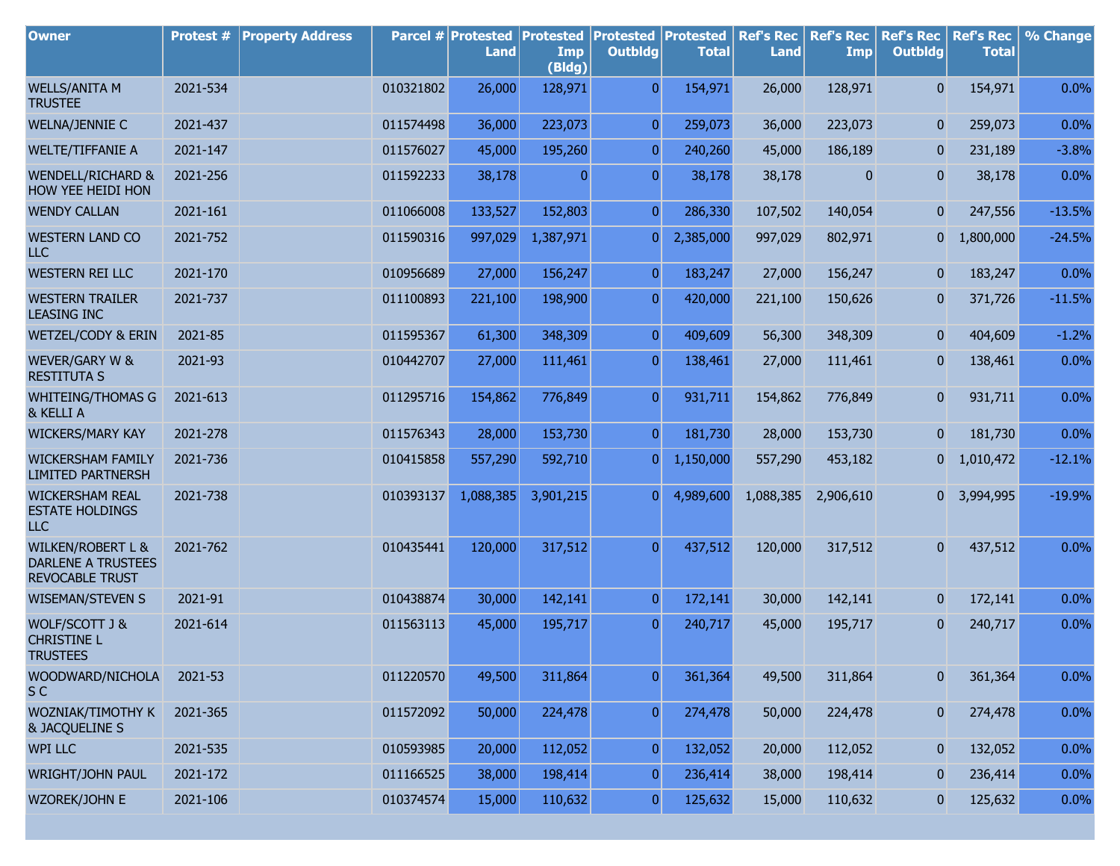| <b>Owner</b>                                                                 | Protest # | <b>Property Address</b> |           | Parcel # Protested<br>Land | <b>Protested</b><br>Imp<br>(Bldg) | <b>Protested</b><br><b>Outbldg</b> | <b>Protested</b><br><b>Total</b> | <b>Ref's Rec</b><br><b>Land</b> | <b>Ref's Rec</b><br><b>Imp</b> | <b>Ref's Rec</b><br><b>Outbldg</b> | <b>Ref's Rec</b><br><b>Total</b> | % Change |
|------------------------------------------------------------------------------|-----------|-------------------------|-----------|----------------------------|-----------------------------------|------------------------------------|----------------------------------|---------------------------------|--------------------------------|------------------------------------|----------------------------------|----------|
| <b>WELLS/ANITA M</b><br><b>TRUSTEE</b>                                       | 2021-534  |                         | 010321802 | 26,000                     | 128,971                           | $\overline{0}$                     | 154,971                          | 26,000                          | 128,971                        | $\overline{0}$                     | 154,971                          | 0.0%     |
| WELNA/JENNIE C                                                               | 2021-437  |                         | 011574498 | 36,000                     | 223,073                           | $\overline{0}$                     | 259,073                          | 36,000                          | 223,073                        | $\mathbf{0}$                       | 259,073                          | 0.0%     |
| <b>WELTE/TIFFANIE A</b>                                                      | 2021-147  |                         | 011576027 | 45,000                     | 195,260                           | 0                                  | 240,260                          | 45,000                          | 186,189                        | $\mathbf{0}$                       | 231,189                          | $-3.8%$  |
| <b>WENDELL/RICHARD &amp;</b><br>HOW YEE HEIDI HON                            | 2021-256  |                         | 011592233 | 38,178                     | $\Omega$                          | $\overline{0}$                     | 38,178                           | 38,178                          | $\mathbf{0}$                   | $\overline{0}$                     | 38,178                           | 0.0%     |
| <b>WENDY CALLAN</b>                                                          | 2021-161  |                         | 011066008 | 133,527                    | 152,803                           | $\overline{0}$                     | 286,330                          | 107,502                         | 140,054                        | $\overline{0}$                     | 247,556                          | $-13.5%$ |
| <b>WESTERN LAND CO</b><br><b>LLC</b>                                         | 2021-752  |                         | 011590316 | 997,029                    | 1,387,971                         | 0                                  | 2,385,000                        | 997,029                         | 802,971                        | $\mathbf{0}$                       | 1,800,000                        | $-24.5%$ |
| <b>WESTERN REI LLC</b>                                                       | 2021-170  |                         | 010956689 | 27,000                     | 156,247                           | $\overline{0}$                     | 183,247                          | 27,000                          | 156,247                        | $\mathbf{0}$                       | 183,247                          | 0.0%     |
| <b>WESTERN TRAILER</b><br><b>LEASING INC</b>                                 | 2021-737  |                         | 011100893 | 221,100                    | 198,900                           | 0                                  | 420,000                          | 221,100                         | 150,626                        | $\mathbf{0}$                       | 371,726                          | $-11.5%$ |
| WETZEL/CODY & ERIN                                                           | 2021-85   |                         | 011595367 | 61,300                     | 348,309                           | $\mathbf{0}$                       | 409,609                          | 56,300                          | 348,309                        | $\mathbf{0}$                       | 404,609                          | $-1.2%$  |
| WEVER/GARY W &<br><b>RESTITUTA S</b>                                         | 2021-93   |                         | 010442707 | 27,000                     | 111,461                           | $\overline{0}$                     | 138,461                          | 27,000                          | 111,461                        | $\mathbf{0}$                       | 138,461                          | 0.0%     |
| <b>WHITEING/THOMAS G</b><br>& KELLI A                                        | 2021-613  |                         | 011295716 | 154,862                    | 776,849                           | $\overline{0}$                     | 931,711                          | 154,862                         | 776,849                        | $\overline{0}$                     | 931,711                          | 0.0%     |
| <b>WICKERS/MARY KAY</b>                                                      | 2021-278  |                         | 011576343 | 28,000                     | 153,730                           | $\overline{0}$                     | 181,730                          | 28,000                          | 153,730                        | $\mathbf{0}$                       | 181,730                          | 0.0%     |
| <b>WICKERSHAM FAMILY</b><br><b>LIMITED PARTNERSH</b>                         | 2021-736  |                         | 010415858 | 557,290                    | 592,710                           | $\overline{0}$                     | 1,150,000                        | 557,290                         | 453,182                        | 0                                  | 1,010,472                        | $-12.1%$ |
| <b>WICKERSHAM REAL</b><br><b>ESTATE HOLDINGS</b><br><b>LLC</b>               | 2021-738  |                         | 010393137 | 1,088,385                  | 3,901,215                         | $\overline{0}$                     | 4,989,600                        | 1,088,385                       | 2,906,610                      |                                    | 0 3,994,995                      | $-19.9%$ |
| <b>WILKEN/ROBERT L &amp;</b><br><b>DARLENE A TRUSTEES</b><br>REVOCABLE TRUST | 2021-762  |                         | 010435441 | 120,000                    | 317,512                           | $\overline{0}$                     | 437,512                          | 120,000                         | 317,512                        | $\overline{0}$                     | 437,512                          | 0.0%     |
| <b>WISEMAN/STEVEN S</b>                                                      | 2021-91   |                         | 010438874 | 30,000                     | 142,141                           | $\overline{0}$                     | 172,141                          | 30,000                          | 142,141                        | $\mathbf{0}$                       | 172,141                          | 0.0%     |
| WOLF/SCOTT J &<br><b>CHRISTINE L</b><br><b>TRUSTEES</b>                      | 2021-614  |                         | 011563113 | 45,000                     | 195,717                           | $\overline{0}$                     | 240,717                          | 45,000                          | 195,717                        | $\mathbf{0}$                       | 240,717                          | 0.0%     |
| WOODWARD/NICHOLA<br>S <sub>C</sub>                                           | 2021-53   |                         | 011220570 | 49,500                     | 311,864                           | $\overline{0}$                     | 361,364                          | 49,500                          | 311,864                        | $\mathbf{0}$                       | 361,364                          | 0.0%     |
| WOZNIAK/TIMOTHY K<br>& JACQUELINE S                                          | 2021-365  |                         | 011572092 | 50,000                     | 224,478                           | $\overline{0}$                     | 274,478                          | 50,000                          | 224,478                        | 0                                  | 274,478                          | 0.0%     |
| WPI LLC                                                                      | 2021-535  |                         | 010593985 | 20,000                     | 112,052                           | $\bf{0}$                           | 132,052                          | 20,000                          | 112,052                        | 0                                  | 132,052                          | 0.0%     |
| WRIGHT/JOHN PAUL                                                             | 2021-172  |                         | 011166525 | 38,000                     | 198,414                           | 0                                  | 236,414                          | 38,000                          | 198,414                        | 0                                  | 236,414                          | 0.0%     |
| WZOREK/JOHN E                                                                | 2021-106  |                         | 010374574 | 15,000                     | 110,632                           | 0                                  | 125,632                          | 15,000                          | 110,632                        | 0                                  | 125,632                          | 0.0%     |